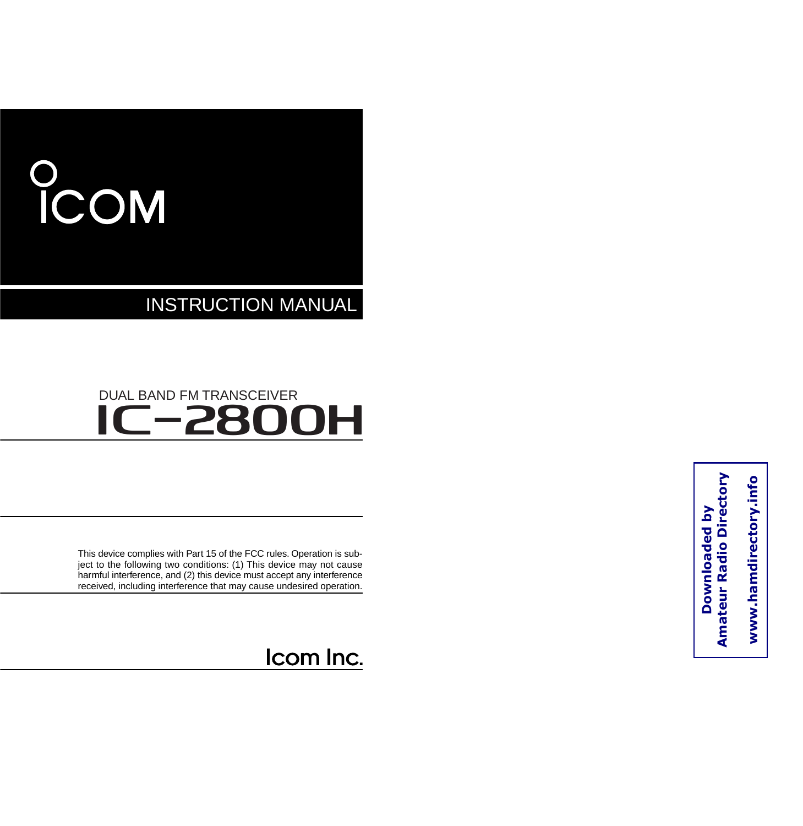# COM

INSTRUCTION MANUAL

### **IC-2800H** DUAL BAND FM TRANSCEIVER

This device complies with Part 15 of the FCC rules. Operation is subject to the following two conditions: (1) This device may not cause harmful interference, and (2) this device must accept any interference received, including interference that may cause undesired operation.

Icom Inc.

www.hamdirectory.info **www.hamdirectory.info**

**Downloaded by Amateur Radio Directory** 

Downloaded by

**Amateur Radio Directory**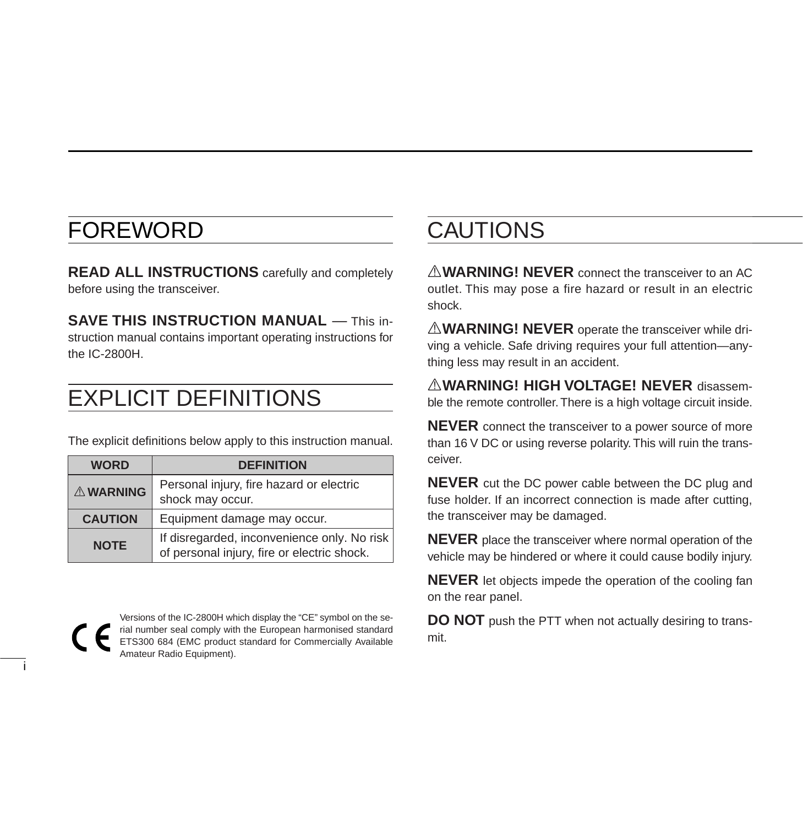### FOREWORD

i

**READ ALL INSTRUCTIONS** carefully and completely before using the transceiver.

**SAVE THIS INSTRUCTION MANUAL** — This instruction manual contains important operating instructions for the IC-2800H.

### EXPLICIT DEFINITIONS

The explicit definitions below apply to this instruction manual.

| <b>WORD</b>    | <b>DEFINITION</b>                                                                          |
|----------------|--------------------------------------------------------------------------------------------|
| A WARNING      | Personal injury, fire hazard or electric<br>shock may occur.                               |
| <b>CAUTION</b> | Equipment damage may occur.                                                                |
| <b>NOTE</b>    | If disregarded, inconvenience only. No risk<br>of personal injury, fire or electric shock. |

Versions of the IC-2800H which display the "CE" symbol on the serial number seal comply with the European harmonised standard ETS300 684 (EMC product standard for Commercially Available Amateur Radio Equipment).

### CAUTIONS

A **WARNING! NEVER** connect the transceiver to an AC outlet. This may pose a fire hazard or result in an electric shock.

**AWARNING! NEVER** operate the transceiver while driving a vehicle. Safe driving requires your full attention—anything less may result in an accident.

R**WARNING! HIGH VOLTAGE! NEVER** disassemble the remote controller. There is a high voltage circuit inside.

**NEVER** connect the transceiver to a power source of more than 16 V DC or using reverse polarity. This will ruin the transceiver.

**NEVER** cut the DC power cable between the DC plug and fuse holder. If an incorrect connection is made after cutting, the transceiver may be damaged.

**NEVER** place the transceiver where normal operation of the vehicle may be hindered or where it could cause bodily injury.

**NEVER** let objects impede the operation of the cooling fan on the rear panel.

**DO NOT** push the PTT when not actually desiring to transmit.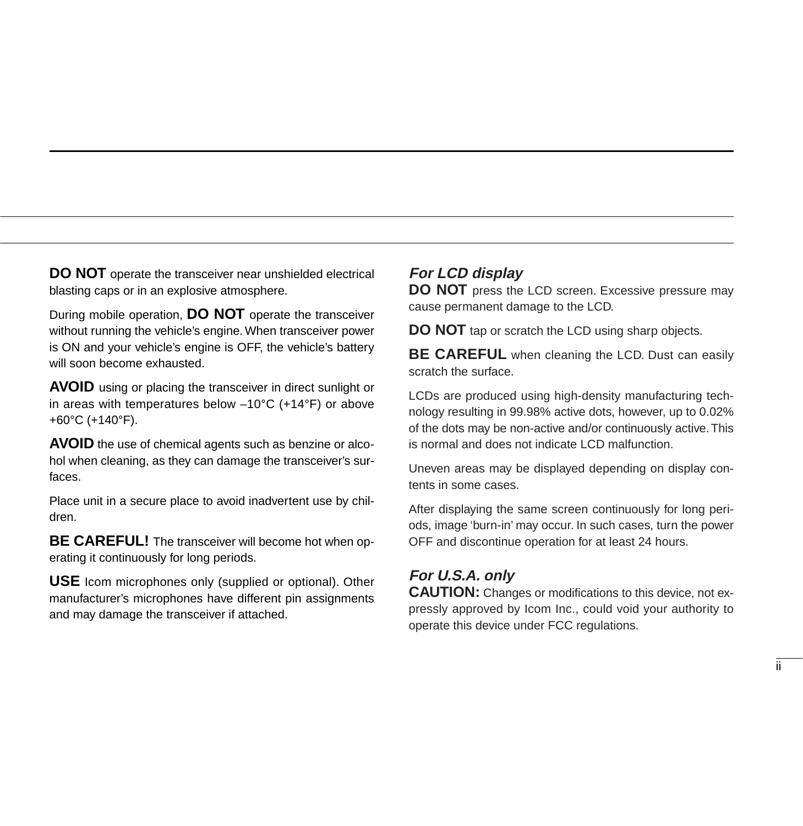**DO NOT** operate the transceiver near unshielded electrical blasting caps or in an explosive atmosphere.

During mobile operation, **DO NOT** operate the transceiver without running the vehicle's engine. When transceiver power is ON and your vehicle's engine is OFF, the vehicle's battery will soon become exhausted.

**AVOID** using or placing the transceiver in direct sunlight or in areas with temperatures below –10°C (+14°F) or above +60°C (+140°F).

**AVOID** the use of chemical agents such as benzine or alcohol when cleaning, as they can damage the transceiver's surfaces.

Place unit in a secure place to avoid inadvertent use by children.

**BE CAREFUL!** The transceiver will become hot when operating it continuously for long periods.

**USE** Icom microphones only (supplied or optional). Other manufacturer's microphones have different pin assignments and may damage the transceiver if attached.

#### **For LCD display**

**DO NOT** press the LCD screen. Excessive pressure may cause permanent damage to the LCD.

**DO NOT** tap or scratch the LCD using sharp objects.

**BE CAREFUL** when cleaning the LCD. Dust can easily scratch the surface.

LCDs are produced using high-density manufacturing technology resulting in 99.98% active dots, however, up to 0.02% of the dots may be non-active and/or continuously active. This is normal and does not indicate LCD malfunction.

Uneven areas may be displayed depending on display contents in some cases.

After displaying the same screen continuously for long periods, image 'burn-in' may occur. In such cases, turn the power OFF and discontinue operation for at least 24 hours.

#### **For U.S.A. only**

**CAUTION:** Changes or modifications to this device, not expressly approved by Icom Inc., could void your authority to operate this device under FCC regulations.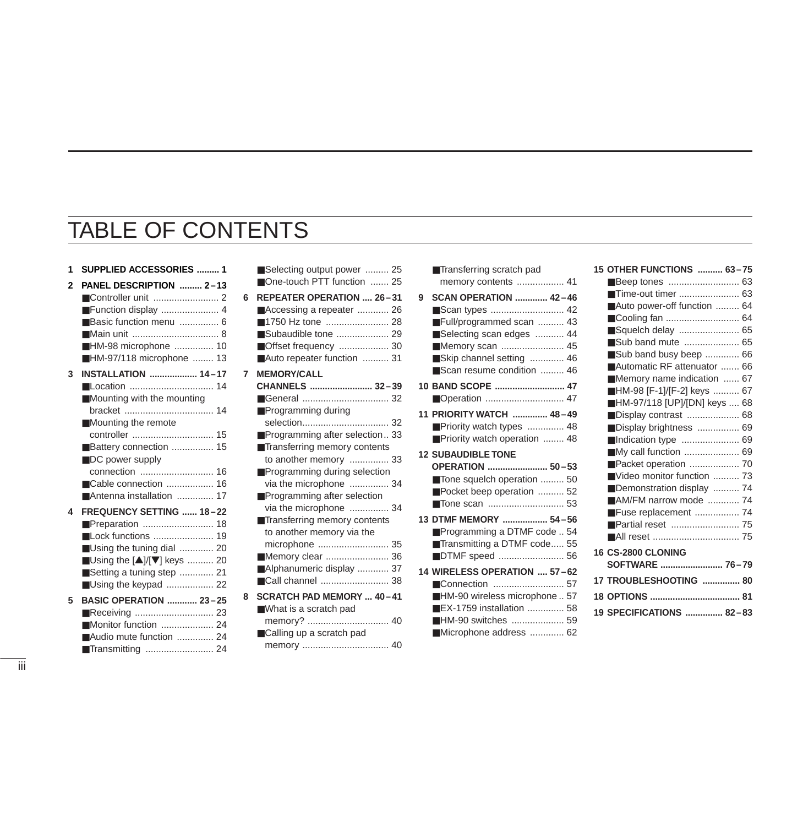### TABLE OF CONTENTS

**7 MEMORY/CALL** 

| 1            | SUPPLIED ACCESSORIES  1                                                                                                                                                                            |
|--------------|----------------------------------------------------------------------------------------------------------------------------------------------------------------------------------------------------|
| $\mathbf{c}$ | PANEL DESCRIPTION  2-13<br>Function display  4<br>Basic function menu  6<br>■HM-98 microphone  10<br>HM-97/118 microphone  13                                                                      |
| 3            | <b>INSTALLATION  14-17</b><br>■ Location  14<br>Mounting with the mounting<br>Mounting the remote<br>Battery connection  15<br>DC power supply<br>Cable connection  16<br>Antenna installation  17 |
| 4            | FREQUENCY SETTING  18-22<br>■ Lock functions  19<br>Using the tuning dial  20<br>■Using the [▲]/[▼] keys  20<br>Setting a tuning step  21<br>Using the keypad  22                                  |
| 5            | <b>BASIC OPERATION  23-25</b><br>Monitor function  24<br>Audio mute function  24                                                                                                                   |

|   | Selecting output power  25     |
|---|--------------------------------|
|   | One-touch PTT function  25     |
| 6 | REPEATER OPERATION  26-31      |
|   | ■ Accessing a repeater  26     |
|   | 1750 Hz tone  28               |
|   | Subaudible tone  29            |
|   | Offset frequency  30           |
|   | Auto repeater function  31     |
| 7 | <b>MEMORY/CALL</b>             |
|   | CHANNELS  32-39                |
|   | ■General  32                   |
|   | Programming during             |
|   |                                |
|   | Programming after selection 33 |
|   | Transferring memory contents   |
|   | to another memory  33          |
|   | Programming during selection   |
|   | via the microphone  34         |
|   | Programming after selection    |
|   | via the microphone  34         |
|   | Transferring memory contents   |
|   | to another memory via the      |
|   | microphone  35                 |
|   | Memory clear  36               |
|   | Alphanumeric display  37       |
|   | ■ Call channel  38             |
| 8 | SCRATCH PAD MEMORY  40-41      |
|   | What is a scratch pad          |
|   |                                |
|   | Calling up a scratch pad       |
|   |                                |

|   | ■Transferring scratch pad                      |
|---|------------------------------------------------|
|   | memory contents  41                            |
| 9 | <b>SCAN OPERATION  42-46</b>                   |
|   | ■ Scan types  42                               |
|   | Full/programmed scan  43                       |
|   | Selecting scan edges  44                       |
|   | ■ Memory scan  45                              |
|   | ■Skip channel setting  46                      |
|   | Scan resume condition  46                      |
|   |                                                |
|   |                                                |
|   | 11 PRIORITY WATCH  48-49                       |
|   | Priority watch types  48                       |
|   | Priority watch operation  48                   |
|   | <b>12 SUBAUDIBLE TONE</b>                      |
|   |                                                |
|   | OPERATION  50-53                               |
|   | Tone squelch operation  50                     |
|   | Pocket beep operation  52                      |
|   |                                                |
|   | 13 DTMF MEMORY  54-56                          |
|   | Programming a DTMF code  54                    |
|   | Transmitting a DTMF code 55                    |
|   | ■DTMF speed  56                                |
|   | 14 WIRELESS OPERATION  57-62                   |
|   | ■Connection  57                                |
|   | HM-90 wireless microphone  57                  |
|   | ■EX-1759 installation  58                      |
|   | ■HM-90 switches  59<br>■Microphone address  62 |

| 15 OTHER FUNCTIONS  63-75    |  |
|------------------------------|--|
| ■Beep tones  63              |  |
|                              |  |
| Auto power-off function  64  |  |
|                              |  |
| Squelch delay  65            |  |
| Sub band mute  65            |  |
| Sub band busy beep  66       |  |
| Automatic RF attenuator  66  |  |
| Memory name indication  67   |  |
| ■HM-98 [F-1]/[F-2] keys  67  |  |
| HM-97/118 [UP]/[DN] keys  68 |  |
|                              |  |
| Display brightness  69       |  |
| ■Indication type  69         |  |
| ■ My call function  69       |  |
| Packet operation  70         |  |
| Video monitor function  73   |  |
| Demonstration display  74    |  |
| AM/FM narrow mode  74        |  |
| Fuse replacement  74         |  |
|                              |  |
|                              |  |
| <b>16 CS-2800 CLONING</b>    |  |
| SOFTWARE  76-79              |  |
| 17 TROUBLESHOOTING  80       |  |
|                              |  |
| 19 SPECIFICATIONS  82-83     |  |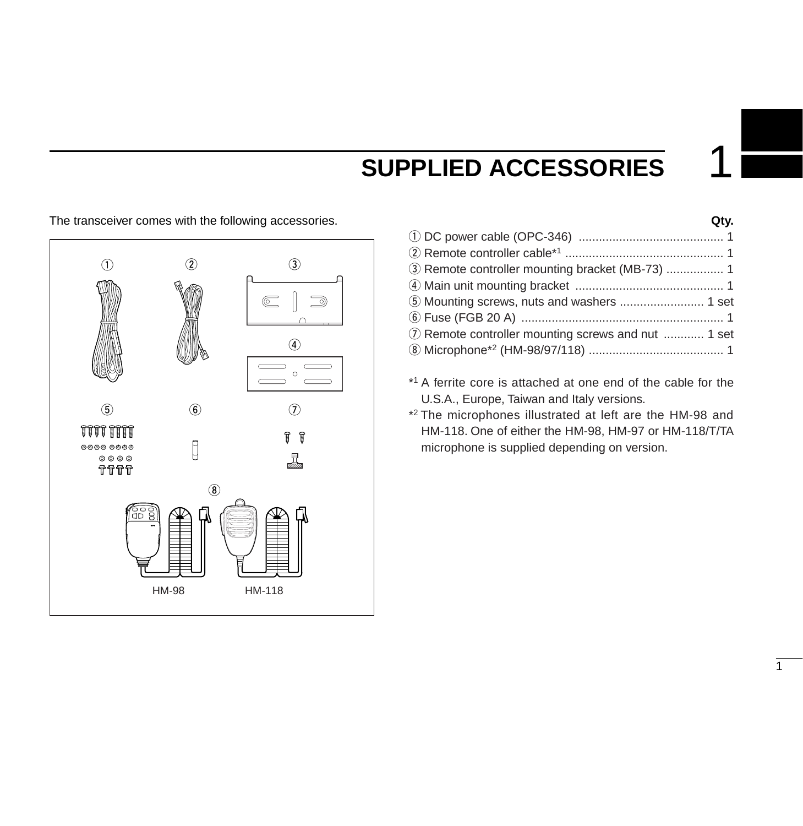### **SUPPLIED ACCESSORIES**

The transceiver comes with the following accessories. **Qty.**



| 7 Remote controller mounting screws and nut  1 set |  |
|----------------------------------------------------|--|
|                                                    |  |
|                                                    |  |

- \*1 A ferrite core is attached at one end of the cable for the U.S.A., Europe, Taiwan and Italy versions.
- \*2 The microphones illustrated at left are the HM-98 and HM-118. One of either the HM-98, HM-97 or HM-118/T/TA microphone is supplied depending on version.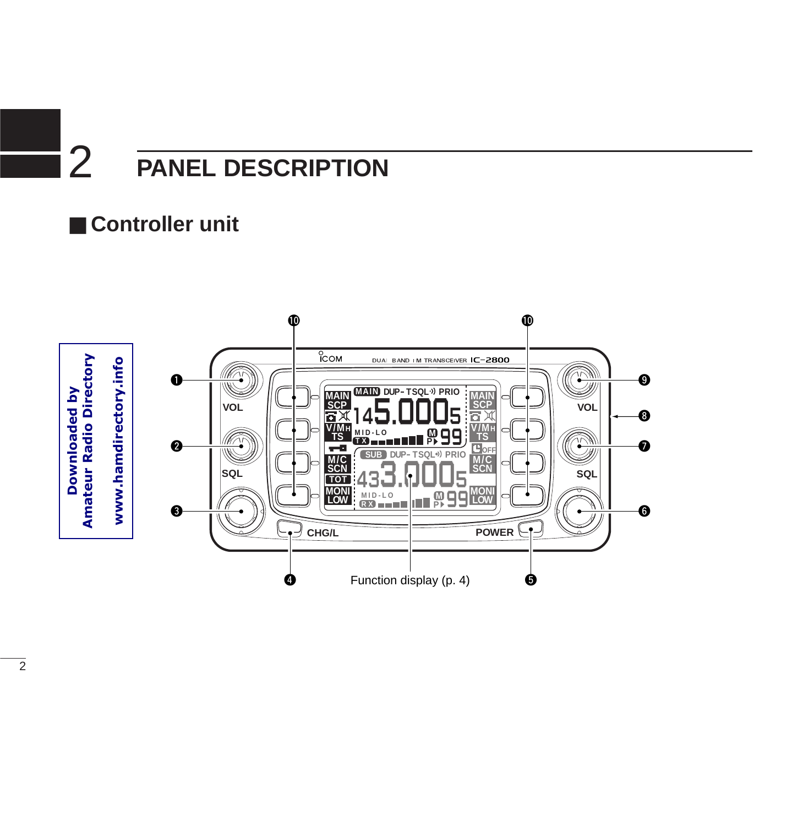### ■ **Controller unit**

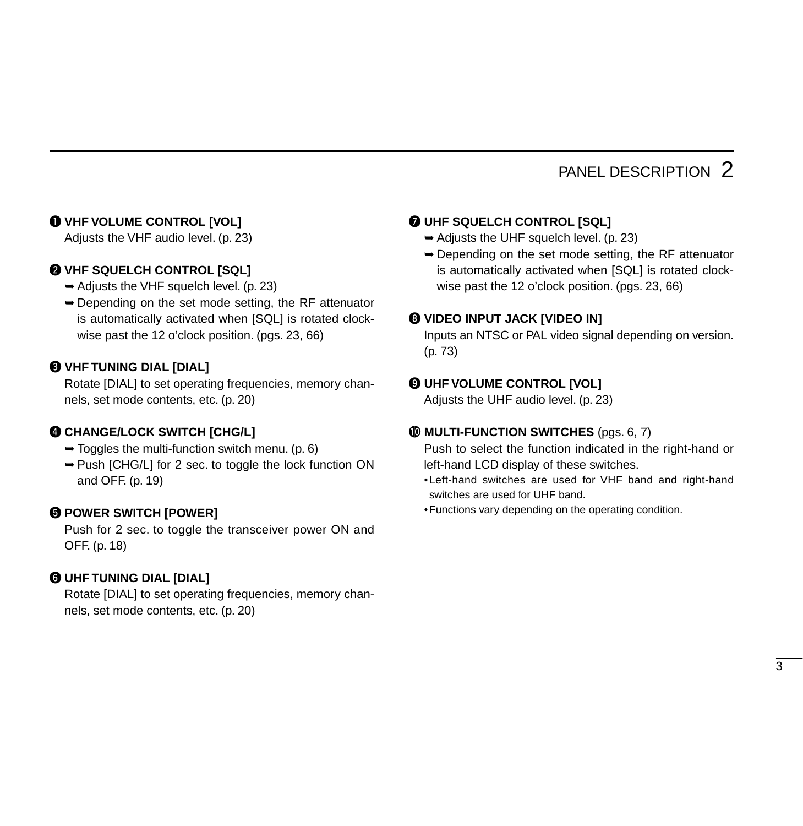#### q **VHF VOLUME CONTROL [VOL]**

Adjusts the VHF audio level. (p. 23)

#### **WHF SQUELCH CONTROL [SQL]**

- ➥Adjusts the VHF squelch level. (p. 23)
- ➥Depending on the set mode setting, the RF attenuator is automatically activated when [SQL] is rotated clockwise past the 12 o'clock position. (pgs. 23, 66)

#### **@ VHF TUNING DIAL [DIAL]**

Rotate [DIAL] to set operating frequencies, memory channels, set mode contents, etc. (p. 20)

#### **@ CHANGE/LOCK SWITCH [CHG/L]**

- $\rightarrow$  Toggles the multi-function switch menu. (p. 6)
- ➥Push [CHG/L] for 2 sec. to toggle the lock function ON and OFF. (p. 19)

#### $\Theta$  **POWER SWITCH [POWER]**

Push for 2 sec. to toggle the transceiver power ON and OFF. (p. 18)

#### **@ UHF TUNING DIAL [DIAL]**

Rotate [DIAL] to set operating frequencies, memory channels, set mode contents, etc. (p. 20)

#### **WHF SQUELCH CONTROL [SQL]**

- $\rightarrow$  Adjusts the UHF squelch level. (p. 23)
- ➥Depending on the set mode setting, the RF attenuator is automatically activated when [SQL] is rotated clockwise past the 12 o'clock position. (pgs. 23, 66)

#### **@ VIDEO INPUT JACK [VIDEO IN]**

Inputs an NTSC or PAL video signal depending on version. (p. 73)

#### $\odot$  **UHF VOLUME CONTROL [VOL]**

Adjusts the UHF audio level. (p. 23)

#### !0**MULTI-FUNCTION SWITCHES** (pgs. 6, 7)

Push to select the function indicated in the right-hand or left-hand LCD display of these switches.

- •Left-hand switches are used for VHF band and right-hand switches are used for UHF band.
- •Functions vary depending on the operating condition.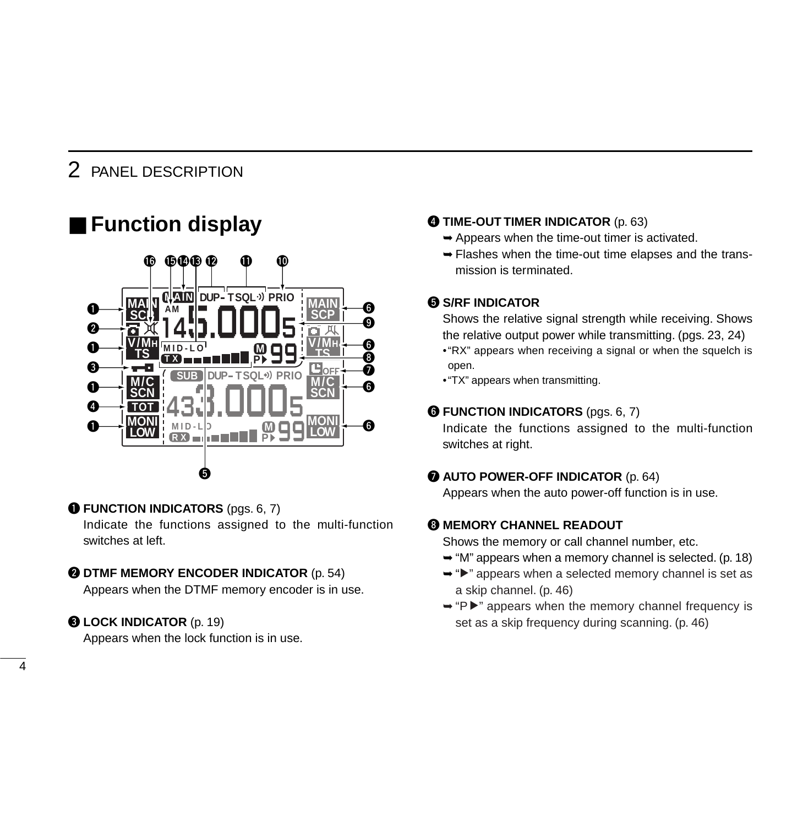### ■ **Function display**



#### **O FUNCTION INDICATORS** (pgs. 6, 7)

Indicate the functions assigned to the multi-function switches at left.

#### **@ DTMF MEMORY ENCODER INDICATOR** (p. 54)

Appears when the DTMF memory encoder is in use.

#### **@ LOCK INDICATOR** (p. 19)

Appears when the lock function is in use.

#### **<sup>4</sup>** TIME-OUT TIMER INDICATOR (p. 63)

- $\rightarrow$  Appears when the time-out timer is activated.
- ➥Flashes when the time-out time elapses and the transmission is terminated.

#### **6 S/RF INDICATOR**

Shows the relative signal strength while receiving. Shows the relative output power while transmitting. (pgs. 23, 24)

- •"RX" appears when receiving a signal or when the squelch is open.
- •"TX" appears when transmitting.

#### **G** FUNCTION INDICATORS (pgs. 6, 7)

Indicate the functions assigned to the multi-function switches at right.

#### **@ AUTO POWER-OFF INDICATOR** (p. 64)

Appears when the auto power-off function is in use.

#### **6 MEMORY CHANNEL READOUT**

Shows the memory or call channel number, etc.

- $\rightarrow$  "M" appears when a memory channel is selected. (p. 18)
- ➥"≈" appears when a selected memory channel is set as a skip channel. (p. 46)
- ➥"P≈" appears when the memory channel frequency is set as a skip frequency during scanning. (p. 46)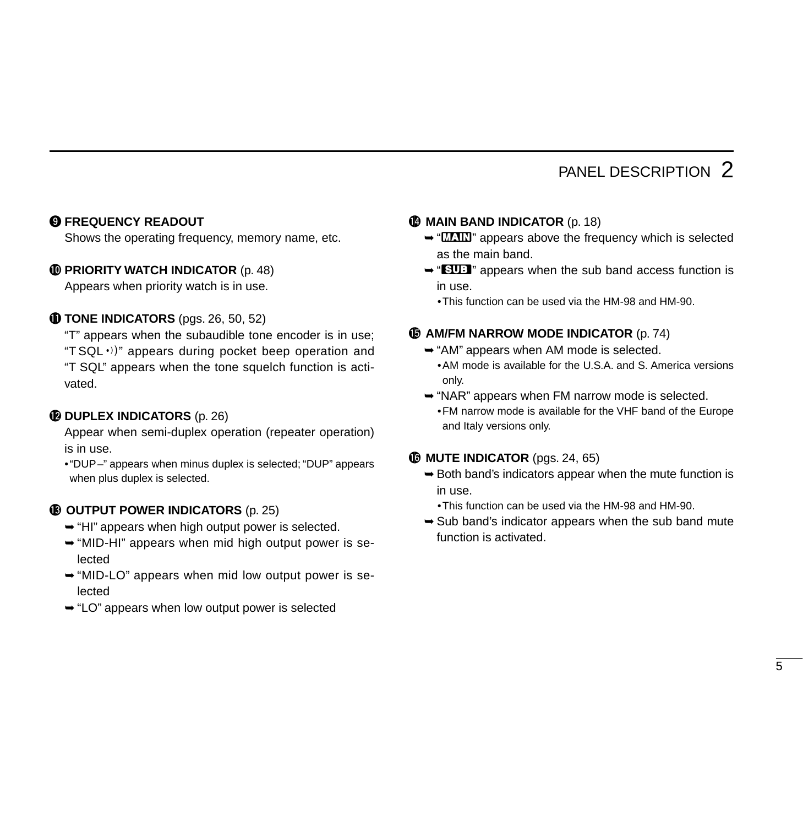#### **O FREQUENCY READOUT**

Shows the operating frequency, memory name, etc.

#### **10 PRIORITY WATCH INDICATOR** (p. 48)

Appears when priority watch is in use.

#### **10 TONE INDICATORS** (pgs. 26, 50, 52)

"T" appears when the subaudible tone encoder is in use; " $TSQL·$ )" appears during pocket beep operation and "T SQL" appears when the tone squelch function is activated.

#### **12 DUPLEX INDICATORS** (p. 26)

Appear when semi-duplex operation (repeater operation) is in use.

•"DUP–" appears when minus duplex is selected; "DUP" appears when plus duplex is selected.

#### **13** OUTPUT POWER INDICATORS (p. 25)

- ➥"HI" appears when high output power is selected.
- ➥"MID-HI" appears when mid high output power is selected
- ➥"MID-LO" appears when mid low output power is selected
- ➥"LO" appears when low output power is selected
- **1MAIN BAND INDICATOR** (p. 18)
	- $\rightarrow$  " $\overline{M}$ " appears above the frequency which is selected as the main band.
	- ➥"^" appears when the sub band access function is in use.
		- •This function can be used via the HM-98 and HM-90.

#### $\bigoplus$  **AM/FM NARROW MODE INDICATOR** (p. 74)

- ➥"AM" appears when AM mode is selected.
	- •AM mode is available for the U.S.A. and S. America versions only.
- ➥"NAR" appears when FM narrow mode is selected.
	- •FM narrow mode is available for the VHF band of the Europe and Italy versions only.

#### **16 MUTE INDICATOR** (pgs. 24, 65)

- ➥Both band's indicators appear when the mute function is in use.
	- •This function can be used via the HM-98 and HM-90.
- $\rightarrow$  Sub band's indicator appears when the sub band mute function is activated.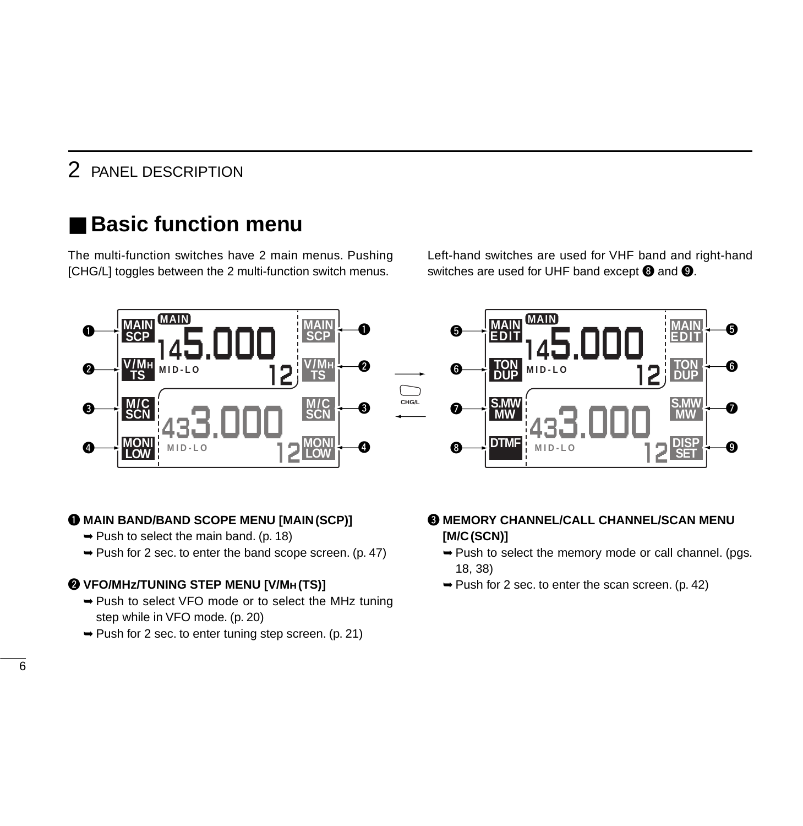### **Basic function menu**

The multi-function switches have 2 main menus. Pushing [CHG/L] toggles between the 2 multi-function switch menus.

Left-hand switches are used for VHF band and right-hand switches are used for UHF band except  $\odot$  and  $\odot$ .



#### q **MAIN BAND/BAND SCOPE MENU [MAIN(SCP)]**

- $\rightarrow$  Push to select the main band. (p. 18)
- ➥Push for 2 sec. to enter the band scope screen. (p. 47)

#### w **VFO/MHz/TUNING STEP MENU [V/MH (TS)]**

- ➥Push to select VFO mode or to select the MHz tuning step while in VFO mode. (p. 20)
- ➥Push for 2 sec. to enter tuning step screen. (p. 21)

#### **@ MEMORY CHANNEL/CALL CHANNEL/SCAN MENU [M/C(SCN)]**

- ➥Push to select the memory mode or call channel. (pgs. 18, 38)
- $\rightarrow$  Push for 2 sec. to enter the scan screen. (p. 42)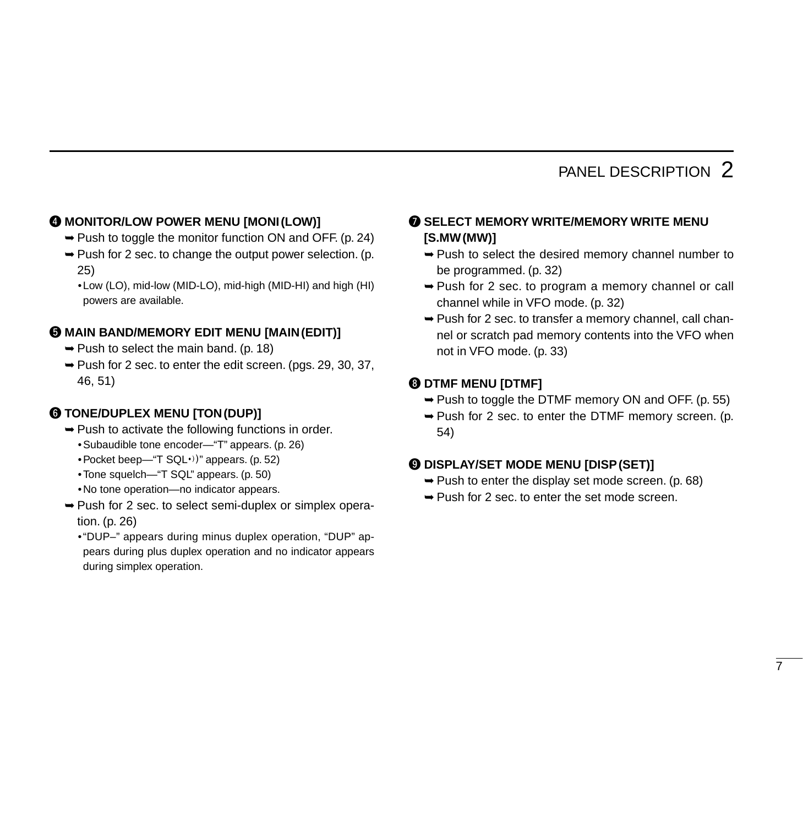#### **<sup>4</sup> MONITOR/LOW POWER MENU [MONI(LOW)]**

- ➥Push to toggle the monitor function ON and OFF. (p. 24)
- $\rightarrow$  Push for 2 sec. to change the output power selection. (p. 25)
	- •Low (LO), mid-low (MID-LO), mid-high (MID-HI) and high (HI) powers are available.

#### $\odot$  **MAIN BAND/MEMORY EDIT MENU [MAIN(EDIT)]**

- $\rightarrow$  Push to select the main band. (p. 18)
- ➥Push for 2 sec. to enter the edit screen. (pgs. 29, 30, 37, 46, 51)

#### **@ TONE/DUPLEX MENU [TON(DUP)]**

- ➥Push to activate the following functions in order.
	- •Subaudible tone encoder—"T" appears. (p. 26)
	- Pocket beep—"T  $SQL·$ )" appears. (p. 52)
	- •Tone squelch—"T SQL" appears. (p. 50)
	- •No tone operation—no indicator appears.
- ➥Push for 2 sec. to select semi-duplex or simplex operation. (p. 26)
	- •"DUP–" appears during minus duplex operation, "DUP" appears during plus duplex operation and no indicator appears during simplex operation.

#### **O** SELECT MEMORY WRITE/MEMORY WRITE MENU **[S.MW(MW)]**

- ➥Push to select the desired memory channel number to be programmed. (p. 32)
- ➥Push for 2 sec. to program a memory channel or call channel while in VFO mode. (p. 32)
- ➥Push for 2 sec. to transfer a memory channel, call channel or scratch pad memory contents into the VFO when not in VFO mode. (p. 33)

#### **@ DTMF MENU [DTMF]**

- ➥Push to toggle the DTMF memory ON and OFF. (p. 55)
- ➥Push for 2 sec. to enter the DTMF memory screen. (p. 54)

#### o **DISPLAY/SET MODE MENU [DISP(SET)]**

- $\rightarrow$  Push to enter the display set mode screen. (p. 68)
- ➥Push for 2 sec. to enter the set mode screen.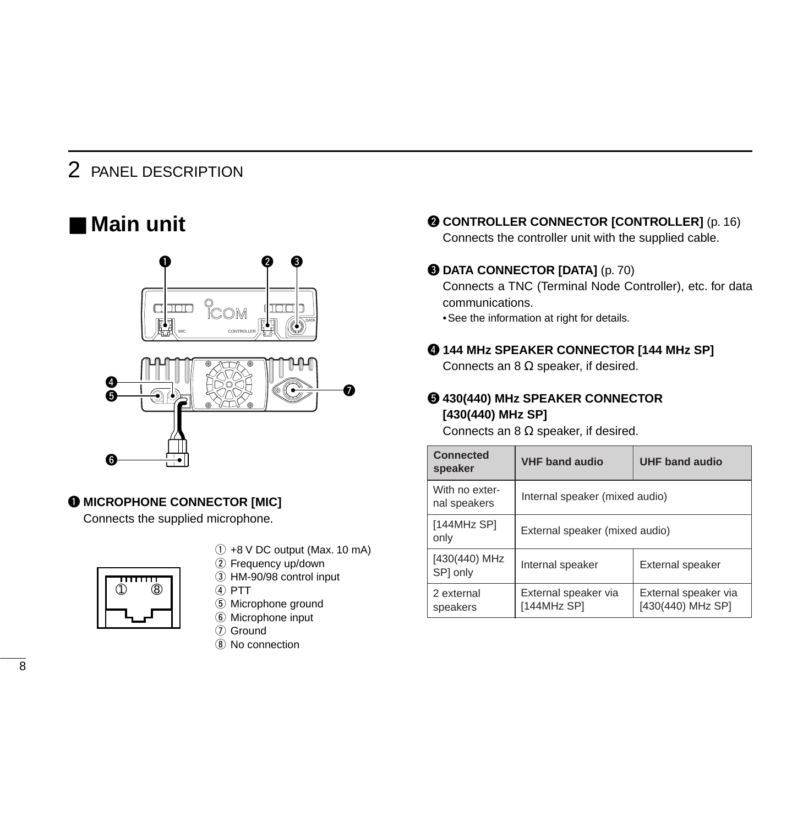### ■ **Main unit**



#### $\bullet$  **MICROPHONE CONNECTOR [MIC]**

Connects the supplied microphone.



- $(1)$  +8 V DC output (Max. 10 mA)
- (2) Frequency up/down
- 3 HM-90/98 control input
- $(4)$  PTT
- (5) Microphone ground
- **6** Microphone input
- (7) Ground
- $\Omega$  No connection

**@ CONTROLLER CONNECTOR [CONTROLLER]** (p. 16) Connects the controller unit with the supplied cable.

#### **@ DATA CONNECTOR [DATA]** (p. 70)

Connects a TNC (Terminal Node Controller), etc. for data communications.

•See the information at right for details.

#### r **144 MHz SPEAKER CONNECTOR [144 MHz SP]**

Connects an 8  $\Omega$  speaker, if desired.

#### t **430(440) MHz SPEAKER CONNECTOR [430(440) MHz SP]**

Connects an 8  $\Omega$  speaker, if desired.

| Connected<br>speaker           | <b>VHF band audio</b>               | <b>UHF band audio</b>                     |  |  |  |
|--------------------------------|-------------------------------------|-------------------------------------------|--|--|--|
| With no exter-<br>nal speakers | Internal speaker (mixed audio)      |                                           |  |  |  |
| [144MHz SP]<br>only            | External speaker (mixed audio)      |                                           |  |  |  |
| [430(440) MHz<br>SPI only      | Internal speaker                    | External speaker                          |  |  |  |
| 2 external<br>speakers         | External speaker via<br>[144MHz SP] | External speaker via<br>[430(440) MHz SP] |  |  |  |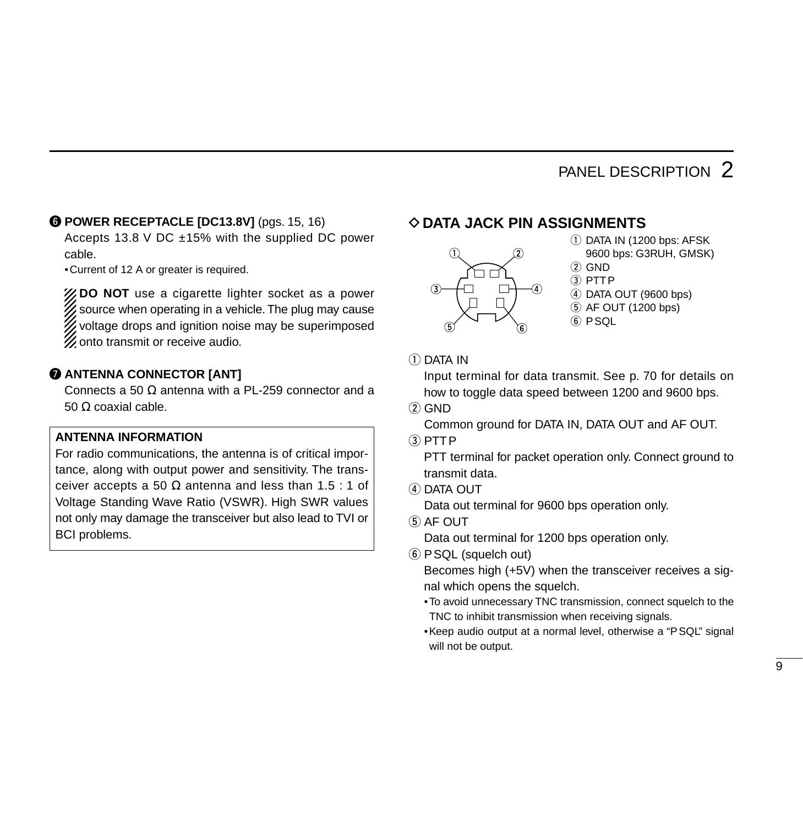#### **@ POWER RECEPTACLE [DC13.8V]** (pgs. 15, 16)

Accepts 13.8 V DC  $\pm$ 15% with the supplied DC power cable.

•Current of 12 A or greater is required.

**ZOO NOT** use a cigarette lighter socket as a power X source when operating in a vehicle. The plug may cause voltage drops and ignition noise may be superimposed  $\mathscr W$  onto transmit or receive audio.

#### **@ ANTENNA CONNECTOR [ANT]**

Connects a 50  $\Omega$  antenna with a PL-259 connector and a 50 Ω coaxial cable.

#### **ANTENNA INFORMATION**

For radio communications, the antenna is of critical importance, along with output power and sensitivity. The transceiver accepts a 50  $\Omega$  antenna and less than 1.5 : 1 of Voltage Standing Wave Ratio (VSWR). High SWR values not only may damage the transceiver but also lead to TVI or BCI problems.

#### D**DATA JACK PIN ASSIGNMENTS**



- $(i)$  DATA IN (1200 bps: AFSK 9600 bps: G3RUH, GMSK)
- $(2)$  GND
- $(3)$  PTTP
- 4 DATA OUT (9600 bps)
- $(5)$  AF OUT (1200 bps)
- $6$  PSQL

 $(1)$  DATA IN

Input terminal for data transmit. See p. 70 for details on how to toggle data speed between 1200 and 9600 bps.

 $(2)$  GND

Common ground for DATA IN, DATA OUT and AF OUT.

 $(3)$  PTTP

PTT terminal for packet operation only. Connect ground to transmit data.

(4) DATA OUT

Data out terminal for 9600 bps operation only.

 $(5)$  AF OUT

Data out terminal for 1200 bps operation only.

y PSQL (squelch out)

Becomes high (+5V) when the transceiver receives a signal which opens the squelch.

- •To avoid unnecessary TNC transmission, connect squelch to the TNC to inhibit transmission when receiving signals.
- •Keep audio output at a normal level, otherwise a "PSQL" signal will not be output.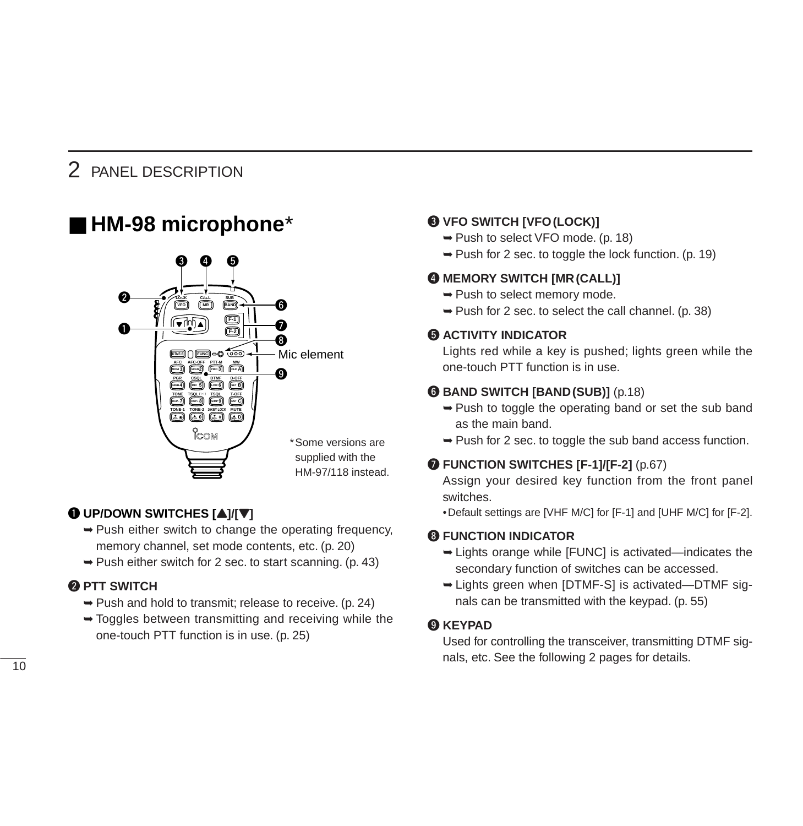### ■ **HM-98 microphone**\*



#### $\bigcirc$  UP/DOWN SWITCHES  $[\triangle]/[\nabla]$

- ➥Push either switch to change the operating frequency, memory channel, set mode contents, etc. (p. 20)
- $\rightarrow$  Push either switch for 2 sec. to start scanning. (p. 43)

#### **@ PTT SWITCH**

- ➥Push and hold to transmit; release to receive. (p. 24)
- ➥Toggles between transmitting and receiving while the one-touch PTT function is in use. (p. 25)

#### **@ VFO SWITCH [VFO(LOCK)]**

- ➥Push to select VFO mode. (p. 18)
- $\rightarrow$  Push for 2 sec. to toggle the lock function. (p. 19)

#### **@ MEMORY SWITCH [MR (CALL)]**

- ➥Push to select memory mode.
- ➥Push for 2 sec. to select the call channel. (p. 38)

#### **6 ACTIVITY INDICATOR**

Lights red while a key is pushed; lights green while the one-touch PTT function is in use.

#### **@ BAND SWITCH [BAND (SUB)]** (p.18)

- $\rightarrow$  Push to toggle the operating band or set the sub band as the main band.
- $\rightarrow$  Push for 2 sec. to toggle the sub band access function.

#### **O** FUNCTION SWITCHES [F-1]/[F-2] (p.67)

Assign your desired key function from the front panel switches.

•Default settings are [VHF M/C] for [F-1] and [UHF M/C] for [F-2].

#### **<sup>6</sup>** FUNCTION INDICATOR

- ➥Lights orange while [FUNC] is activated—indicates the secondary function of switches can be accessed.
- ➥Lights green when [DTMF-S] is activated—DTMF signals can be transmitted with the keypad. (p. 55)

#### o **KEYPAD**

Used for controlling the transceiver, transmitting DTMF sig- $\overline{10}$  nals, etc. See the following 2 pages for details.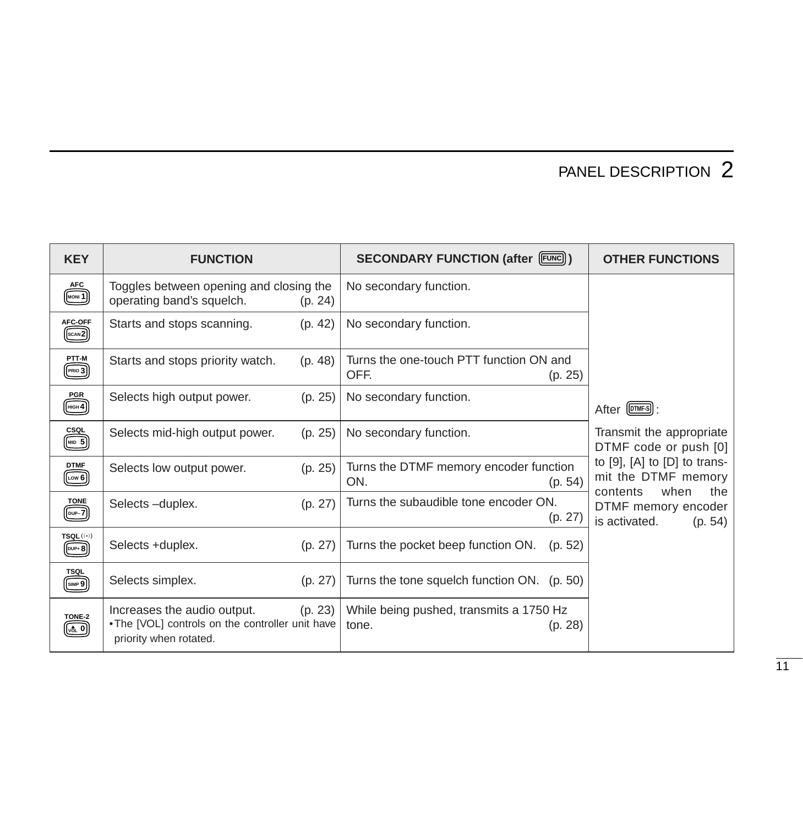| <b>KEY</b>                                                                                                | <b>FUNCTION</b>                                                                                                      | <b>SECONDARY FUNCTION (after [FUNC])</b>                    | <b>OTHER FUNCTIONS</b>                                                         |
|-----------------------------------------------------------------------------------------------------------|----------------------------------------------------------------------------------------------------------------------|-------------------------------------------------------------|--------------------------------------------------------------------------------|
| <b>AFC</b><br>MOM1                                                                                        | Toggles between opening and closing the<br>operating band's squelch.<br>(p. 24)                                      | No secondary function.                                      |                                                                                |
| AFC-OFF<br>$(\underline{\text{scan2}})$                                                                   | Starts and stops scanning.<br>(p. 42)                                                                                | No secondary function.                                      |                                                                                |
| PTT-M<br>$(\text{PRIO 3})$                                                                                | Starts and stops priority watch.<br>(p. 48)                                                                          | Turns the one-touch PTT function ON and<br>OFF.<br>(p. 25)  |                                                                                |
| <b>PGR</b><br>$\boxed{\text{HIGH 4}}$                                                                     | Selects high output power.<br>(p. 25)                                                                                | No secondary function.                                      | After [DTMF-S]:                                                                |
| <u>csol</u><br>                                                                                           | Selects mid-high output power.<br>(p. 25)                                                                            | No secondary function.                                      | Transmit the appropriate<br>DTMF code or push [0]                              |
| <b>DTMF</b><br>$(\underline{\text{low 6}})$                                                               | (p. 25)<br>Selects low output power.                                                                                 | Turns the DTMF memory encoder function<br>ON.<br>(p. 54)    | to [9], [A] to [D] to trans-<br>mit the DTMF memory<br>when<br>contents<br>the |
| <b>TONE</b>                                                                                               | Selects-duplex.<br>(p. 27)                                                                                           | Turns the subaudible tone encoder ON.<br>(p. 27)            | DTMF memory encoder<br>is activated.<br>(p. 54)                                |
| TSQL (0)<br>$(\overline{DUP} + B)$                                                                        | Selects +duplex.<br>(p. 27)                                                                                          | Turns the pocket beep function ON.<br>(p. 52)               |                                                                                |
| TSQL<br>$\sqrt{\frac{\text{SIMP}}{2}}$                                                                    | Selects simplex.<br>(p. 27)                                                                                          | Turns the tone squelch function ON. (p. 50)                 |                                                                                |
| TONE-2<br>$\left[\begin{smallmatrix}\mathsf{v}\mathsf{d}_\mathsf{L} & \mathsf{0}\end{smallmatrix}\right]$ | (p. 23)<br>Increases the audio output.<br>. The [VOL] controls on the controller unit have<br>priority when rotated. | While being pushed, transmits a 1750 Hz<br>(p. 28)<br>tone. |                                                                                |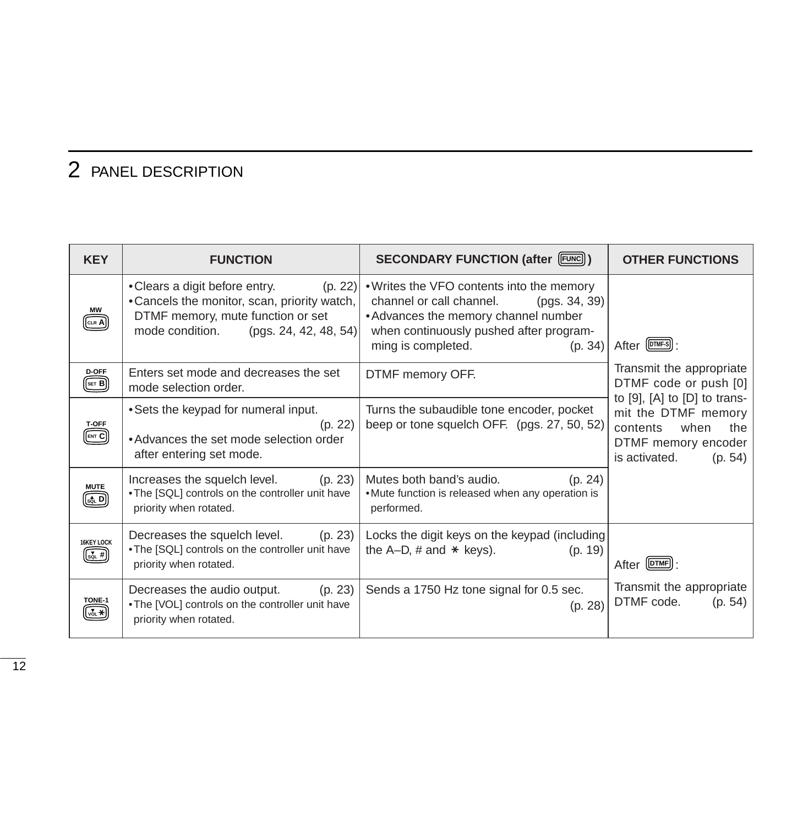| <b>KEY</b>                                      | <b>FUNCTION</b>                                                                                                                                                            | <b>SECONDARY FUNCTION (after [FUNC])</b>                                                                                                                                                                   | <b>OTHER FUNCTIONS</b>                                                                            |
|-------------------------------------------------|----------------------------------------------------------------------------------------------------------------------------------------------------------------------------|------------------------------------------------------------------------------------------------------------------------------------------------------------------------------------------------------------|---------------------------------------------------------------------------------------------------|
| МW<br>CLR A                                     | • Clears a digit before entry.<br>(p. 22)<br>• Cancels the monitor, scan, priority watch,<br>DTMF memory, mute function or set<br>mode condition.<br>(pgs. 24, 42, 48, 54) | • Writes the VFO contents into the memory<br>channel or call channel.<br>(pgs. 34, 39)<br>• Advances the memory channel number<br>when continuously pushed after program-<br>ming is completed.<br>(p. 34) | After [OTMF-S]:                                                                                   |
| D-OFF<br>SET B                                  | Enters set mode and decreases the set<br>mode selection order.                                                                                                             | DTMF memory OFF.                                                                                                                                                                                           | Transmit the appropriate<br>DTMF code or push [0]<br>to $[9]$ , $[A]$ to $[D]$ to trans-          |
| <b>T-OFF</b><br>ENT C                           | • Sets the keypad for numeral input.<br>(p. 22)<br>• Advances the set mode selection order<br>after entering set mode.                                                     | Turns the subaudible tone encoder, pocket<br>beep or tone squelch OFF. (pgs. 27, 50, 52)                                                                                                                   | mit the DTMF memory<br>when<br>contents<br>the<br>DTMF memory encoder<br>is activated.<br>(p. 54) |
| <b>MUTE</b><br>$[\mathsf{s}\mathsf{\hat{a}}$ LD | Increases the squelch level.<br>(p. 23)<br>. The [SQL] controls on the controller unit have<br>priority when rotated.                                                      | Mutes both band's audio.<br>(p. 24)<br>. Mute function is released when any operation is<br>performed.                                                                                                     |                                                                                                   |
| 16KEY LOCK<br>$\overline{\text{sat}}$ #         | Decreases the squelch level.<br>(p. 23)<br>. The [SQL] controls on the controller unit have<br>priority when rotated.                                                      | Locks the digit keys on the keypad (including<br>the A-D, $#$ and $*$ keys).<br>(p. 19)                                                                                                                    | After (DTMF):                                                                                     |
| TONE-1<br>( <sub>vo∟</sub> *                    | Decreases the audio output.<br>(p. 23)<br>. The [VOL] controls on the controller unit have<br>priority when rotated.                                                       | Sends a 1750 Hz tone signal for 0.5 sec.<br>(p. 28)                                                                                                                                                        | Transmit the appropriate<br>DTMF code.<br>(p. 54)                                                 |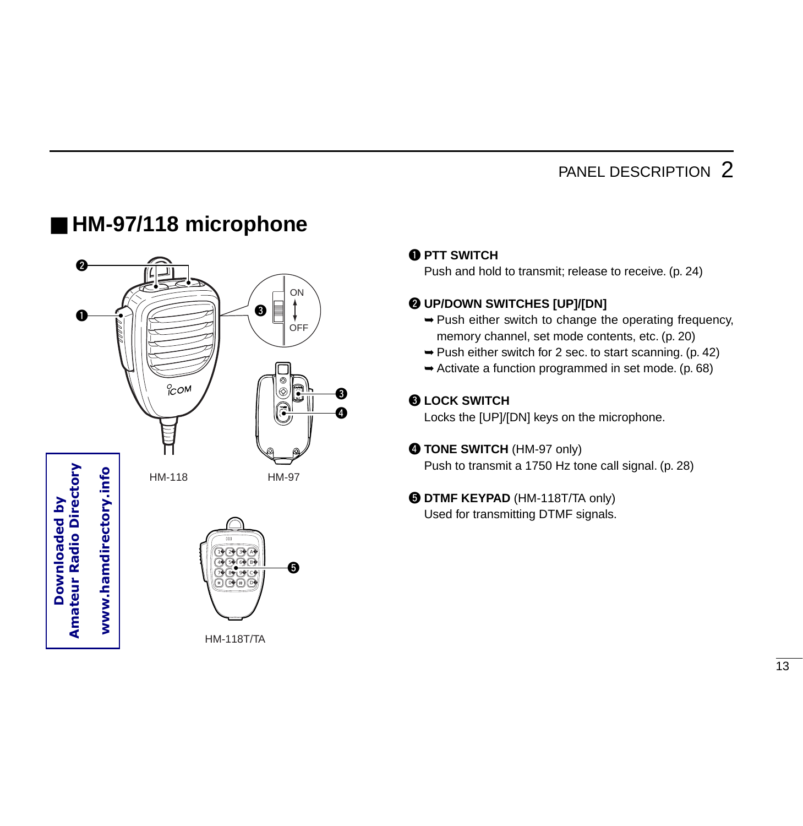### ■ HM-97/118 microphone





### **Q PTT SWITCH**

Push and hold to transmit; release to receive. (p. 24)

#### **WITCHES [UP]/[DN]**

- ➥Push either switch to change the operating frequency, memory channel, set mode contents, etc. (p. 20)
- $\rightarrow$  Push either switch for 2 sec. to start scanning. (p. 42)
- ➥Activate a function programmed in set mode. (p. 68)

#### **BLOCK SWITCH**

Locks the [UP]/[DN] keys on the microphone.

#### **@ TONE SWITCH (HM-97 only)**

Push to transmit a 1750 Hz tone call signal. (p. 28)

#### $\Theta$  **DTMF KEYPAD** (HM-118T/TA only)

Used for transmitting DTMF signals.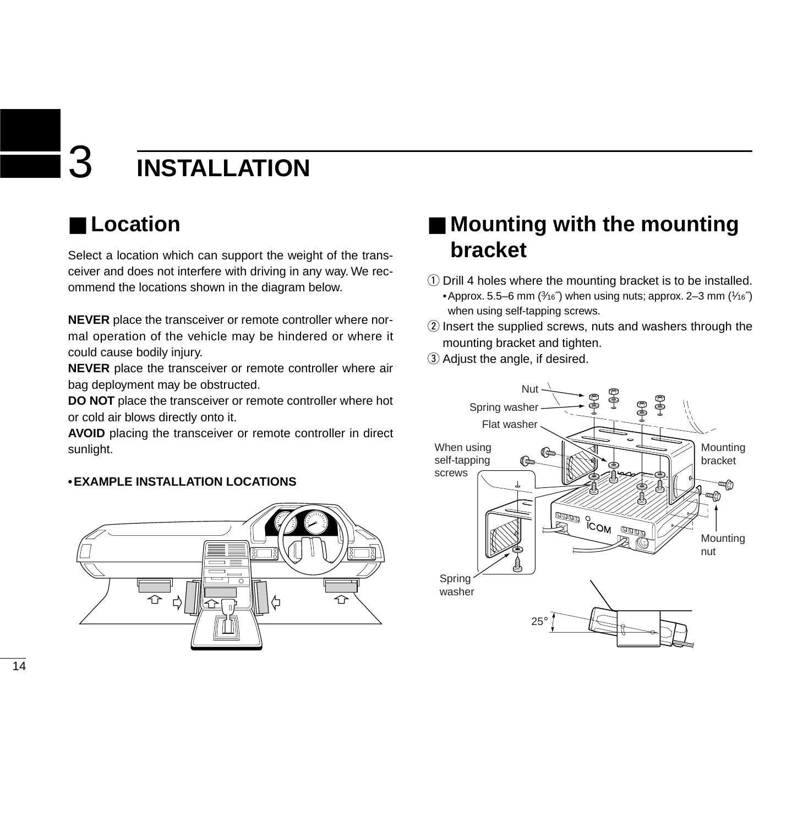# 3 **INSTALLATION**

### ■ **Location**

Select a location which can support the weight of the transceiver and does not interfere with driving in any way. We recommend the locations shown in the diagram below.

**NEVER** place the transceiver or remote controller where normal operation of the vehicle may be hindered or where it could cause bodily injury.

**NEVER** place the transceiver or remote controller where air bag deployment may be obstructed.

**DO NOT** place the transceiver or remote controller where hot or cold air blows directly onto it.

**AVOID** placing the transceiver or remote controller in direct sunlight.

#### **•EXAMPLE INSTALLATION LOCATIONS**



### ■ **Mounting with the mounting bracket**

- $\Omega$  Drill 4 holes where the mounting bracket is to be installed. •Approx. 5.5–6 mm  $(3/16)$  when using nuts; approx. 2–3 mm  $(1/16)$ when using self-tapping screws.
- 2 Insert the supplied screws, nuts and washers through the mounting bracket and tighten.
- 3 Adjust the angle, if desired.

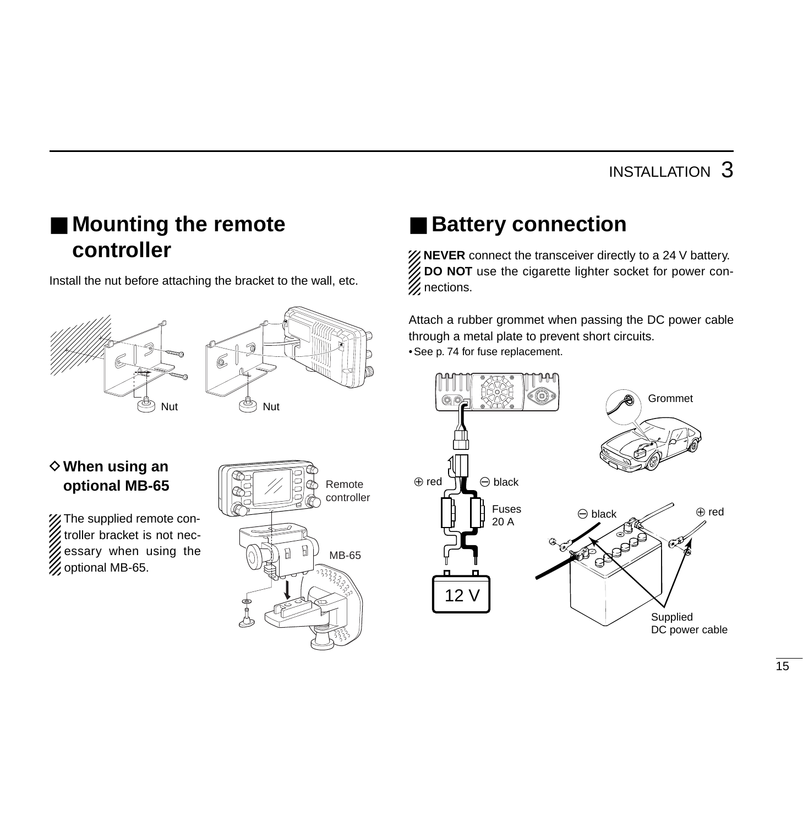### INSTALLATION 3

### ■ **Mounting the remote controller**

Install the nut before attaching the bracket to the wall, etc.





#### $\diamond$  When using an **optional MB-65**

X The supplied remote controller bracket is not necessary when using the **Z** optional MB-65.



### ■ **Battery connection**

*X* NEVER connect the transceiver directly to a 24 V battery. **DO NOT** use the cigarette lighter socket for power connections.

Attach a rubber grommet when passing the DC power cable through a metal plate to prevent short circuits. •See p. 74 for fuse replacement.

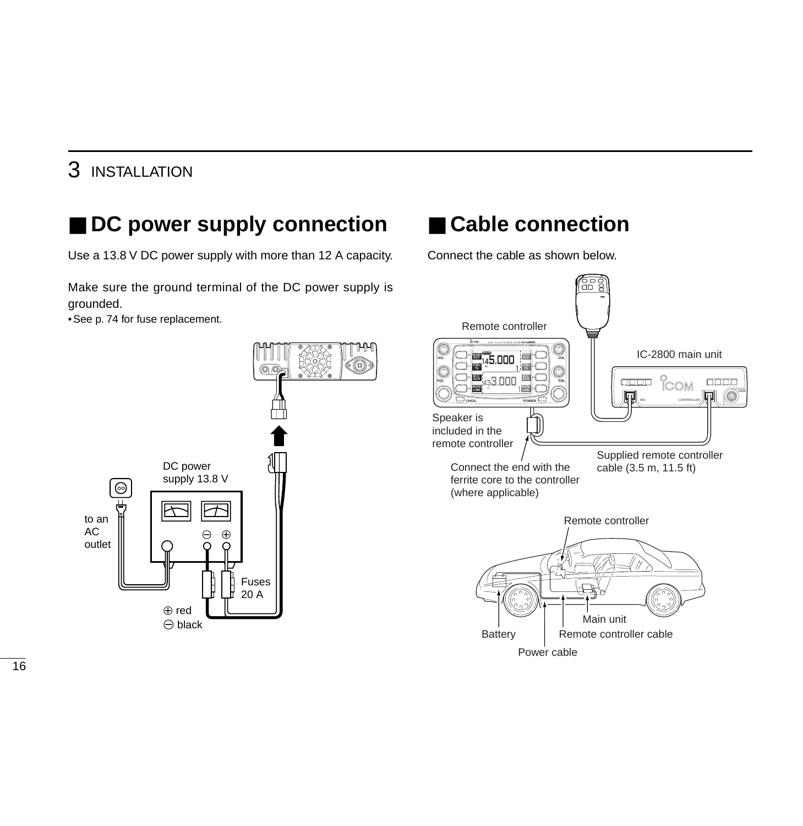### 3 INSTALLATION

### ■ **DC** power supply connection

Use a 13.8 V DC power supply with more than 12 A capacity.

Make sure the ground terminal of the DC power supply is grounded.

•See p. 74 for fuse replacement.



### ■ Cable connection

Connect the cable as shown below.

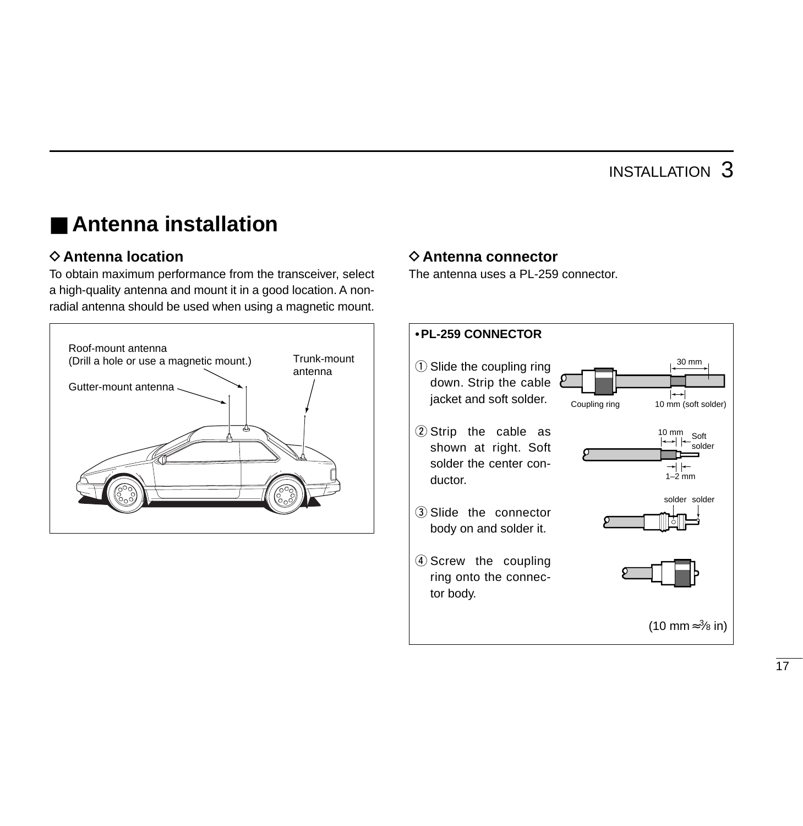### ■ **Antenna installation**

#### **♦ Antenna location**

To obtain maximum performance from the transceiver, select a high-quality antenna and mount it in a good location. A nonradial antenna should be used when using a magnetic mount.



#### **♦ Antenna connector**

The antenna uses a PL-259 connector.

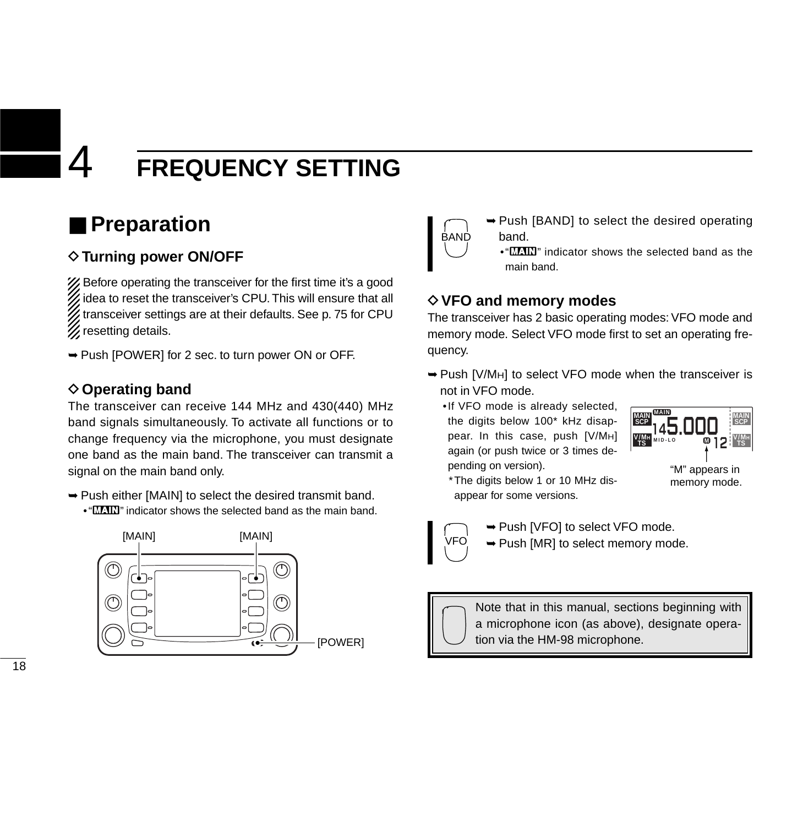### ■ **Preparation**

#### **◇ Turning power ON/OFF**

X Before operating the transceiver for the first time it's a good idea to reset the transceiver's CPU. This will ensure that all transceiver settings are at their defaults. See p. 75 for CPU **Z** resetting details.

➥Push [POWER] for 2 sec. to turn power ON or OFF.

#### **◇ Operating band**

The transceiver can receive 144 MHz and 430(440) MHz band signals simultaneously. To activate all functions or to change frequency via the microphone, you must designate one band as the main band. The transceiver can transmit a signal on the main band only.

- ➥Push either [MAIN] to select the desired transmit band.
	- " $\text{MLNN}$ " indicator shows the selected band as the main band.





- ➥Push [BAND] to select the desired operating band.
	- $\cdot$  " $\blacksquare\hspace{-0.1cm}\blacksquare$ " indicator shows the selected band as the main band.

#### **♦ VFO and memory modes**

The transceiver has 2 basic operating modes: VFO mode and memory mode. Select VFO mode first to set an operating frequency.

- ➥Push [V/MH] to select VFO mode when the transceiver is not in VFO mode.
	- •If VFO mode is already selected, the digits below 100\* kHz disappear. In this case, push [V/MH] again (or push twice or 3 times depending on version).



"M" appears in memory mode.

\*The digits below 1 or 10 MHz disappear for some versions.



➥Push [VFO] to select VFO mode. **► Push [MR] to select memory mode.** 



Note that in this manual, sections beginning with a microphone icon (as above), designate opera- $\mathsf{FOWER}$   $\mathbb{C}$  tion via the HM-98 microphone.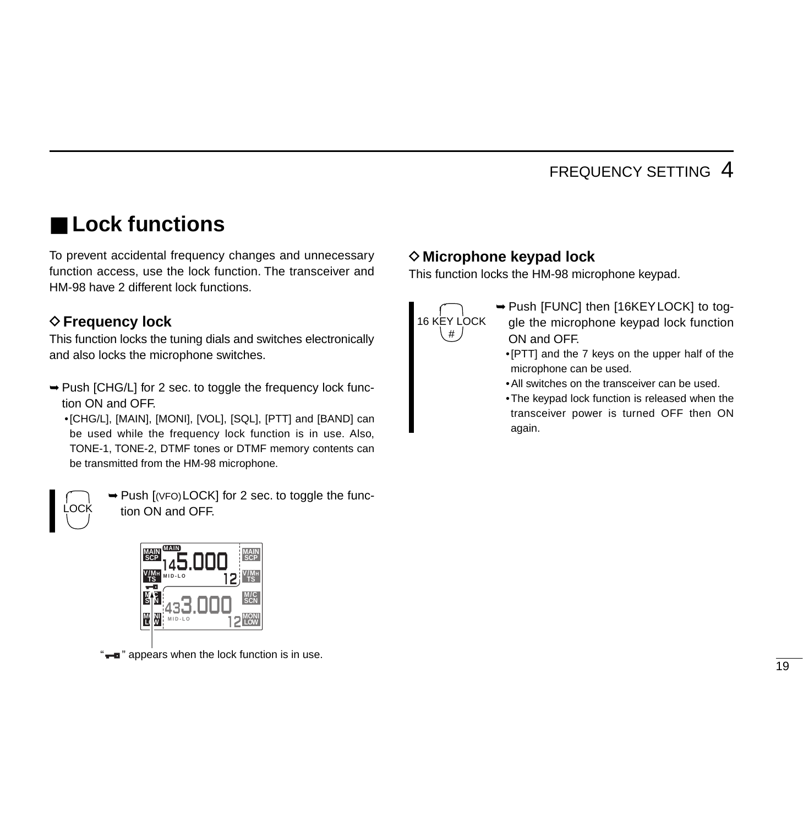### ■ **Lock functions**

To prevent accidental frequency changes and unnecessary function access, use the lock function. The transceiver and HM-98 have 2 different lock functions.

#### **♦ Frequency lock**

This function locks the tuning dials and switches electronically and also locks the microphone switches.

➥Push [CHG/L] for 2 sec. to toggle the frequency lock function ON and OFF.

•[CHG/L], [MAIN], [MONI], [VOL], [SQL], [PTT] and [BAND] can be used while the frequency lock function is in use. Also, TONE-1, TONE-2, DTMF tones or DTMF memory contents can be transmitted from the HM-98 microphone.



➥Push [(VFO)LOCK] for 2 sec. to toggle the function ON and OFF.



#### **◇ Microphone keypad lock**

This function locks the HM-98 microphone keypad.



- ➥Push [FUNC] then [16KEYLOCK] to toggle the microphone keypad lock function ON and OFF.
	- •[PTT] and the 7 keys on the upper half of the microphone can be used.
	- •All switches on the transceiver can be used.
	- •The keypad lock function is released when the transceiver power is turned OFF then ON again.

**a**" appears when the lock function is in use.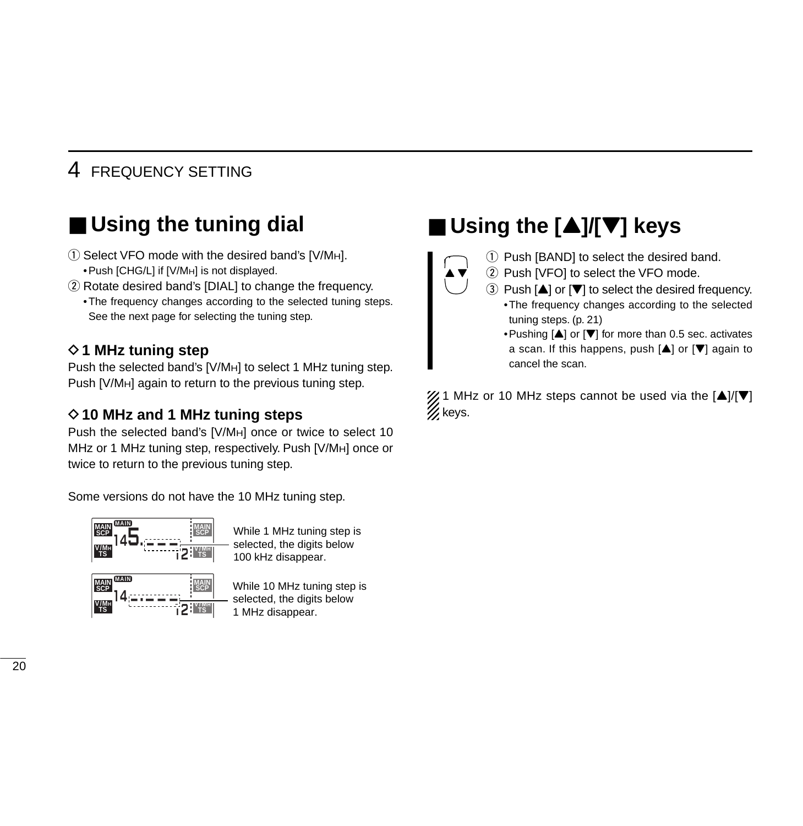### ■ Using the tuning dial

- $\circ$  Select VFO mode with the desired band's [V/MH]. •Push [CHG/L] if [V/MH] is not displayed.
- 2 Rotate desired band's [DIAL] to change the frequency.
	- •The frequency changes according to the selected tuning steps. See the next page for selecting the tuning step.

#### **◇ 1 MHz tuning step**

Push the selected band's [V/MH] to select 1 MHz tuning step. Push [V/MH] again to return to the previous tuning step.

#### **◇10 MHz and 1 MHz tuning steps**

Push the selected band's [V/MH] once or twice to select 10 MHz or 1 MHz tuning step, respectively. Push [V/MH] once or twice to return to the previous tuning step.

Some versions do not have the 10 MHz tuning step.



While 1 MHz tuning step is selected, the digits below 100 kHz disappear.



While 10 MHz tuning step is selected, the digits below 1 MHz disappear.

### ■ Using the [**A**]/[**V**] keys



- $\Omega$  Push [BAND] to select the desired band.
- (2) Push [VFO] to select the VFO mode.
- $\Omega$  Push  $[\triangle]$  or  $[\nabla]$  to select the desired frequency. •The frequency changes according to the selected tuning steps. (p. 21)
	- •Pushing  $[\triangle]$  or  $[\triangledown]$  for more than 0.5 sec. activates a scan. If this happens, push  $[4]$  or  $[\nabla]$  again to cancel the scan.

 $\mathcal{U}$  1 MHz or 10 MHz steps cannot be used via the  $[\triangle]/[\nabla]$  $\mathscr{U}$  keys.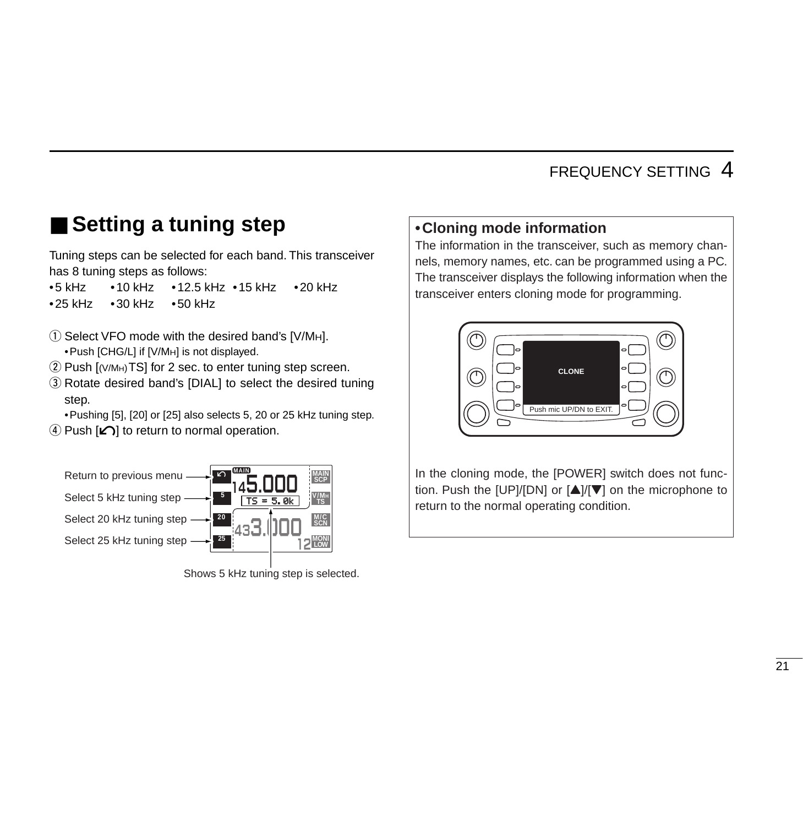### ■ Setting a tuning step

Tuning steps can be selected for each band. This transceiver has 8 tuning steps as follows:

•5 kHz •10 kHz •12.5 kHz •15 kHz •20 kHz •25 kHz •30 kHz •50 kHz

- $\Omega$  Select VFO mode with the desired band's [V/MH]. •Push [CHG/L] if [V/MH] is not displayed.
- $(2)$  Push  $[(V/M_H)TS]$  for 2 sec. to enter tuning step screen.
- 3) Rotate desired band's [DIAL] to select the desired tuning step.

•Pushing [5], [20] or [25] also selects 5, 20 or 25 kHz tuning step.  $\Omega$  Push  $\Omega$  to return to normal operation.



Shows 5 kHz tuning step is selected.

#### **•Cloning mode information**

The information in the transceiver, such as memory channels, memory names, etc. can be programmed using a PC. The transceiver displays the following information when the transceiver enters cloning mode for programming.



In the cloning mode, the [POWER] switch does not function. Push the [UP]/[DN] or  $[\triangle]/[\nabla]$  on the microphone to return to the normal operating condition.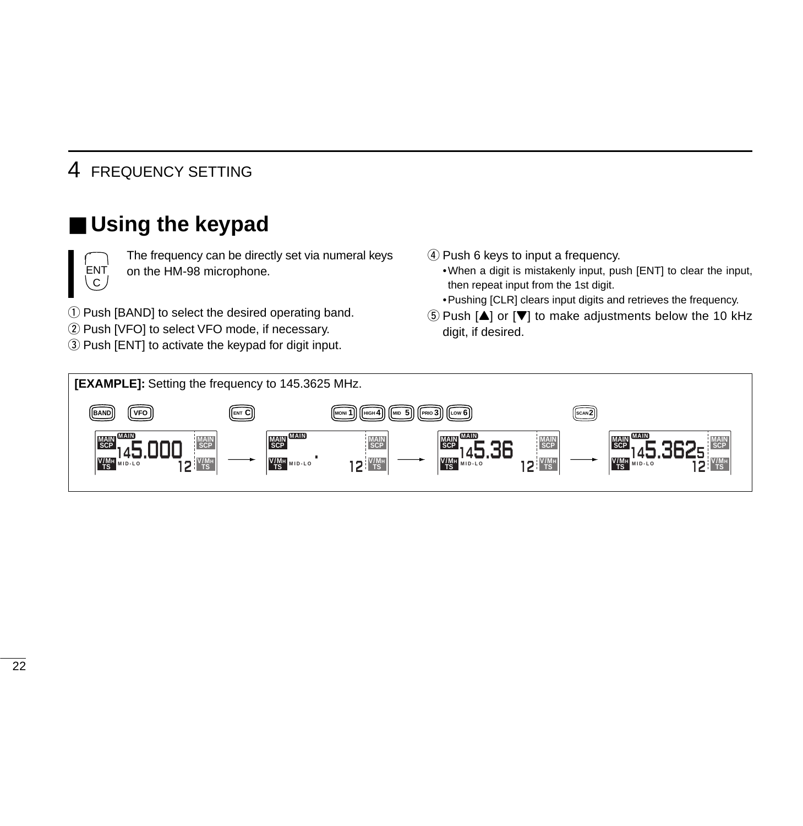### ■ Using the keypad



The frequency can be directly set via numeral keys on the HM-98 microphone.

q Push [BAND] to select the desired operating band.

- 2 Push [VFO] to select VFO mode, if necessary.
- 3) Push [ENT] to activate the keypad for digit input.
- 4) Push 6 keys to input a frequency.
	- •When a digit is mistakenly input, push [ENT] to clear the input, then repeat input from the 1st digit.
	- •Pushing [CLR] clears input digits and retrieves the frequency.
- $\delta$  Push  $[A]$  or  $[\nabla]$  to make adjustments below the 10 kHz digit, if desired.

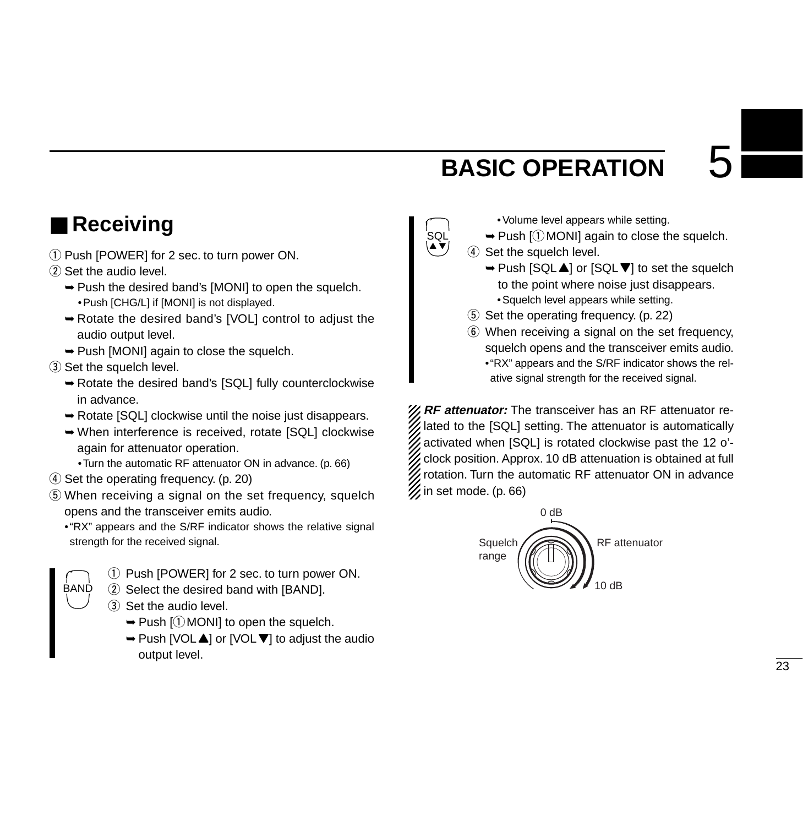### **BASIC OPERATION**

### ■ **Receiving**

- $\Omega$  Push [POWER] for 2 sec. to turn power ON.
- $(2)$  Set the audio level.
	- ➥Push the desired band's [MONI] to open the squelch. •Push [CHG/L] if [MONI] is not displayed.
	- ➥Rotate the desired band's [VOL] control to adjust the audio output level.
	- ➥Push [MONI] again to close the squelch.
- 3 Set the squelch level.
	- ➥Rotate the desired band's [SQL] fully counterclockwise in advance.
	- ➥Rotate [SQL] clockwise until the noise just disappears.
	- ➥When interference is received, rotate [SQL] clockwise again for attenuator operation.
		- •Turn the automatic RF attenuator ON in advance. (p. 66)
- $\overline{a}$ ) Set the operating frequency. (p. 20)
- $\circ$  When receiving a signal on the set frequency, squelch opens and the transceiver emits audio.
	- •"RX" appears and the S/RF indicator shows the relative signal strength for the received signal.
	- BAND
- $\Omega$  Push [POWER] for 2 sec. to turn power ON.
- 2 Select the desired band with [BAND].
- 3 Set the audio level.
	- $\rightarrow$  Push [ $\odot$  MONI] to open the squelch.
	- ➥Push [VOLY] or [VOLZ] to adjust the audio output level.
- •Volume level appears while setting.
- $\rightarrow$  Push [ $\odot$  MONI] again to close the squelch.
- 4 Set the squelch level.

SQL  $\blacktriangle$   $\blacktriangledown$ 

- $\rightarrow$  Push [SQL $\blacktriangle$ ] or [SQL $\nabla$ ] to set the squelch to the point where noise just disappears.
	- •Squelch level appears while setting.
- 5 Set the operating frequency. (p. 22)
- $\circled{6}$  When receiving a signal on the set frequency, squelch opens and the transceiver emits audio. •"RX" appears and the S/RF indicator shows the relative signal strength for the received signal.

**Z RF attenuator:** The transceiver has an RF attenuator re- $\mathscr G$  lated to the [SQL] setting. The attenuator is automatically  $\mathbb Z$  activated when [SQL] is rotated clockwise past the 12 o'clock position. Approx. 10 dB attenuation is obtained at full X rotation. Turn the automatic RF attenuator ON in advance  $\mathcal{U}$  in set mode. (p. 66)

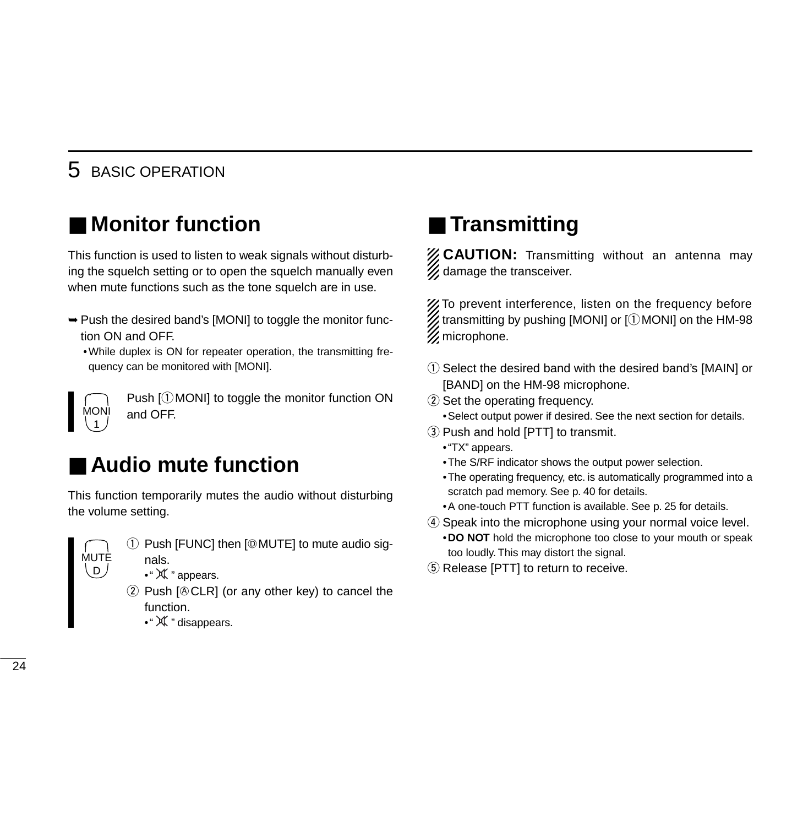### 5 BASIC OPERATION

### ■ **Monitor function**

This function is used to listen to weak signals without disturbing the squelch setting or to open the squelch manually even when mute functions such as the tone squelch are in use.

- ➥Push the desired band's [MONI] to toggle the monitor function ON and OFF.
	- •While duplex is ON for repeater operation, the transmitting frequency can be monitored with [MONI].

Push  $[$ (1) MONI] to toggle the monitor function ON and OFF.

### ■ **Audio mute function**

This function temporarily mutes the audio without disturbing the volume setting.



MONI 1

> $\circled{1}$  Push [FUNC] then [ $\circled{MUTE}$ ] to mute audio signals.

- ●" 从 " appears.
- Push  $[@CLR]$  (or any other key) to cancel the function.
	- •" 从 " disappears.

### ■ **Transmitting**

*Z* CAUTION: Transmitting without an antenna mav  $\mathcal{U}$  damage the transceiver.

X To prevent interference, listen on the frequency before  $\mathcal{\mathscr{U}}$  transmitting by pushing [MONI] or [ $\mathbb{0}$ MONI] on the HM-98  $\mathscr U$  microphone.

- $\Omega$  Select the desired band with the desired band's [MAIN] or [BAND] on the HM-98 microphone.
- 2 Set the operating frequency.
	- •Select output power if desired. See the next section for details.
- e Push and hold [PTT] to transmit.
	- •"TX" appears.
	- •The S/RF indicator shows the output power selection.
	- •The operating frequency, etc. is automatically programmed into a scratch pad memory. See p. 40 for details.
	- •A one-touch PTT function is available. See p. 25 for details.
- r Speak into the microphone using your normal voice level. •**DO NOT** hold the microphone too close to your mouth or speak too loudly. This may distort the signal.
- **5** Release [PTT] to return to receive.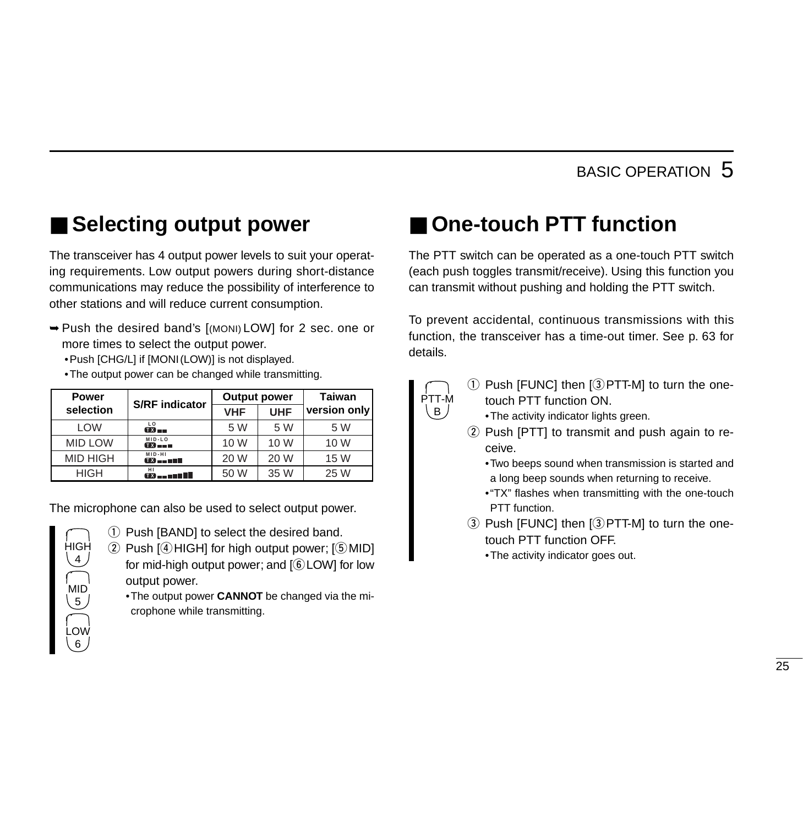### ■ Selecting output power

The transceiver has 4 output power levels to suit your operating requirements. Low output powers during short-distance communications may reduce the possibility of interference to other stations and will reduce current consumption.

- ➥Push the desired band's [(MONI) LOW] for 2 sec. one or more times to select the output power.
	- •Push [CHG/L] if [MONI(LOW)] is not displayed.
	- •The output power can be changed while transmitting.

| <b>Power</b>    | <b>S/RF</b> indicator                 | <b>Output power</b> |            | <b>Taiwan</b> |  |  |
|-----------------|---------------------------------------|---------------------|------------|---------------|--|--|
| selection       |                                       | <b>VHF</b>          | <b>UHF</b> | version only  |  |  |
| <b>LOW</b>      | LO<br>$Tx =$                          | 5 W                 | 5 W        | 5 W           |  |  |
| <b>MID LOW</b>  | $MID-LO$<br>$\mathbf{m}_{\mathbf{m}}$ | 10 W                | 10 W       | 10 W          |  |  |
| <b>MID HIGH</b> | MID-HI<br>$T X = T T T$               | 20 W                | 20 W       | 15 W          |  |  |
| <b>HIGH</b>     | HI                                    | 50 W                | 35 W       | 25 W          |  |  |

The microphone can also be used to select output power.



- $\Omega$  Push [BAND] to select the desired band.
- $\Omega$  Push  $\left[4\right]$  HIGH] for high output power;  $\left[5\right]$  MID] for mid-high output power; and  $[6$  LOW] for low output power.

•The output power **CANNOT** be changed via the microphone while transmitting.

### ■ One-touch PTT function

The PTT switch can be operated as a one-touch PTT switch (each push toggles transmit/receive). Using this function you can transmit without pushing and holding the PTT switch.

To prevent accidental, continuous transmissions with this function, the transceiver has a time-out timer. See p. 63 for details.



- $\Omega$  Push [FUNC] then [ $\Omega$  PTT-M] to turn the onetouch PTT function ON.
	- •The activity indicator lights green.
- $(2)$  Push [PTT] to transmit and push again to receive.

•Two beeps sound when transmission is started and a long beep sounds when returning to receive.

- •"TX" flashes when transmitting with the one-touch PTT function.
- $\overline{a}$ ) Push [FUNC] then  $\overline{a}$  [9] PTT-M] to turn the onetouch PTT function OFF.
	- •The activity indicator goes out.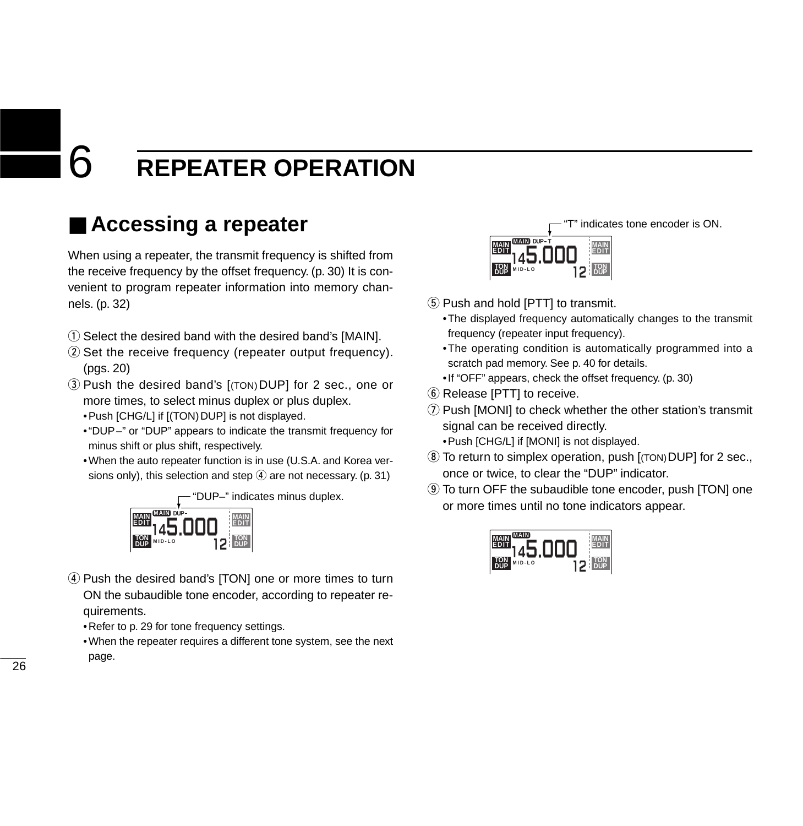### ■ **Accessing a repeater**

When using a repeater, the transmit frequency is shifted from the receive frequency by the offset frequency. (p. 30) It is convenient to program repeater information into memory channels. (p. 32)

- $\odot$  Select the desired band with the desired band's [MAIN].
- 2) Set the receive frequency (repeater output frequency). (pgs. 20)
- e Push the desired band's [(TON)DUP] for 2 sec., one or more times, to select minus duplex or plus duplex. • Push [CHG/L] if [(TON) DUP] is not displayed.
	- •"DUP–" or "DUP" appears to indicate the transmit frequency for minus shift or plus shift, respectively.
	- •When the auto repeater function is in use (U.S.A. and Korea versions only), this selection and step  $\overline{4}$  are not necessary. (p. 31)



- 4) Push the desired band's [TON] one or more times to turn ON the subaudible tone encoder, according to repeater requirements.
	- •Refer to p. 29 for tone frequency settings.
	- •When the repeater requires a different tone system, see the next page.



- **5** Push and hold [PTT] to transmit.
	- •The displayed frequency automatically changes to the transmit frequency (repeater input frequency).
	- •The operating condition is automatically programmed into a scratch pad memory. See p. 40 for details.
	- •If "OFF" appears, check the offset frequency. (p. 30)
- $\circled{6}$  Release [PTT] to receive.
- $\Omega$  Push [MONI] to check whether the other station's transmit signal can be received directly.
	- •Push [CHG/L] if [MONI] is not displayed.
- **(8) To return to simplex operation, push [(TON) DUP] for 2 sec.,** once or twice, to clear the "DUP" indicator.
- o To turn OFF the subaudible tone encoder, push [TON] one or more times until no tone indicators appear.

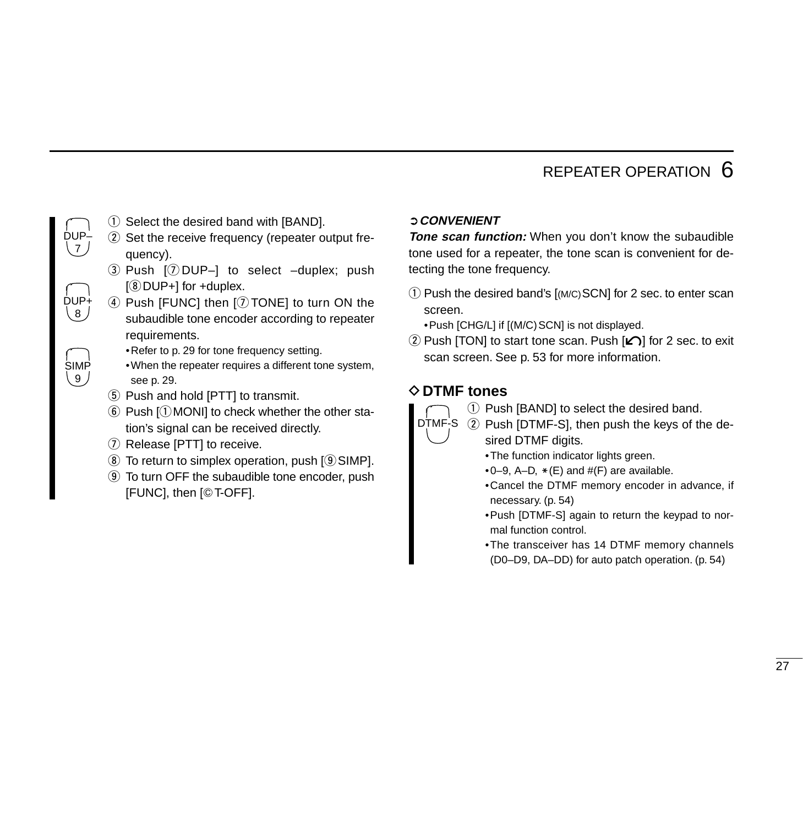$\sqrt{7}$ DUP+

 $(8)$ 

**SIMP** ر و \

DUP–

- $\odot$  Select the desired band with [BAND].
- $(2)$  Set the receive frequency (repeater output frequency).
- $\overline{a}$  Push  $\overline{v}$  DUP–] to select –duplex; push  $[③$  DUP+] for +duplex.
- $\overline{a}$  Push [FUNC] then [ $\overline{v}$  TONE] to turn ON the subaudible tone encoder according to repeater requirements.
	- •Refer to p. 29 for tone frequency setting.
	- •When the repeater requires a different tone system, see p. 29.
- **5** Push and hold [PTT] to transmit.
- $\circled{6}$  Push  $\circled{1}$  MONI] to check whether the other station's signal can be received directly.
- $\overline{O}$  Release [PTT] to receive.
- $\circledR$  To return to simplex operation, push  $\circledR$  SIMP].
- o To turn OFF the subaudible tone encoder, push [FUNC], then [GT-OFF].

#### ➲**CONVENIENT**

**Tone scan function:** When you don't know the subaudible tone used for a repeater, the tone scan is convenient for detecting the tone frequency.

 $\Omega$  Push the desired band's  $\Gamma(M/C)$ SCN] for 2 sec. to enter scan screen.

• Push [CHG/L] if [(M/C) SCN] is not displayed.

2 Push [TON] to start tone scan. Push  $\epsilon$ ] for 2 sec. to exit scan screen. See p. 53 for more information.

#### D**DTMF tones**

- $(1)$  Push [BAND] to select the desired band.
- DTMF-S ② Push [DTMF-S], then push the keys of the desired DTMF digits.
	- •The function indicator lights green.
	- $\bullet$  0–9, A–D,  $\ast$  (E) and  $\#$ (F) are available.
	- •Cancel the DTMF memory encoder in advance, if necessary. (p. 54)
	- •Push [DTMF-S] again to return the keypad to normal function control.
	- •The transceiver has 14 DTMF memory channels (D0–D9, DA–DD) for auto patch operation. (p. 54)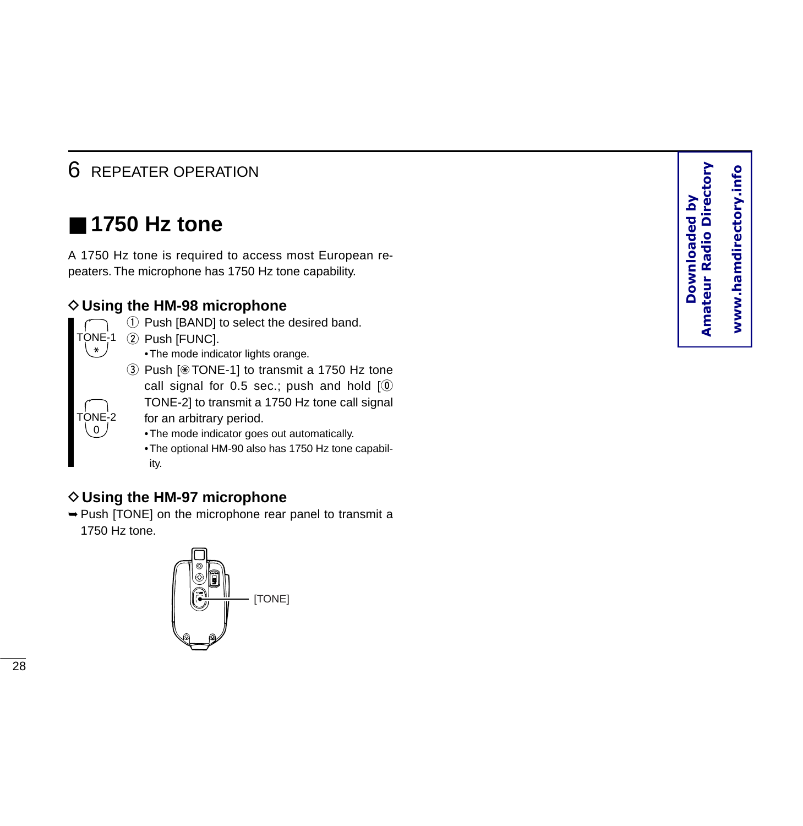### ■ **1750 Hz tone**

A 1750 Hz tone is required to access most European repeaters. The microphone has 1750 Hz tone capability.

#### **◇ Using the HM-98 microphone**

- TONE-1 M TONE-2 0
	- $\Omega$  Push [BAND] to select the desired band. 2 Push [FUNC].
		- •The mode indicator lights orange.
	- 3 Push [⊛TONE-1] to transmit a 1750 Hz tone call signal for 0.5 sec.; push and hold  $[①$ TONE-2] to transmit a 1750 Hz tone call signal
		- for an arbitrary period.
		- •The mode indicator goes out automatically.
		- •The optional HM-90 also has 1750 Hz tone capability.

#### **◇ Using the HM-97 microphone**

➥Push [TONE] on the microphone rear panel to transmit a 1750 Hz tone.

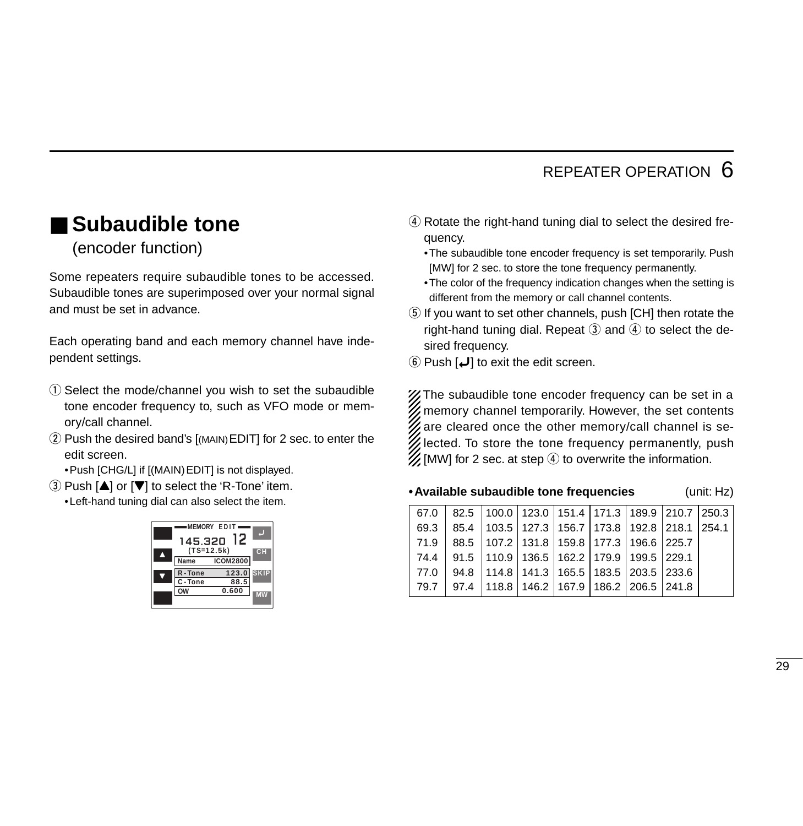### ■ Subaudible tone

(encoder function)

Some repeaters require subaudible tones to be accessed. Subaudible tones are superimposed over your normal signal and must be set in advance.

Each operating band and each memory channel have independent settings.

- $\Omega$  Select the mode/channel you wish to set the subaudible tone encoder frequency to, such as VFO mode or memory/call channel.
- (2) Push the desired band's [(MAIN) EDIT] for 2 sec. to enter the edit screen.

•Push [CHG/L] if [(MAIN)EDIT] is not displayed.

 $\Omega$  Push  $\Delta$  or  $\nabla$  to select the 'R-Tone' item.

•Left-hand tuning dial can also select the item.



- 4) Rotate the right-hand tuning dial to select the desired frequency.
	- •The subaudible tone encoder frequency is set temporarily. Push [MW] for 2 sec. to store the tone frequency permanently.
	- •The color of the frequency indication changes when the setting is different from the memory or call channel contents.
- **5** If you want to set other channels, push [CH] then rotate the right-hand tuning dial. Repeat  $\circled{3}$  and  $\circled{4}$  to select the desired frequency.
- $\Theta$  Push  $\Box$  to exit the edit screen.

X The subaudible tone encoder frequency can be set in a  $\mathscr U$  memory channel temporarily. However, the set contents  $\mathscr G$  are cleared once the other memory/call channel is selected. To store the tone frequency permanently, push  $\mathcal{U}$  [MW] for 2 sec. at step  $\Phi$  to overwrite the information.

#### **•Available subaudible tone frequencies** (unit: Hz)

|           | 67.0 | 82.5 |                                               |  |                                               | 100.0   123.0   151.4   171.3   189.9   210.7   250.3 |       |
|-----------|------|------|-----------------------------------------------|--|-----------------------------------------------|-------------------------------------------------------|-------|
|           | 69.3 | 85.4 |                                               |  | 103.5   127.3   156.7   173.8   192.8   218.1 |                                                       | 254.1 |
|           | 71.9 | 88.5 |                                               |  | 107.2   131.8   159.8   177.3   196.6   225.7 |                                                       |       |
| ЭH.       | 74.4 | 91.5 | 110.9   136.5   162.2   179.9   199.5   229.1 |  |                                               |                                                       |       |
| KIP       | 77.0 | 94.8 |                                               |  | 114.8   141.3   165.5   183.5   203.5   233.6 |                                                       |       |
| <b>AW</b> | 79.7 | 97.4 |                                               |  | 118.8   146.2   167.9   186.2   206.5   241.8 |                                                       |       |
|           |      |      |                                               |  |                                               |                                                       |       |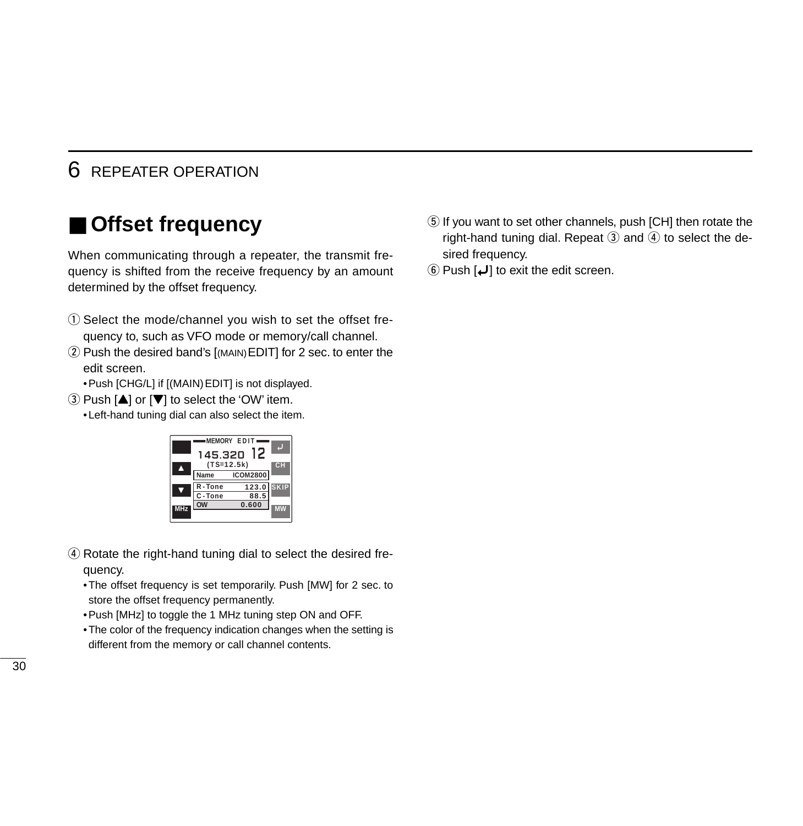### ■ **Offset frequency**

When communicating through a repeater, the transmit frequency is shifted from the receive frequency by an amount determined by the offset frequency.

- q Select the mode/channel you wish to set the offset frequency to, such as VFO mode or memory/call channel.
- 2 Push the desired band's [(MAIN) EDIT] for 2 sec. to enter the edit screen.

•Push [CHG/L] if [(MAIN)EDIT] is not displayed.

 $(3)$  Push  $[4]$  or  $[\nabla]$  to select the 'OW' item.

•Left-hand tuning dial can also select the item.



- (4) Rotate the right-hand tuning dial to select the desired frequency.
	- •The offset frequency is set temporarily. Push [MW] for 2 sec. to store the offset frequency permanently.
	- •Push [MHz] to toggle the 1 MHz tuning step ON and OFF.
	- •The color of the frequency indication changes when the setting is different from the memory or call channel contents.
- **5** If you want to set other channels, push [CH] then rotate the right-hand tuning dial. Repeat  $\circled{3}$  and  $\circled{4}$  to select the desired frequency.
- $\left( \circled{b}$  Push  $\left[ \downarrow \right]$  to exit the edit screen.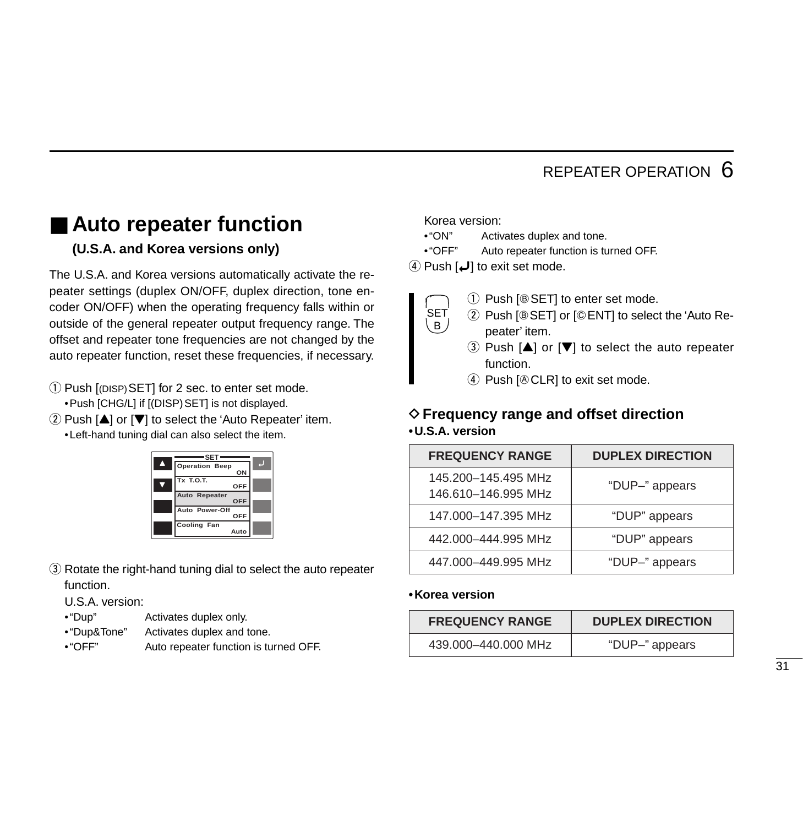#### ■ **Auto repeater function (U.S.A. and Korea versions only)**

The U.S.A. and Korea versions automatically activate the repeater settings (duplex ON/OFF, duplex direction, tone encoder ON/OFF) when the operating frequency falls within or outside of the general repeater output frequency range. The offset and repeater tone frequencies are not changed by the auto repeater function, reset these frequencies, if necessary.

q Push [(DISP)SET] for 2 sec. to enter set mode. •Push [CHG/L] if [(DISP)SET] is not displayed.

 $\Omega$  Push  $[\triangle]$  or  $[\nabla]$  to select the 'Auto Repeater' item.

•Left-hand tuning dial can also select the item.



(3) Rotate the right-hand tuning dial to select the auto repeater function.

U.S.A. version:

- •"Dup" Activates duplex only.
- •"Dup&Tone" Activates duplex and tone.
- •"OFF" Auto repeater function is turned OFF.

Korea version:

 $B$ .

- •"ON" Activates duplex and tone.
- •"OFF" Auto repeater function is turned OFF.

 $\overline{a}$  Push  $\overline{a}$  to exit set mode.

- $(i)$  Push  $[@SET]$  to enter set mode. **SET** 
	- $(2)$  Push [ $@$  SET] or [ $@$  ENT] to select the 'Auto Repeater' item.
		- $\Omega$  Push  $[\triangle]$  or  $[\nabla]$  to select the auto repeater function.
	- $\overline{4}$  Push  $\overline{[} \otimes$  CLR] to exit set mode.

#### D**Frequency range and offset direction •U.S.A. version**

| <b>FREQUENCY RANGE</b>                     | <b>DUPLEX DIRECTION</b> |
|--------------------------------------------|-------------------------|
| 145.200-145.495 MHz<br>146.610-146.995 MHz | "DUP-" appears          |
| 147.000-147.395 MHz                        | "DUP" appears           |
| 442.000-444.995 MHz                        | "DUP" appears           |
| 447.000-449.995 MHz                        | "DUP-" appears          |

#### **•Korea version**

| <b>FREQUENCY RANGE</b> | <b>DUPLEX DIRECTION</b> |
|------------------------|-------------------------|
| 439.000-440.000 MHz    | "DUP-" appears          |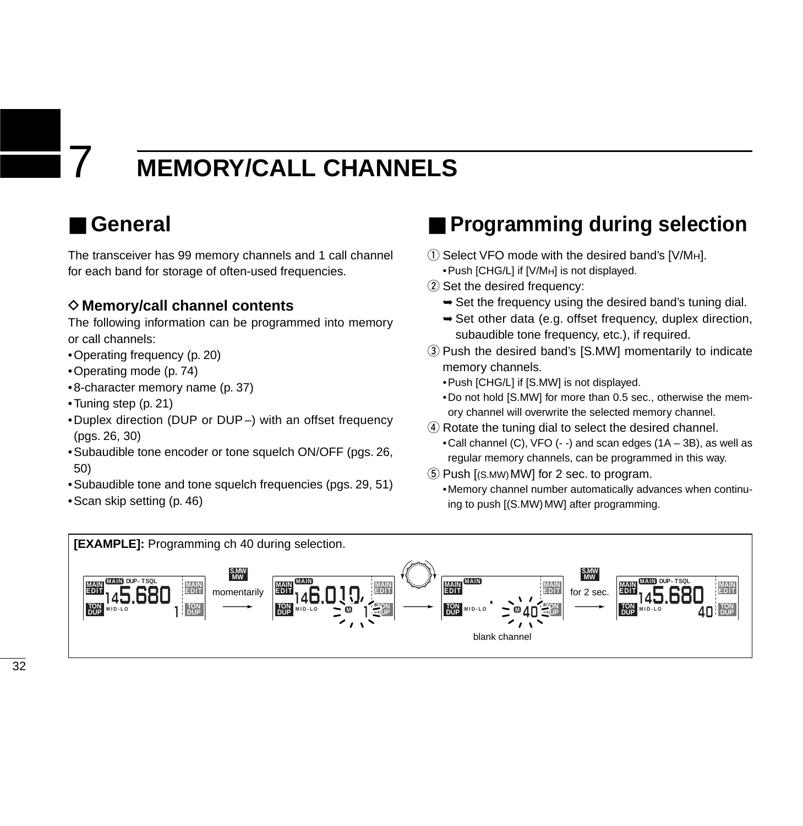### 7 **MEMORY/CALL CHANNELS**

### ■ **General**

The transceiver has 99 memory channels and 1 call channel for each band for storage of often-used frequencies.

#### **◇ Memory/call channel contents**

The following information can be programmed into memory or call channels:

- •Operating frequency (p. 20)
- •Operating mode (p. 74)
- •8-character memory name (p. 37)
- •Tuning step (p. 21)
- •Duplex direction (DUP or DUP –) with an offset frequency (pgs. 26, 30)
- •Subaudible tone encoder or tone squelch ON/OFF (pgs. 26, 50)
- •Subaudible tone and tone squelch frequencies (pgs. 29, 51)
- •Scan skip setting (p. 46)

### ■ **Programming during selection**

- $\circled{1}$  Select VFO mode with the desired band's [V/MH]. •Push [CHG/L] if [V/MH] is not displayed.
- 2 Set the desired frequency:
	- $\rightarrow$  Set the frequency using the desired band's tuning dial.
	- ➥Set other data (e.g. offset frequency, duplex direction, subaudible tone frequency, etc.), if required.
- 3) Push the desired band's [S.MW] momentarily to indicate memory channels.

•Push [CHG/L] if [S.MW] is not displayed.

- •Do not hold [S.MW] for more than 0.5 sec., otherwise the memory channel will overwrite the selected memory channel.
- (4) Rotate the tuning dial to select the desired channel.
	- •Call channel (C), VFO (- -) and scan edges (1A 3B), as well as regular memory channels, can be programmed in this way.
- $(5)$  Push  $[(S_MW)$  MWI for 2 sec. to program.
	- •Memory channel number automatically advances when continuing to push [(S.MW) MW] after programming.

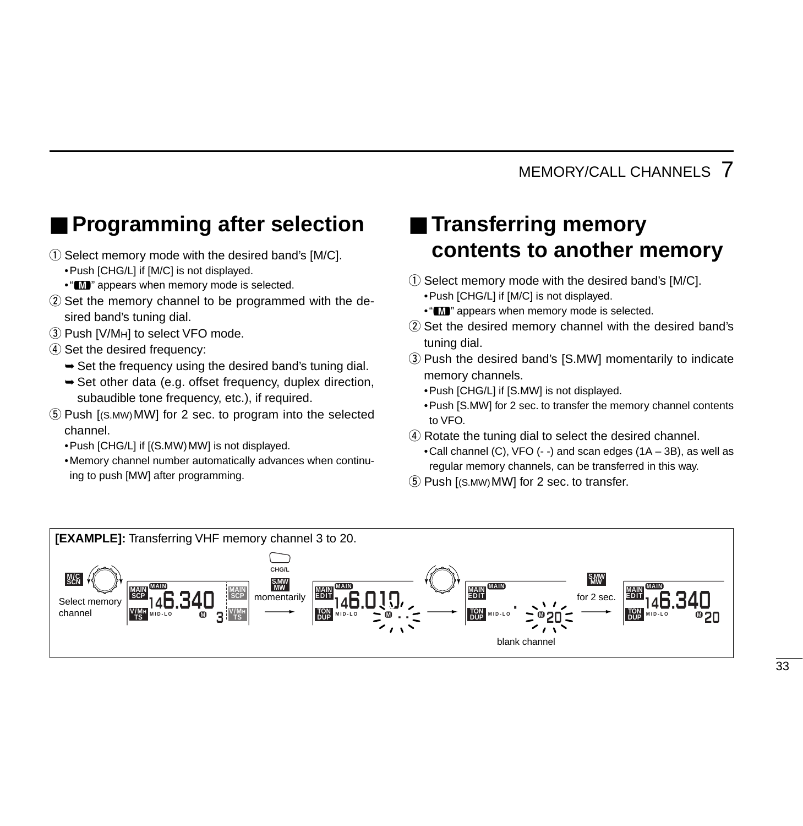# ■ **Programming after selection**

- $\Omega$  Select memory mode with the desired band's [M/C]. •Push [CHG/L] if [M/C] is not displayed.
	- " $\blacksquare$ " appears when memory mode is selected.
- $\Omega$  Set the memory channel to be programmed with the desired band's tuning dial.
- 3) Push [V/MH] to select VFO mode.
- $\sigma$  Set the desired frequency:
	- $\rightarrow$  Set the frequency using the desired band's tuning dial.
	- ➥Set other data (e.g. offset frequency, duplex direction, subaudible tone frequency, etc.), if required.
- $(5)$  Push  $[(s_Mw)MW]$  for 2 sec. to program into the selected channel.
	- •Push [CHG/L] if [(S.MW)MW] is not displayed.
	- •Memory channel number automatically advances when continuing to push [MW] after programming.

# ■ **Transferring memory contents to another memory**

- $\Omega$  Select memory mode with the desired band's [M/C]. •Push [CHG/L] if [M/C] is not displayed.
	- " $\blacksquare$ " appears when memory mode is selected.
- 2 Set the desired memory channel with the desired band's tuning dial.
- 3) Push the desired band's [S.MW] momentarily to indicate memory channels.

•Push [CHG/L] if [S.MW] is not displayed.

- •Push [S.MW] for 2 sec. to transfer the memory channel contents to VFO.
- (4) Rotate the tuning dial to select the desired channel.
	- •Call channel (C), VFO (- -) and scan edges (1A 3B), as well as regular memory channels, can be transferred in this way.
- $(5)$  Push  $[(S_MW)$  MW] for 2 sec. to transfer.

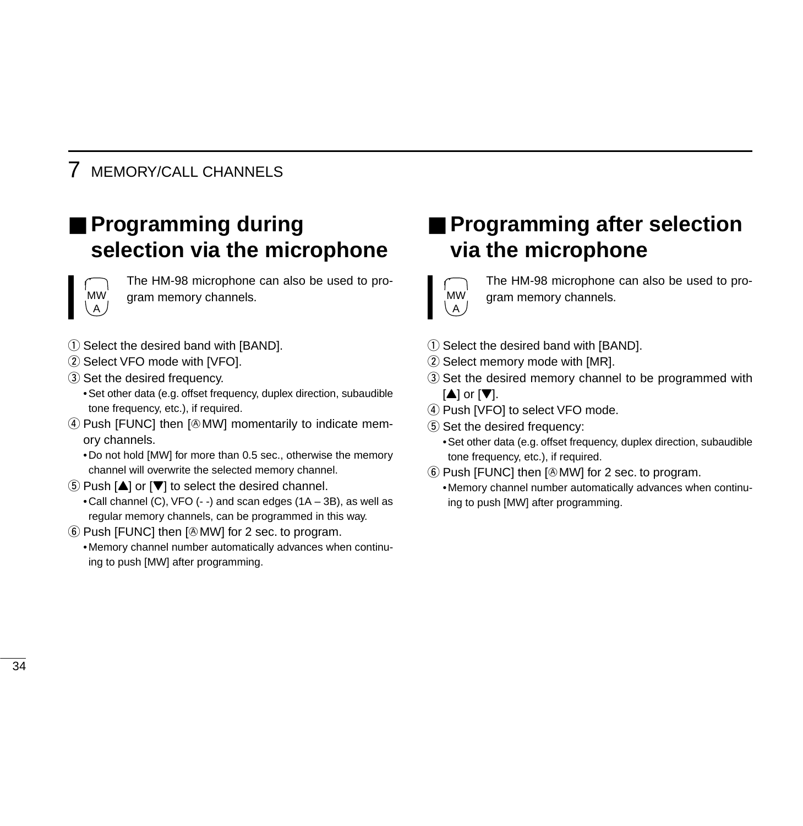# ■ **Programming during selection via the microphone**



The HM-98 microphone can also be used to program memory channels.

- $(1)$  Select the desired band with [BAND].
- (2) Select VFO mode with [VFO].
- 3) Set the desired frequency.

•Set other data (e.g. offset frequency, duplex direction, subaudible tone frequency, etc.), if required.

4) Push [FUNC] then [@MW] momentarily to indicate memory channels.

•Do not hold [MW] for more than 0.5 sec., otherwise the memory channel will overwrite the selected memory channel.

- $\boxed{5}$  Push  $\boxed{\blacktriangle}$  or  $\boxed{\blacktriangledown}$  to select the desired channel.
	- •Call channel (C), VFO (- -) and scan edges (1A 3B), as well as regular memory channels, can be programmed in this way.
- $\circ$  Push [FUNC] then  $\circ$  MW] for 2 sec. to program.
	- •Memory channel number automatically advances when continuing to push [MW] after programming.

# ■ **Programming after selection via the microphone**



The HM-98 microphone can also be used to program memory channels.

- $\Omega$  Select the desired band with [BAND].
- $(2)$  Select memory mode with [MR].
- (3) Set the desired memory channel to be programmed with  $[\triangle]$  or  $[\nabla]$ .
- (4) Push [VFO] to select VFO mode.
- (5) Set the desired frequency:
	- •Set other data (e.g. offset frequency, duplex direction, subaudible tone frequency, etc.), if required.
- $\circled{6}$  Push [FUNC] then [ $\circled{b}$  MW] for 2 sec. to program.
	- •Memory channel number automatically advances when continuing to push [MW] after programming.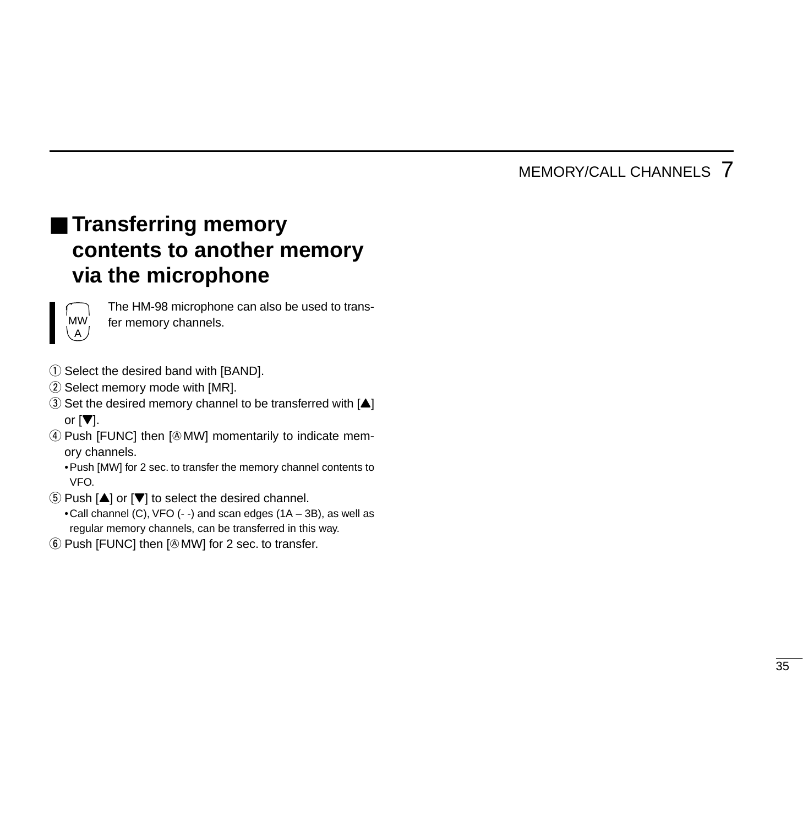# ■ **Transferring memory contents to another memory via the microphone**



The HM-98 microphone can also be used to transfer memory channels.

- 1) Select the desired band with [BAND].
- 2 Select memory mode with [MR].
- $\Im$  Set the desired memory channel to be transferred with  $[$ or  $[\nabla]$ .
- 4) Push [FUNC] then [@MW] momentarily to indicate memory channels.

•Push [MW] for 2 sec. to transfer the memory channel contents to VFO.

- $5$  Push  $[4]$  or  $[\nabla]$  to select the desired channel. •Call channel (C), VFO (- -) and scan edges (1A – 3B), as well as regular memory channels, can be transferred in this way.
- $\circled{6}$  Push [FUNC] then [ $\circled{b}$  MW] for 2 sec. to transfer.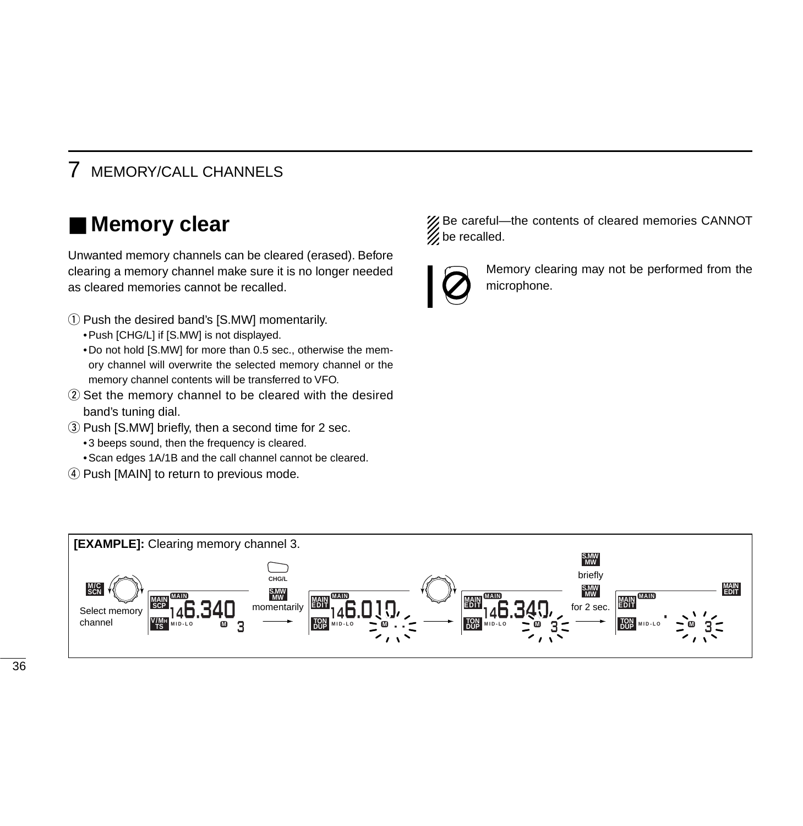### ■ **Memory clear**

Unwanted memory channels can be cleared (erased). Before clearing a memory channel make sure it is no longer needed as cleared memories cannot be recalled.

- $\Omega$  Push the desired band's [S.MW] momentarily.
	- •Push [CHG/L] if [S.MW] is not displayed.
	- •Do not hold [S.MW] for more than 0.5 sec., otherwise the memory channel will overwrite the selected memory channel or the memory channel contents will be transferred to VFO.
- 2) Set the memory channel to be cleared with the desired band's tuning dial.
- $\overline{a}$ ) Push IS.MWI briefly, then a second time for 2 sec.
	- •3 beeps sound, then the frequency is cleared.
	- •Scan edges 1A/1B and the call channel cannot be cleared.
- (4) Push [MAIN] to return to previous mode.

% Be careful—the contents of cleared memories CANNOT  $\mathscr{U}$  be recalled.



Memory clearing may not be performed from the microphone.

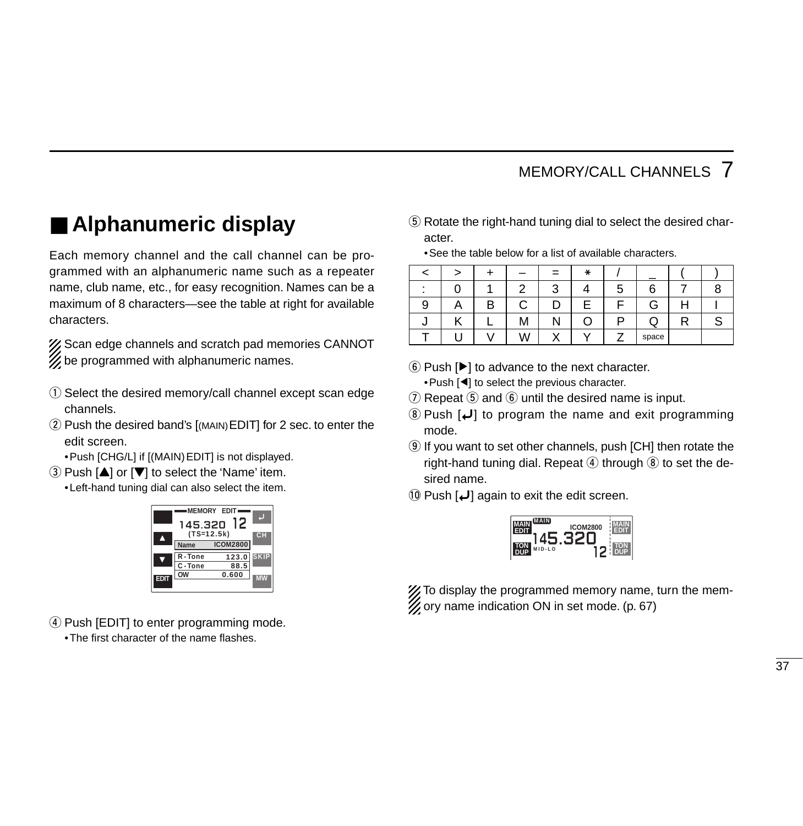# ■ **Alphanumeric display**

Each memory channel and the call channel can be programmed with an alphanumeric name such as a repeater name, club name, etc., for easy recognition. Names can be a maximum of 8 characters—see the table at right for available characters.

X Scan edge channels and scratch pad memories CANNOT  $\mathscr{U}$  be programmed with alphanumeric names.

- q Select the desired memory/call channel except scan edge channels.
- 2 Push the desired band's [(MAIN) EDIT] for 2 sec. to enter the edit screen.
	- •Push [CHG/L] if [(MAIN)EDIT] is not displayed.
- $\Omega$  Push  $\Delta$  or  $\nabla$  to select the 'Name' item.
	- •Left-hand tuning dial can also select the item.

| 145.320<br>$(TS=12.5k)$ | <b>MEMORY EDIT</b><br>12 |                   |
|-------------------------|--------------------------|-------------------|
| Name<br>R-Tone          | <b>ICOM2800</b><br>123.0 | cн<br><b>SKIP</b> |
| C-Tone                  | 88.5<br>0.600            |                   |
|                         |                          |                   |

 $\overline{a}$ ) Push [EDIT] to enter programming mode. •The first character of the name flashes.

**5**) Rotate the right-hand tuning dial to select the desired character.

•See the table below for a list of available characters.

|   |   |            |        | ∗ |        |       |     |  |
|---|---|------------|--------|---|--------|-------|-----|--|
|   |   | $\sqrt{2}$ | ◠<br>ື |   | -<br>G |       |     |  |
| 9 | n | ⌒          |        |   |        | G     | . . |  |
|   |   | М          |        |   |        | ◡     |     |  |
|   |   |            | ٠.     | v |        | space |     |  |

- $\circledS$  Push  $[\blacktriangleright]$  to advance to the next character. •Push [Ω] to select the previous character.
- $\overline{1}$  Repeat  $\overline{5}$  and  $\overline{6}$  until the desired name is input.
- $\Omega$  Push  $\Box$  to program the name and exit programming mode.
- **(9)** If you want to set other channels, push [CH] then rotate the right-hand tuning dial. Repeat  $\overline{4}$  through  $\overline{8}$  to set the desired name.
- $[0]$  Push  $[$ **L** $]$  again to exit the edit screen.



X To display the programmed memory name, turn the memory name indication ON in set mode. (p. 67)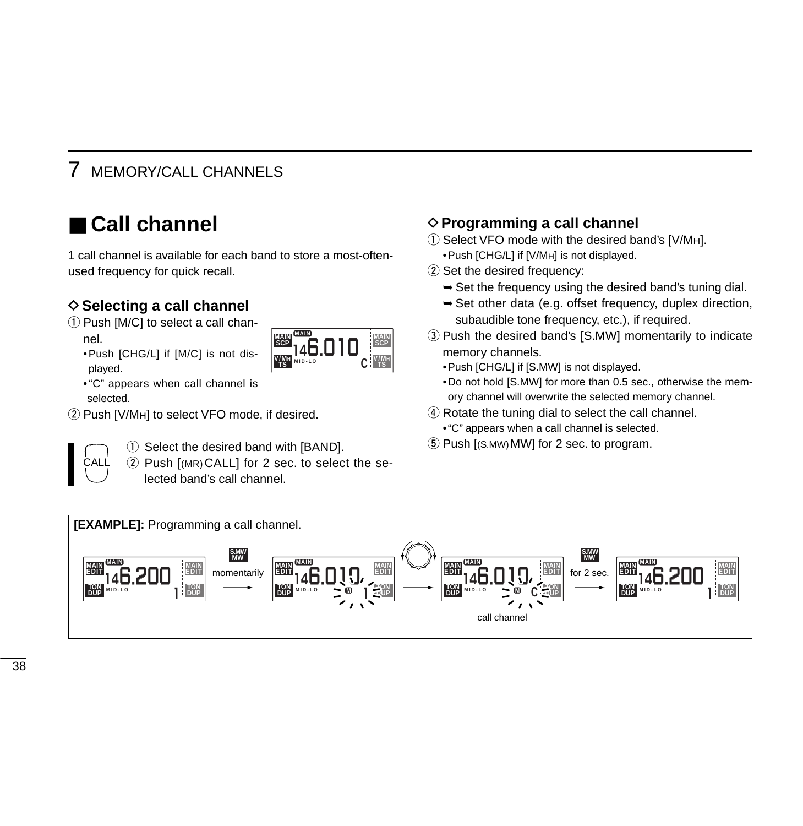# ■ **Call channel**

1 call channel is available for each band to store a most-oftenused frequency for quick recall.

### **♦ Selecting a call channel**

 $\odot$  Push [M/C] to select a call channel.



•"C" appears when call channel is selected.

•Push [CHG/L] if [M/C] is not dis-

(2) Push [V/MH] to select VFO mode, if desired.



played.

 $\Omega$  Select the desired band with [BAND].

 $(2)$  Push  $[MR)$ CALL] for 2 sec. to select the selected band's call channel.

### **♦ Programming a call channel**

- $\circ$  Select VFO mode with the desired band's [V/MH].
	- •Push [CHG/L] if [V/MH] is not displayed.
- 2 Set the desired frequency:
	- $\rightarrow$  Set the frequency using the desired band's tuning dial.
	- $\rightarrow$  Set other data (e.g. offset frequency, duplex direction, subaudible tone frequency, etc.), if required.
- 3) Push the desired band's [S.MW] momentarily to indicate memory channels.
	- •Push [CHG/L] if [S.MW] is not displayed.
	- •Do not hold [S.MW] for more than 0.5 sec., otherwise the memory channel will overwrite the selected memory channel.
- $\overline{a}$  Rotate the tuning dial to select the call channel.
	- •"C" appears when a call channel is selected.
- $5$  Push  $[(s. MW) MW]$  for 2 sec. to program.

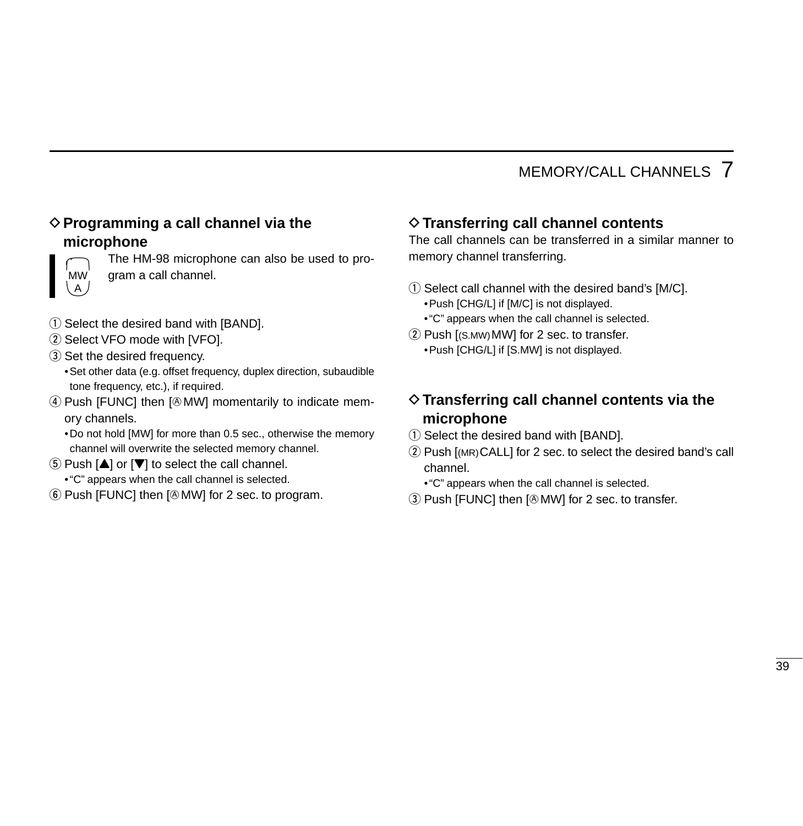#### D**Programming a call channel via the microphone**



The HM-98 microphone can also be used to program a call channel.

- q Select the desired band with [BAND].
- 2 Select VFO mode with [VFO].
- 3) Set the desired frequency.
	- •Set other data (e.g. offset frequency, duplex direction, subaudible tone frequency, etc.), if required.
- 4) Push [FUNC] then [@MW] momentarily to indicate memory channels.
	- •Do not hold [MW] for more than 0.5 sec., otherwise the memory channel will overwrite the selected memory channel.
- $\circled{5}$  Push  $[\triangle]$  or  $[\triangledown]$  to select the call channel.
	- •"C" appears when the call channel is selected.
- $\circledR$  Push [FUNC] then [ $\circledR$  MW] for 2 sec. to program.

### D**Transferring call channel contents**

The call channels can be transferred in a similar manner to memory channel transferring.

- $\Omega$  Select call channel with the desired band's [M/C]. •Push [CHG/L] if [M/C] is not displayed.
	- •"C" appears when the call channel is selected.
- $(2)$  Push  $[(S.MW)MW]$  for 2 sec. to transfer. •Push [CHG/L] if [S.MW] is not displayed.

### D**Transferring call channel contents via the microphone**

- q Select the desired band with [BAND].
- 2 Push [(MR) CALL] for 2 sec. to select the desired band's call channel.
	- •"C" appears when the call channel is selected.
- 3) Push [FUNC] then [@MW] for 2 sec. to transfer.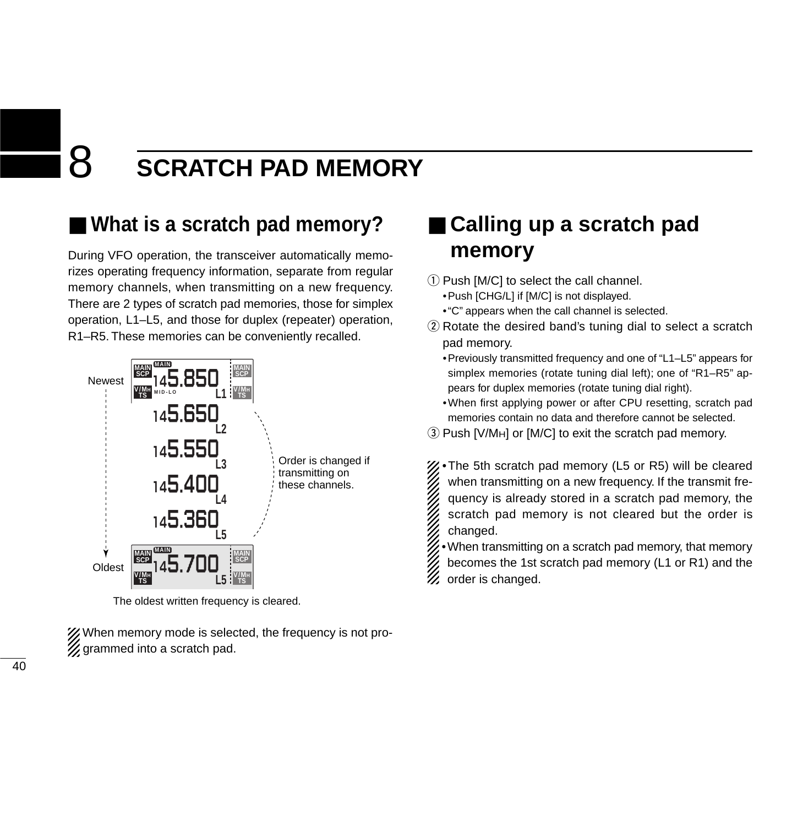# 8 **SCRATCH PAD MEMORY**

# ■ What is a scratch pad memory?

During VFO operation, the transceiver automatically memorizes operating frequency information, separate from regular memory channels, when transmitting on a new frequency. There are 2 types of scratch pad memories, those for simplex operation, L1–L5, and those for duplex (repeater) operation, R1–R5. These memories can be conveniently recalled.



The oldest written frequency is cleared.

X When memory mode is selected, the frequency is not pro- $\mathscr U$  grammed into a scratch pad.

# ■ **Calling up a scratch pad memory**

- $\Omega$  Push  $IM/CI$  to select the call channel. •Push [CHG/L] if [M/C] is not displayed.
	- •"C" appears when the call channel is selected.
- $Q$  Rotate the desired band's tuning dial to select a scratch pad memory.
	- •Previously transmitted frequency and one of "L1–L5" appears for simplex memories (rotate tuning dial left); one of "R1–R5" appears for duplex memories (rotate tuning dial right).
	- •When first applying power or after CPU resetting, scratch pad memories contain no data and therefore cannot be selected.

 $\Omega$  Push [V/M<sub>H</sub>] or [M/C] to exit the scratch pad memory.

•The 5th scratch pad memory (L5 or R5) will be cleared when transmitting on a new frequency. If the transmit frequency is already stored in a scratch pad memory, the scratch pad memory is not cleared but the order is changed.

•When transmitting on a scratch pad memory, that memory becomes the 1st scratch pad memory (L1 or R1) and the order is changed.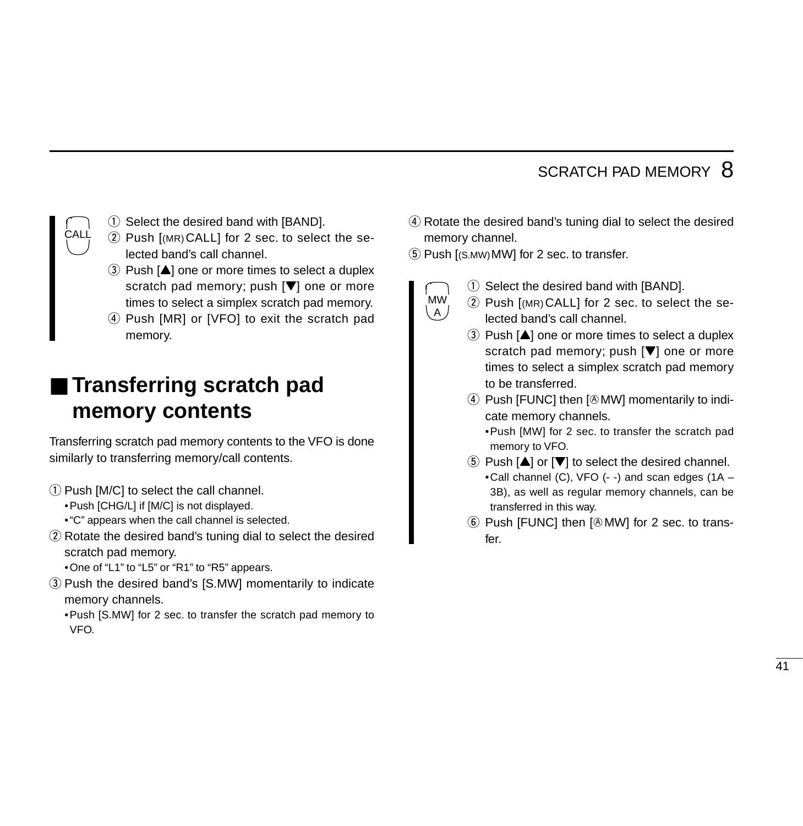### SCRATCH PAD MEMORY 8

- CALL
- $\odot$  Select the desired band with [BAND].
- 2 Push [(MR) CALL] for 2 sec. to select the selected band's call channel.
- $\Omega$  Push  $[4]$  one or more times to select a duplex scratch pad memory; push  $[\nabla]$  one or more times to select a simplex scratch pad memory.
- 4) Push [MR] or [VFO] to exit the scratch pad memory.

## ■ **Transferring scratch pad memory contents**

Transferring scratch pad memory contents to the VFO is done similarly to transferring memory/call contents.

- $(1)$  Push [M/C] to select the call channel.
	- •Push [CHG/L] if [M/C] is not displayed.
	- •"C" appears when the call channel is selected.
- 2 Rotate the desired band's tuning dial to select the desired scratch pad memory.
	- •One of "L1" to "L5" or "R1" to "R5" appears.
- 3) Push the desired band's [S.MW] momentarily to indicate memory channels.
	- •Push [S.MW] for 2 sec. to transfer the scratch pad memory to VFO.
- 4) Rotate the desired band's tuning dial to select the desired memory channel.
- **5** Push [(S.MW) MW] for 2 sec. to transfer.
	- MW

 $A$ 

- $\Omega$  Select the desired band with [BAND].
- 2 Push [(MR) CALL] for 2 sec. to select the selected band's call channel.
	- $\Omega$  Push  $[\triangle]$  one or more times to select a duplex scratch pad memory; push  $[\nabla]$  one or more times to select a simplex scratch pad memory to be transferred.
	- 4 Push [FUNC] then [@MW] momentarily to indicate memory channels.
		- •Push [MW] for 2 sec. to transfer the scratch pad memory to VFO.
	- $(5)$  Push  $[4]$  or  $[4]$  to select the desired channel. •Call channel (C), VFO (- -) and scan edges (1A – 3B), as well as regular memory channels, can be transferred in this way.
	- $(6)$  Push [FUNC] then  $[6$  MW] for 2 sec. to transfer.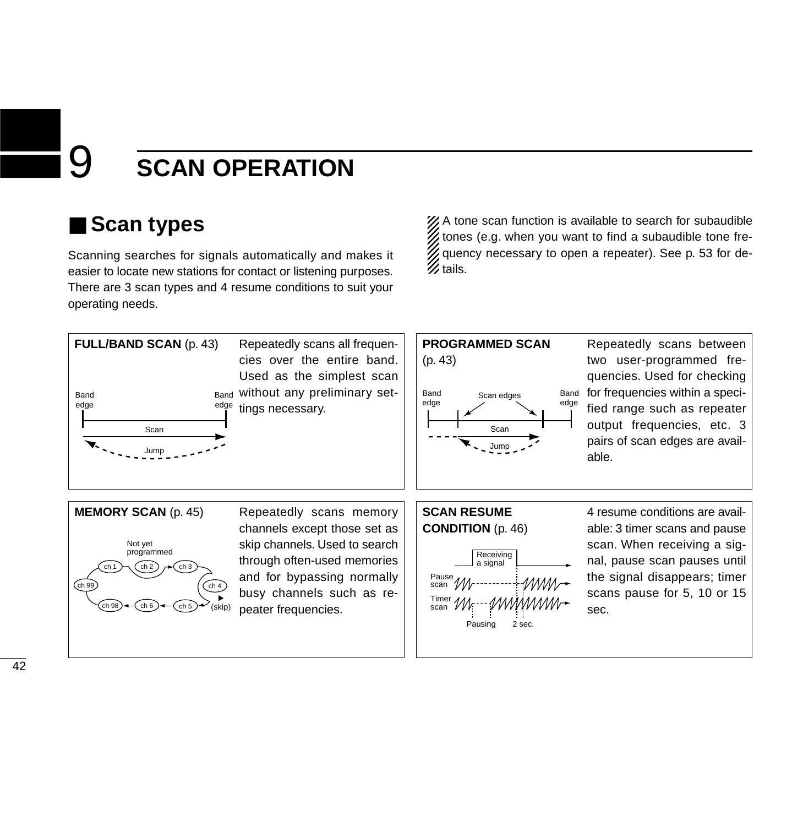# ■ **Scan types**

Scanning searches for signals automatically and makes it easier to locate new stations for contact or listening purposes. There are 3 scan types and 4 resume conditions to suit your operating needs.

XX A tone scan function is available to search for subaudible tones (e.g. when you want to find a subaudible tone frequency necessary to open a repeater). See p. 53 for de- $\mathscr{U}$  tails.



#### **PROGRAMMED SCAN**



Repeatedly scans between two user-programmed frequencies. Used for checking for frequencies within a specified range such as repeater output frequencies, etc. 3 pairs of scan edges are available.



channels except those set as skip channels. Used to search through often-used memories and for bypassing normally busy channels such as repeater frequencies.

#### **SCAN RESUME CONDITION** (p. 46)



4 resume conditions are available: 3 timer scans and pause scan. When receiving a signal, pause scan pauses until the signal disappears; timer scans pause for 5, 10 or 15 sec.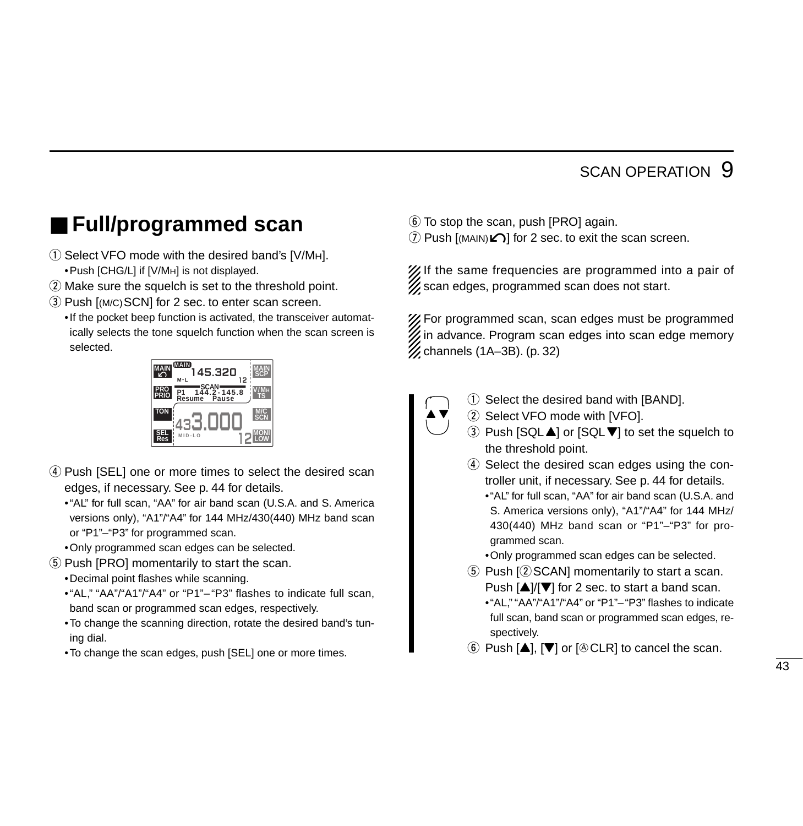# ■ **Full/programmed scan**

- $\circ$  Select VFO mode with the desired band's [V/MH]. •Push [CHG/L] if [V/MH] is not displayed.
- 2 Make sure the squelch is set to the threshold point.
- 3) Push [(M/C) SCN] for 2 sec. to enter scan screen.

•If the pocket beep function is activated, the transceiver automatically selects the tone squelch function when the scan screen is selected.



- 4) Push [SEL] one or more times to select the desired scan edges, if necessary. See p. 44 for details.
	- •"AL" for full scan, "AA" for air band scan (U.S.A. and S. America versions only), "A1"/"A4" for 144 MHz/430(440) MHz band scan or "P1"–"P3" for programmed scan.
	- •Only programmed scan edges can be selected.
- (5) Push [PRO] momentarily to start the scan.
	- •Decimal point flashes while scanning.
	- •"AL," "AA"/"A1"/"A4" or "P1"– "P3" flashes to indicate full scan, band scan or programmed scan edges, respectively.
	- •To change the scanning direction, rotate the desired band's tuning dial.
	- •To change the scan edges, push [SEL] one or more times.
- $\circled{6}$  To stop the scan, push [PRO] again.
- $\mathcal D$  Push [(MAIN) $\blacktriangle$ ] for 2 sec. to exit the scan screen.

X If the same frequencies are programmed into a pair of  $\mathscr{U}$  scan edges, programmed scan does not start.

For programmed scan, scan edges must be programmed  $\mathbb Z$  in advance. Program scan edges into scan edge memory  $\%$  channels (1A–3B). (p. 32)



- q Select the desired band with [BAND].
- 2 Select VFO mode with [VFO].
- ③ Push [SQL▲] or [SQL▼] to set the squelch to the threshold point.
- 4) Select the desired scan edges using the controller unit, if necessary. See p. 44 for details.
	- •"AL" for full scan, "AA" for air band scan (U.S.A. and S. America versions only), "A1"/"A4" for 144 MHz/ 430(440) MHz band scan or "P1"–"P3" for programmed scan.

•Only programmed scan edges can be selected.

- 5 Push [2 SCAN] momentarily to start a scan. Push [▲]/[▼] for 2 sec. to start a band scan. •"AL," "AA"/"A1"/"A4" or "P1"–"P3" flashes to indicate
	- full scan, band scan or programmed scan edges, respectively.
- $\circledS$  Push [ $\blacktriangle$ ], [ $\nabla$ ] or [ $\circledR$  CLR] to cancel the scan.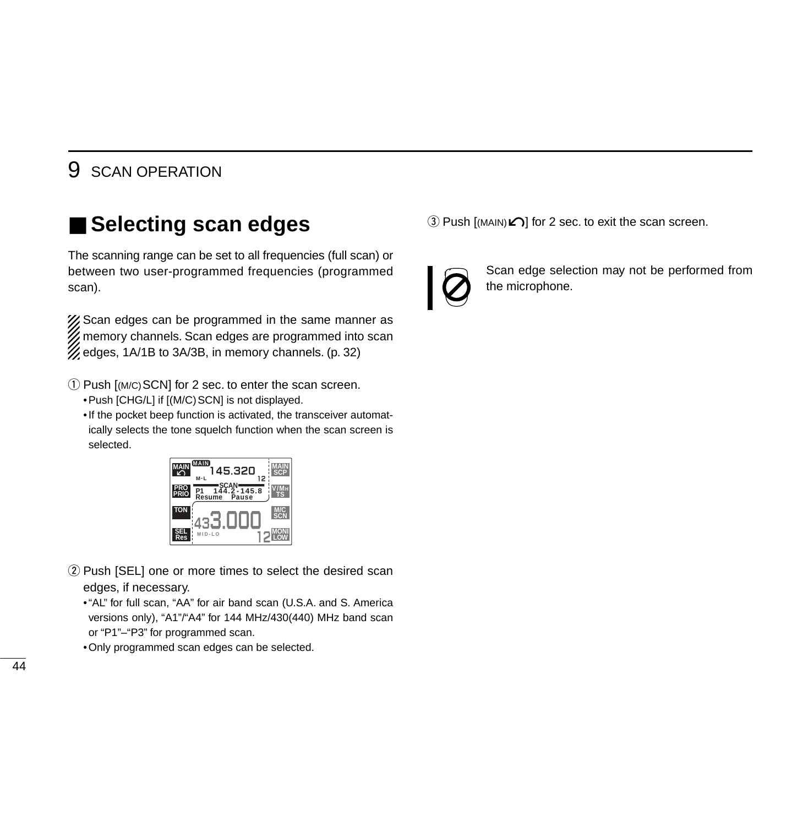# ■ Selecting scan edges

The scanning range can be set to all frequencies (full scan) or between two user-programmed frequencies (programmed scan).

XX Scan edges can be programmed in the same manner as **Example 10 Yunder** memory channels. Scan edges are programmed into scan  $\mathcal{U}$  edges, 1A/1B to 3A/3B, in memory channels. (p. 32)

- $\Omega$  Push [(M/C) SCN] for 2 sec. to enter the scan screen. • Push [CHG/L] if [(M/C) SCN] is not displayed.
	- •If the pocket beep function is activated, the transceiver automatically selects the tone squelch function when the scan screen is selected.



- (2) Push [SEL] one or more times to select the desired scan edges, if necessary.
	- •"AL" for full scan, "AA" for air band scan (U.S.A. and S. America versions only), "A1"/"A4" for 144 MHz/430(440) MHz band scan or "P1"–"P3" for programmed scan.
	- •Only programmed scan edges can be selected.

 $\textcircled{3}$  Push [(MAIN) $\textcircled{2}$ ] for 2 sec. to exit the scan screen.



Scan edge selection may not be performed from the microphone.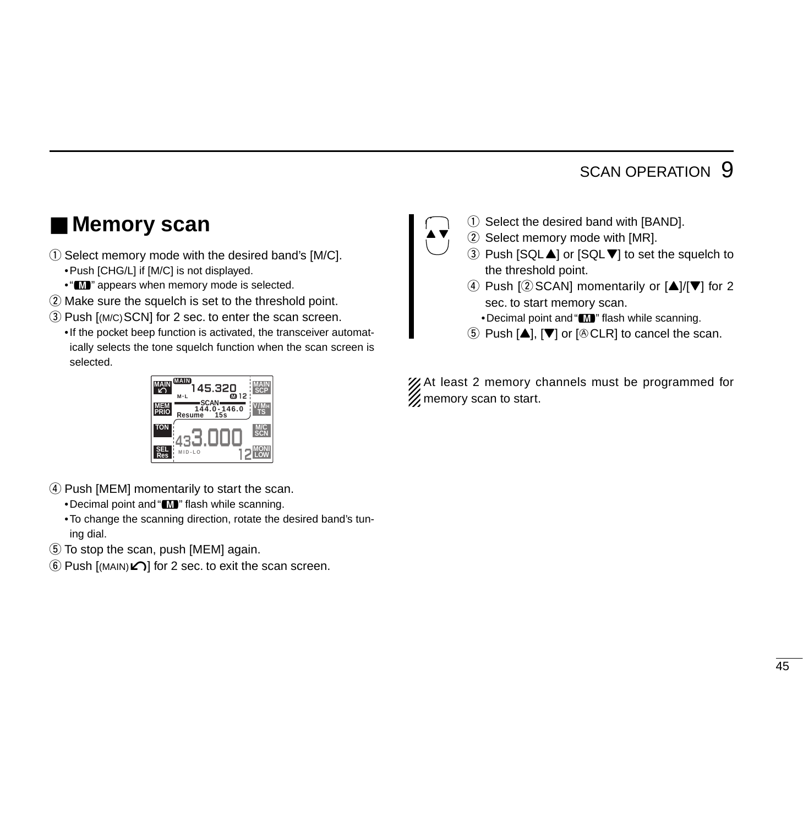### ■ Memory scan

- $\Omega$  Select memory mode with the desired band's [M/C]. •Push [CHG/L] if [M/C] is not displayed.
	- " $\blacksquare$ " appears when memory mode is selected.
- $\Omega$  Make sure the squelch is set to the threshold point.
- (3) Push [(M/C) SCN] for 2 sec. to enter the scan screen.
	- •If the pocket beep function is activated, the transceiver automatically selects the tone squelch function when the scan screen is selected.



- $\Omega$  Select the desired band with [BAND].
- $(2)$  Select memory mode with [MR].
- $\Omega$  Push [SQL $\triangle$ ] or [SQL $\nabla$ ] to set the squelch to the threshold point.
- 4) Push  $[2]$  SCAN] momentarily or  $[4]/[7]$  for 2 sec. to start memory scan.
	- •Decimal point and "M" flash while scanning.
- $\circled{5}$  Push  $[\triangle]$ ,  $[\nabla]$  or  $[\circled{6}$  CLR] to cancel the scan.

XX At least 2 memory channels must be programmed for **Z** memory scan to start.



- 4) Push [MEM] momentarily to start the scan.
	- •Decimal point and "M" flash while scanning.
	- •To change the scanning direction, rotate the desired band's tuning dial.
- **(5) To stop the scan, push [MEM] again.**
- $\circ$  Push [(MAIN) $\Omega$ ] for 2 sec. to exit the scan screen.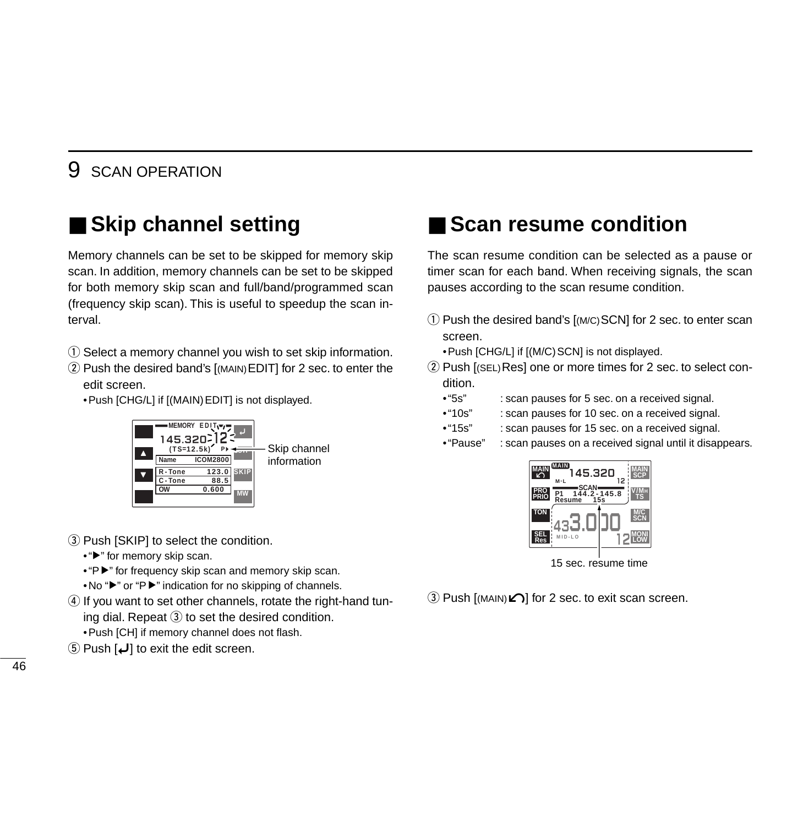# ■ **Skip channel setting**

Memory channels can be set to be skipped for memory skip scan. In addition, memory channels can be set to be skipped for both memory skip scan and full/band/programmed scan (frequency skip scan). This is useful to speedup the scan interval.

- q Select a memory channel you wish to set skip information.
- 2 Push the desired band's [(MAIN) EDIT] for 2 sec. to enter the edit screen.

•Push [CHG/L] if [(MAIN)EDIT] is not displayed.



- 3) Push [SKIP] to select the condition.
	- "►" for memory skip scan.
	- •"P►" for frequency skip scan and memory skip scan.
	- •No "≈" or "P≈" indication for no skipping of channels.
- **4**) If you want to set other channels, rotate the right-hand tuning dial. Repeat  $\Im$  to set the desired condition.
	- •Push [CH] if memory channel does not flash.
- 5 Push  $\left[\bigcup\right]$  to exit the edit screen.

## ■ Scan resume condition

The scan resume condition can be selected as a pause or timer scan for each band. When receiving signals, the scan pauses according to the scan resume condition.

- $\Omega$  Push the desired band's  $\Gamma(M/C)$ SCN] for 2 sec. to enter scan screen.
	- •Push [CHG/L] if [(M/C)SCN] is not displayed.
- 2 Push [(SEL) Res] one or more times for 2 sec. to select condition.
	- •"5s" : scan pauses for 5 sec. on a received signal.
	- •"10s" : scan pauses for 10 sec. on a received signal.
	- •"15s" : scan pauses for 15 sec. on a received signal.
	- •"Pause" : scan pauses on a received signal until it disappears.



15 sec. resume time

**EXECTS** Push  $\lceil$ (MAIN)*C*) for 2 sec. to exit scan screen.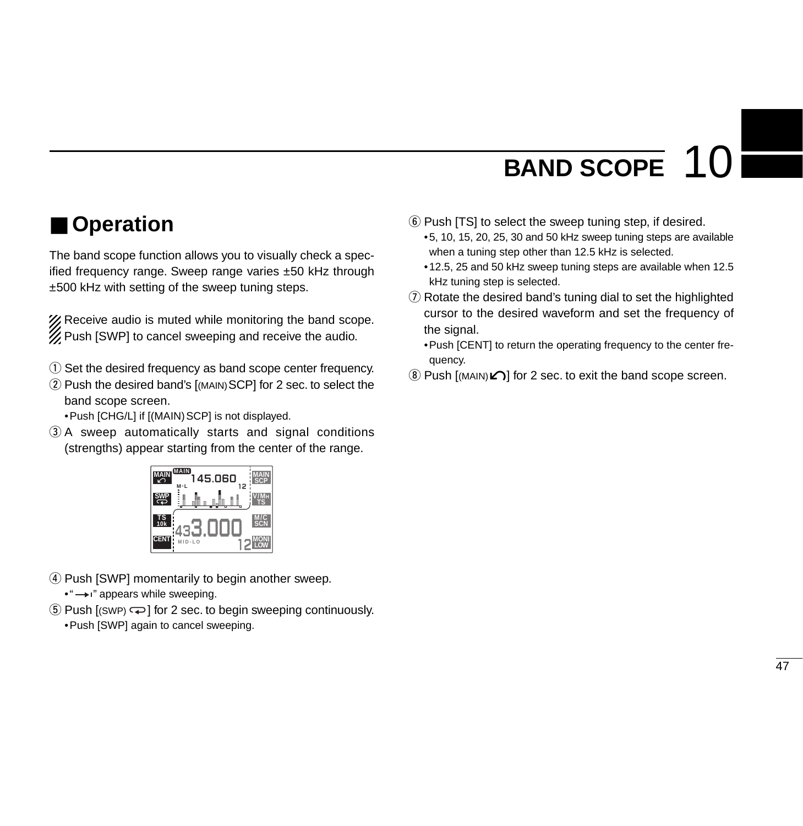# **BAND SCOPE** 10

# ■ **Operation**

The band scope function allows you to visually check a specified frequency range. Sweep range varies ±50 kHz through ±500 kHz with setting of the sweep tuning steps.

XX Receive audio is muted while monitoring the band scope. **Z** Push [SWP] to cancel sweeping and receive the audio.

- $\Omega$  Set the desired frequency as band scope center frequency.
- 2 Push the desired band's [(MAIN) SCP] for 2 sec. to select the band scope screen.

• Push [CHG/L] if [(MAIN) SCP] is not displayed.

 $(3)$  A sweep automatically starts and signal conditions (strengths) appear starting from the center of the range.



- 4) Push [SWP] momentarily to begin another sweep.
	- •" $\longrightarrow$  " appears while sweeping.
- $\circled{5}$  Push [(SWP)  $\rightleftharpoons$ ] for 2 sec. to begin sweeping continuously.
	- •Push [SWP] again to cancel sweeping.
- $\circ$  Push [TS] to select the sweep tuning step, if desired.
	- •5, 10, 15, 20, 25, 30 and 50 kHz sweep tuning steps are available when a tuning step other than 12.5 kHz is selected.
	- •12.5, 25 and 50 kHz sweep tuning steps are available when 12.5 kHz tuning step is selected.
- $\Omega$  Rotate the desired band's tuning dial to set the highlighted cursor to the desired waveform and set the frequency of the signal.
	- •Push [CENT] to return the operating frequency to the center frequency.
- $\circledR$  Push [(MAIN) $\Omega$ ] for 2 sec. to exit the band scope screen.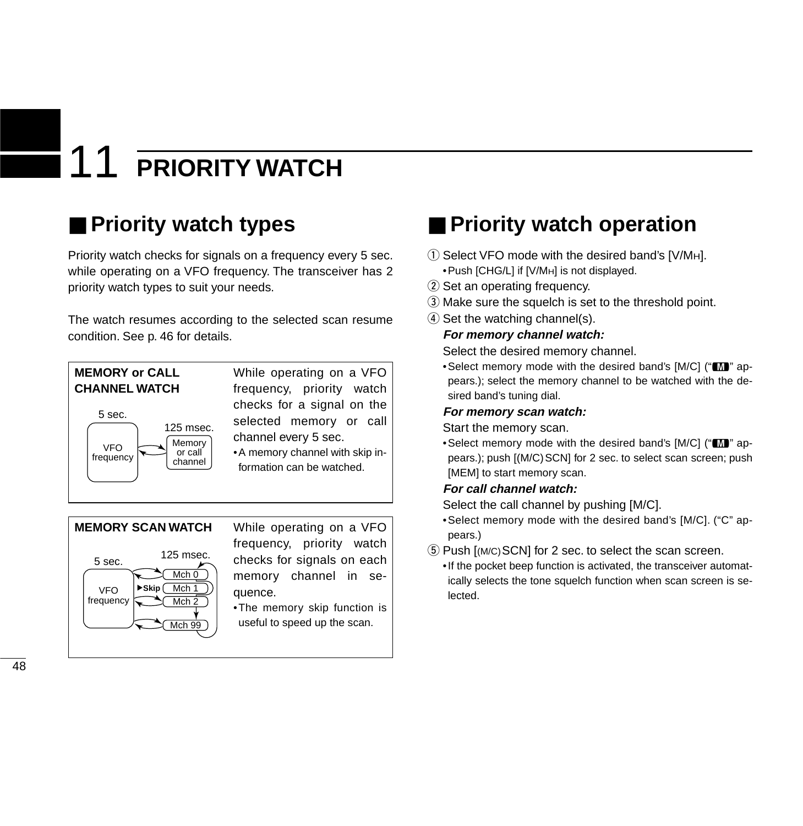# **PRIORITY WATCH**

# ■ **Priority watch types**

Priority watch checks for signals on a frequency every 5 sec. while operating on a VFO frequency. The transceiver has 2 priority watch types to suit your needs.

The watch resumes according to the selected scan resume condition. See p. 46 for details.





frequency, priority watch checks for signals on each memory channel in sequence.

•The memory skip function is useful to speed up the scan.

# ■ **Priority watch operation**

- $\Omega$  Select VFO mode with the desired band's [V/MH].
	- •Push [CHG/L] if [V/MH] is not displayed.
- 2 Set an operating frequency.
- 3) Make sure the squelch is set to the threshold point.
- $\Phi$  Set the watching channel(s).

#### **For memory channel watch:**

Select the desired memory channel.

• Select memory mode with the desired band's [M/C] ("M" appears.); select the memory channel to be watched with the desired band's tuning dial.

#### **For memory scan watch:**

Start the memory scan.

• Select memory mode with the desired band's [M/C] ("M" appears.); push  $[(M/C)$  SCN] for 2 sec. to select scan screen; push [MEM] to start memory scan.

#### **For call channel watch:**

Select the call channel by pushing [M/C].

- •Select memory mode with the desired band's [M/C]. ("C" appears.)
- **5** Push [(M/C) SCN] for 2 sec. to select the scan screen.
	- •If the pocket beep function is activated, the transceiver automatically selects the tone squelch function when scan screen is selected.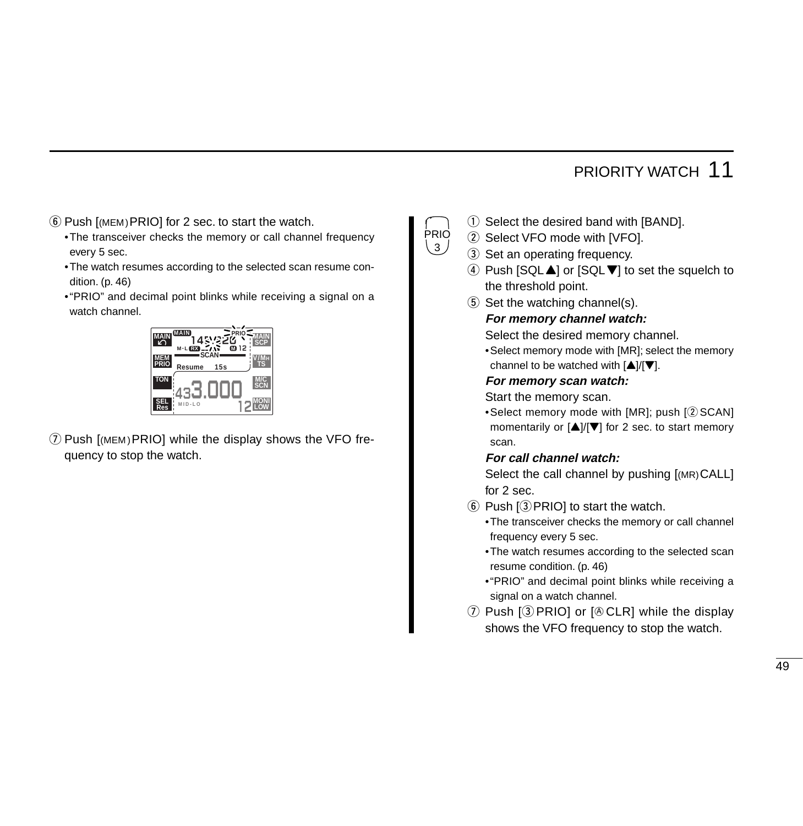### PRIORITY WATCH 11

- $\circ$  Push  $[$ (MEM)PRIO] for 2 sec. to start the watch.
	- •The transceiver checks the memory or call channel frequency every 5 sec.
	- •The watch resumes according to the selected scan resume condition. (p. 46)
	- •"PRIO" and decimal point blinks while receiving a signal on a watch channel.



 $\Omega$  Push [(MEM) PRIO] while the display shows the VFO frequency to stop the watch.

- $\Omega$  Select the desired band with [BAND].
- 2 Select VFO mode with [VFO].

PRIO  $\langle 3 \rangle$ 

- 3 Set an operating frequency.
- $\Phi$  Push [SQL $\blacktriangle$ ] or [SQL $\nabla$ ] to set the squelch to the threshold point.
- $5$  Set the watching channel(s).

#### **For memory channel watch:**

Select the desired memory channel.

•Select memory mode with [MR]; select the memory channel to be watched with  $[4]/[7]$ .

#### **For memory scan watch:**

Start the memory scan.

•Select memory mode with  $[MR]$ ; push  $[@SCAM]$ momentarily or  $[\triangle]/[\nabla]$  for 2 sec. to start memory scan.

#### **For call channel watch:**

Select the call channel by pushing [(MR)CALL] for 2 sec.

- $\circ$  Push  $\circ$  PRIO to start the watch.
	- •The transceiver checks the memory or call channel frequency every 5 sec.
	- •The watch resumes according to the selected scan resume condition. (p. 46)
	- •"PRIO" and decimal point blinks while receiving a signal on a watch channel.
- $\overline{1}$  Push  $\overline{1}$  PRIO] or  $\overline{1}$  eCLR] while the display shows the VFO frequency to stop the watch.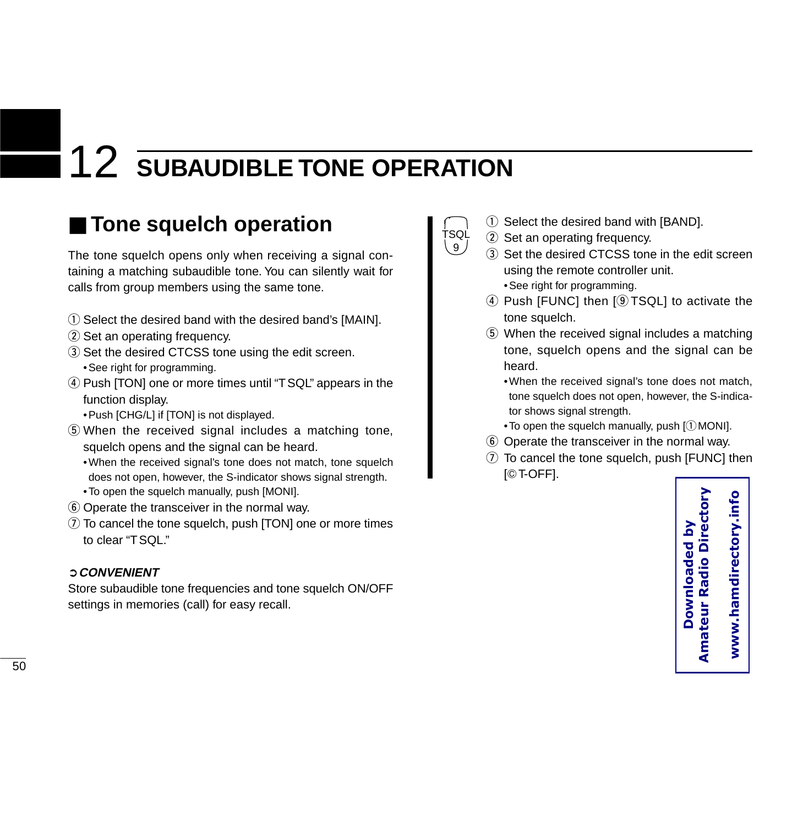# ■ **Tone squelch operation**

The tone squelch opens only when receiving a signal containing a matching subaudible tone. You can silently wait for calls from group members using the same tone.

- $\odot$  Select the desired band with the desired band's [MAIN].
- 2 Set an operating frequency.
- 3 Set the desired CTCSS tone using the edit screen. •See right for programming.
- 4) Push [TON] one or more times until "TSQL" appears in the function display.
	- •Push [CHG/L] if [TON] is not displayed.
- $(5)$  When the received signal includes a matching tone, squelch opens and the signal can be heard.
	- •When the received signal's tone does not match, tone squelch does not open, however, the S-indicator shows signal strength.
	- •To open the squelch manually, push [MONI].
- y Operate the transceiver in the normal way.
- $\overline{v}$  To cancel the tone squelch, push [TON] one or more times to clear "TSQL."

#### ➲**CONVENIENT**

Store subaudible tone frequencies and tone squelch ON/OFF settings in memories (call) for easy recall.

- $\odot$  Select the desired band with [BAND].
- 2 Set an operating frequency.

TSQL  $9<sub>2</sub>$ 

- (3) Set the desired CTCSS tone in the edit screen using the remote controller unit.
	- •See right for programming.
- 4) Push [FUNC] then [9TSQL] to activate the tone squelch.
- **5** When the received signal includes a matching tone, squelch opens and the signal can be heard.
	- •When the received signal's tone does not match, tone squelch does not open, however, the S-indicator shows signal strength.
	- $\bullet$  To open the squelch manually, push [ $\mathcal D$ MONI].
- y Operate the transceiver in the normal way.
- $\overline{v}$  To cancel the tone squelch, push [FUNC] then [GT-OFF].

**Amateur Radio Directory**  www.hamdirectory.info **www.hamdirectory.infoDownloaded by**  Downloaded by **Amateur Radio Dire**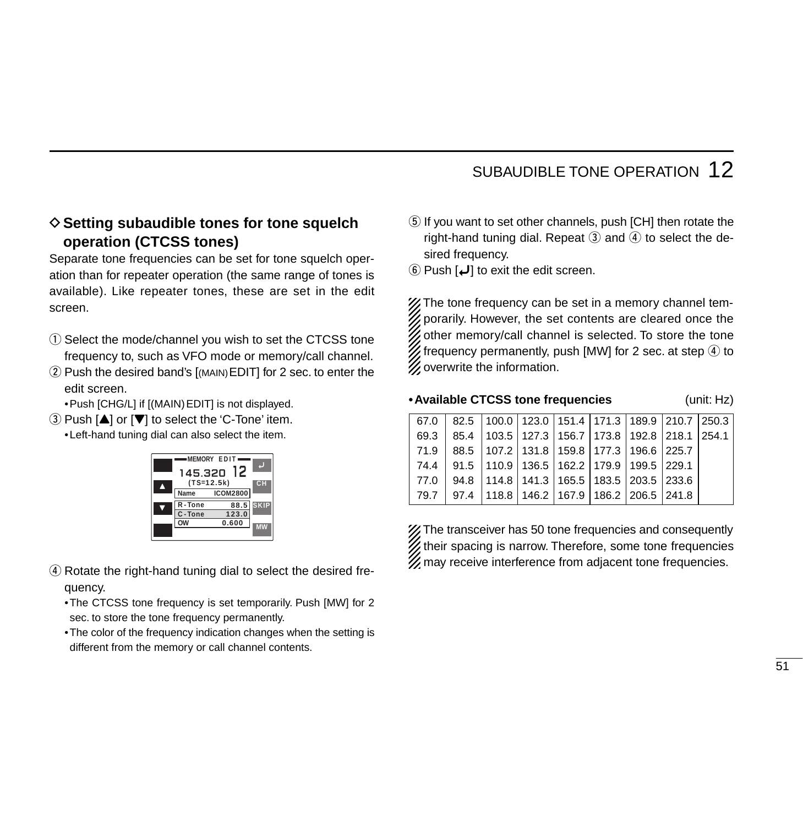#### **♦ Setting subaudible tones for tone squelch operation (CTCSS tones)**

Separate tone frequencies can be set for tone squelch operation than for repeater operation (the same range of tones is available). Like repeater tones, these are set in the edit screen.

- q Select the mode/channel you wish to set the CTCSS tone frequency to, such as VFO mode or memory/call channel.
- 2 Push the desired band's [(MAIN) EDIT] for 2 sec. to enter the edit screen.

•Push [CHG/L] if [(MAIN)EDIT] is not displayed.

 $\overline{a}$ ) Push [ $\triangle$ ] or [ $\nabla$ ] to select the 'C-Tone' item.

•Left-hand tuning dial can also select the item.



(4) Rotate the right-hand tuning dial to select the desired frequency.

•The CTCSS tone frequency is set temporarily. Push [MW] for 2 sec. to store the tone frequency permanently.

•The color of the frequency indication changes when the setting is different from the memory or call channel contents.

- **5** If you want to set other channels, push [CH] then rotate the right-hand tuning dial. Repeat  $\circled{3}$  and  $\circled{4}$  to select the desired frequency.
- $\circ$  Push [ $\downarrow$ ] to exit the edit screen.

X The tone frequency can be set in a memory channel tem- $\mathbb Z$  porarily. However, the set contents are cleared once the  $\mathcal{U}$  other memory/call channel is selected. To store the tone  $\mathscr{U}$  frequency permanently, push [MW] for 2 sec. at step  $\overline{\Phi}$  to  $\mathscr{U}$  overwrite the information.

#### **•Available CTCSS tone frequencies** (unit: Hz)

|      | $67.0$   82.5   100.0   123.0   151.4   171.3   189.9   210.7   250.3 |  |  |  |
|------|-----------------------------------------------------------------------|--|--|--|
| 69.3 | 85.4   103.5   127.3   156.7   173.8   192.8   218.1   254.1          |  |  |  |
|      | 71.9 88.5 107.2 131.8 159.8 177.3 196.6 225.7                         |  |  |  |
|      | 74.4 91.5 110.9 136.5 162.2 179.9 199.5 229.1                         |  |  |  |
|      | 77.0   94.8   114.8   141.3   165.5   183.5   203.5   233.6           |  |  |  |
|      | 79.7 97.4 118.8 146.2 167.9 186.2 206.5 241.8                         |  |  |  |

X The transceiver has 50 tone frequencies and consequently  $\mathbb Z$  their spacing is narrow. Therefore, some tone frequencies  $\mathscr U$  may receive interference from adjacent tone frequencies.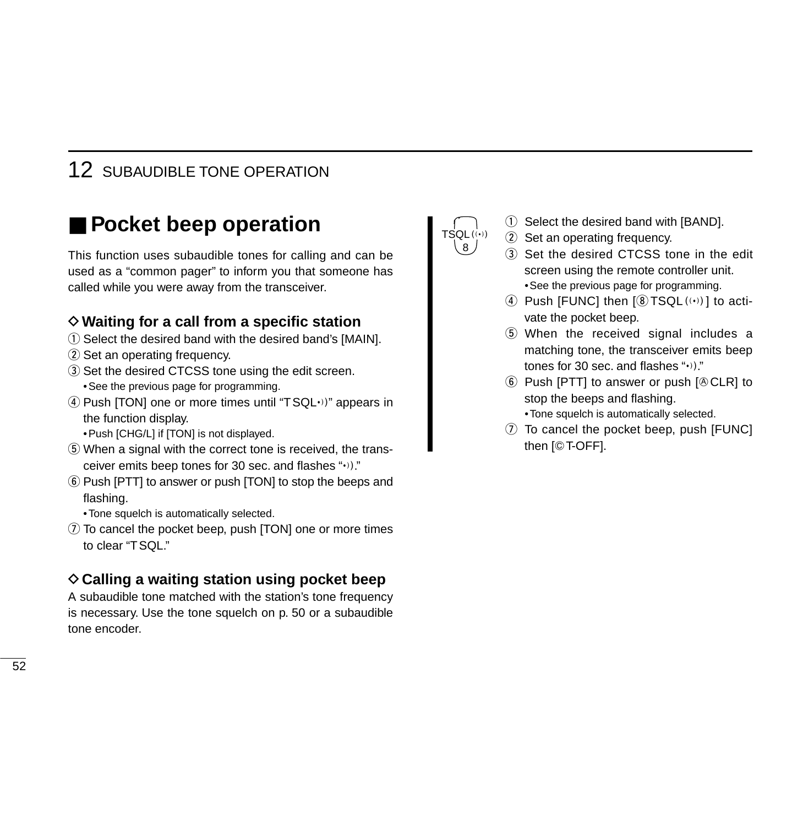### ■ **Pocket beep operation**

This function uses subaudible tones for calling and can be used as a "common pager" to inform you that someone has called while you were away from the transceiver.

#### **♦ Waiting for a call from a specific station**

- $\odot$  Select the desired band with the desired band's [MAIN].
- 2 Set an operating frequency.
- 3) Set the desired CTCSS tone using the edit screen. •See the previous page for programming.
- $\overline{r}$  Push [TON] one or more times until "TSQL $\cdot$ )" appears in the function display.
	- •Push [CHG/L] if [TON] is not displayed.
- **(5) When a signal with the correct tone is received, the trans**ceiver emits beep tones for 30 sec. and flashes " $\cdot$ )."
- y Push [PTT] to answer or push [TON] to stop the beeps and flashing.
	- •Tone squelch is automatically selected.
- $\overline{v}$  To cancel the pocket beep, push [TON] one or more times to clear "TSQL."

#### **♦ Calling a waiting station using pocket beep**

A subaudible tone matched with the station's tone frequency is necessary. Use the tone squelch on p. 50 or a subaudible tone encoder.



- $\odot$  Select the desired band with [BAND].
- 2 Set an operating frequency.
- (3) Set the desired CTCSS tone in the edit screen using the remote controller unit. •See the previous page for programming.
- $\omega$  Push [FUNC] then  $\Omega$  TSQL $(\cdot)$ ] to activate the pocket beep.
- **5** When the received signal includes a matching tone, the transceiver emits beep tones for 30 sec. and flashes " $\cdot$ )."
- $\circled{6}$  Push [PTT] to answer or push [ $\circled{C}$ CLR] to stop the beeps and flashing. •Tone squelch is automatically selected.
- $\overline{v}$  To cancel the pocket beep, push [FUNC] then [GT-OFF].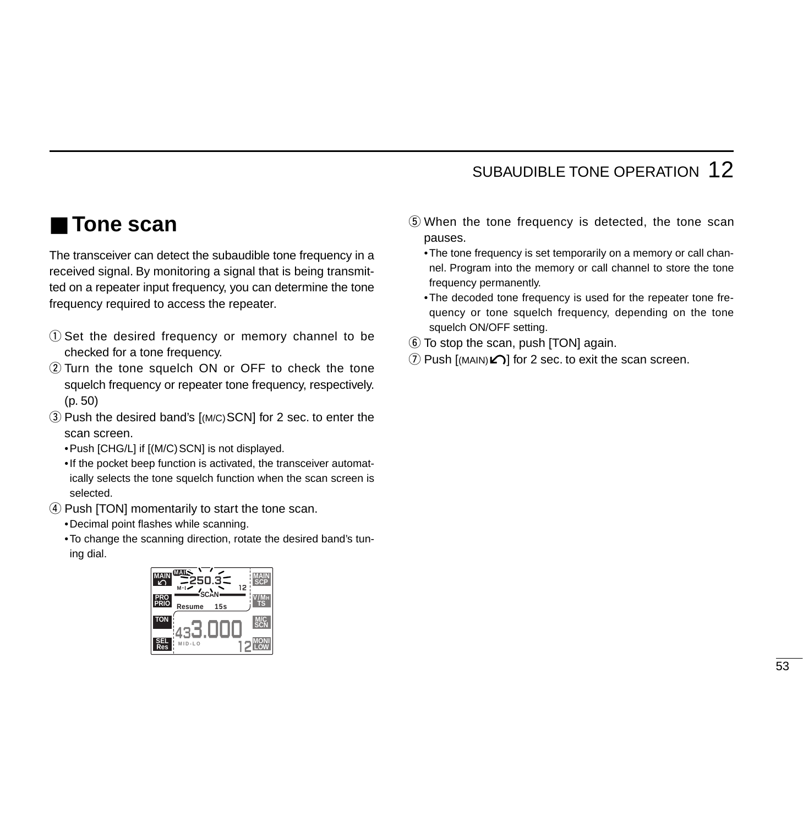### ■ **Tone scan**

The transceiver can detect the subaudible tone frequency in a received signal. By monitoring a signal that is being transmitted on a repeater input frequency, you can determine the tone frequency required to access the repeater.

- q Set the desired frequency or memory channel to be checked for a tone frequency.
- 2) Turn the tone squelch ON or OFF to check the tone squelch frequency or repeater tone frequency, respectively. (p. 50)
- 3) Push the desired band's [(M/C)SCN] for 2 sec. to enter the scan screen.
	- •Push [CHG/L] if [(M/C)SCN] is not displayed.
	- •If the pocket beep function is activated, the transceiver automatically selects the tone squelch function when the scan screen is selected.
- **4** Push [TON] momentarily to start the tone scan.
	- •Decimal point flashes while scanning.
	- •To change the scanning direction, rotate the desired band's tuning dial.



- $5$  When the tone frequency is detected, the tone scan pauses.
	- •The tone frequency is set temporarily on a memory or call channel. Program into the memory or call channel to store the tone frequency permanently.
	- •The decoded tone frequency is used for the repeater tone frequency or tone squelch frequency, depending on the tone squelch ON/OFF setting.
- $\circled{6}$  To stop the scan, push [TON] again.
- $\Omega$  Push  $\Gamma$ [(MAIN) $\Omega$ ] for 2 sec. to exit the scan screen.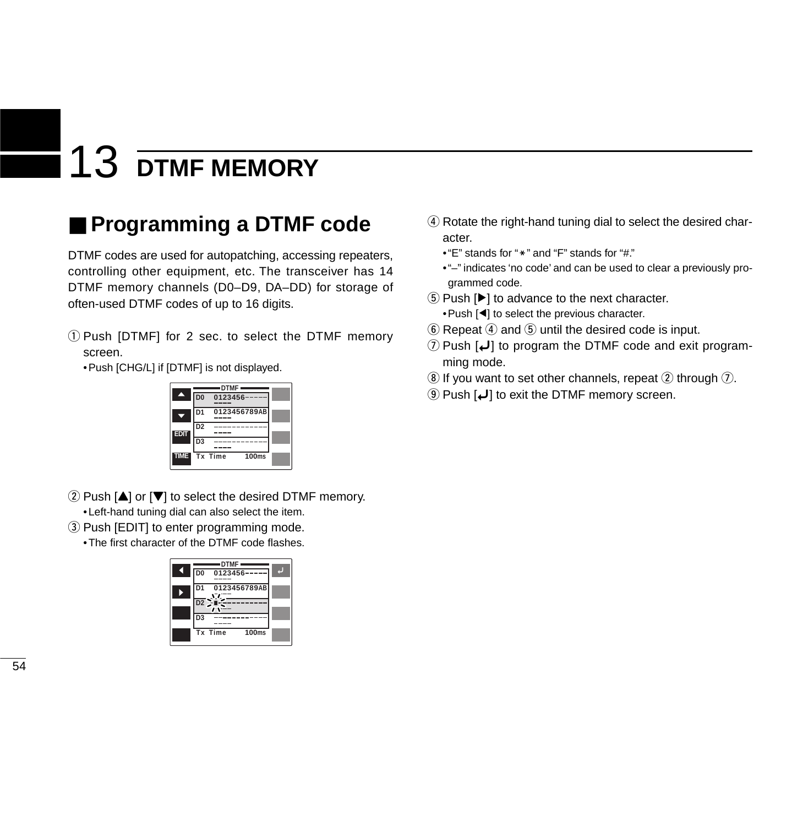# 13 **DTMF MEMORY**

# ■ **Programming a DTMF code**

DTMF codes are used for autopatching, accessing repeaters, controlling other equipment, etc. The transceiver has 14 DTMF memory channels (D0–D9, DA–DD) for storage of often-used DTMF codes of up to 16 digits.

q Push [DTMF] for 2 sec. to select the DTMF memory screen.

•Push [CHG/L] if [DTMF] is not displayed.



- $(2)$  Push [ $\blacktriangle$ ] or [ $\blacktriangledown$ ] to select the desired DTMF memory.
	- •Left-hand tuning dial can also select the item.
- 3) Push [EDIT] to enter programming mode.
	- •The first character of the DTMF code flashes.



- 4) Rotate the right-hand tuning dial to select the desired character.
	- $\cdot$  "E" stands for " $\cdot$ " and "F" stands for "#."
	- •"–" indicates 'no code' and can be used to clear a previously programmed code.
- $\circledS$  Push  $[\blacktriangleright]$  to advance to the next character.
- •Push [ Ω] to select the previous character.
- $\circledS$  Repeat  $\circledA$  and  $\circledS$  until the desired code is input.
- $\mathcal D$  Push [J] to program the DTMF code and exit programming mode.
- $\circledast$  If you want to set other channels, repeat  $\circled2$  through  $\circled7$ .
- o Push [ ï] to exit the DTMF memory screen.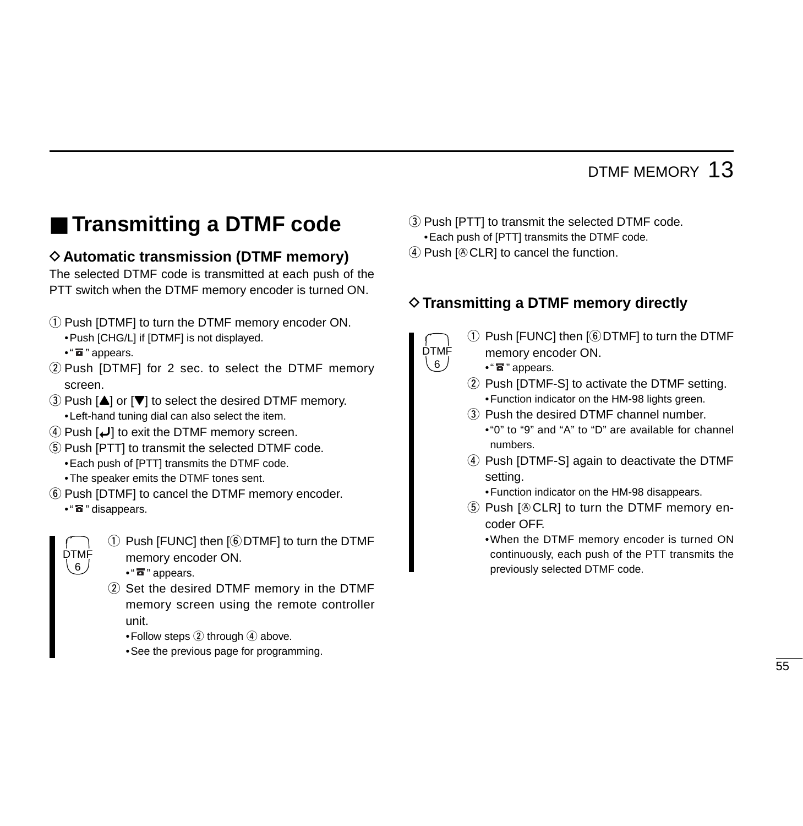## DTMF MEMORY 13

# ■ **Transmitting a DTMF code**

### **♦ Automatic transmission (DTMF memory)**

The selected DTMF code is transmitted at each push of the PTT switch when the DTMF memory encoder is turned ON.

(1) Push [DTMF] to turn the DTMF memory encoder ON. •Push [CHG/L] if [DTMF] is not displayed.

 $\bullet$  "  $\overline{\textbf{a}}$  " appears.

- 2 Push [DTMF] for 2 sec. to select the DTMF memory screen.
- $\Omega$  Push  $[\triangle]$  or  $[\nabla]$  to select the desired DTMF memory. •Left-hand tuning dial can also select the item.
- *(4)* Push  $\left[\bigcup_{n=1}^{\infty}\right]$  to exit the DTMF memory screen.
- (5) Push [PTT] to transmit the selected DTMF code. •Each push of [PTT] transmits the DTMF code.
	- •The speaker emits the DTMF tones sent.
- $\circledR$  Push [DTMF] to cancel the DTMF memory encoder.
	- $\bullet$  "  $\overline{\bullet}$  " disappears.



 $\Omega$  Push [FUNC] then [ $\odot$  DTMF] to turn the DTMF memory encoder ON.

- $\bullet$  "  $\overline{\textbf{a}}$  " appears.
- 2 Set the desired DTMF memory in the DTMF memory screen using the remote controller unit.
	- •Follow steps  $(2)$  through  $(4)$  above.
	- •See the previous page for programming.
- 3) Push [PTT] to transmit the selected DTMF code. •Each push of [PTT] transmits the DTMF code.
- $\Phi$  Push [ $\Phi$  CLR] to cancel the function.

### D**Transmitting a DTMF memory directly**



- $(i)$  Push [FUNC] then  $(i)$  DTMF] to turn the DTMF memory encoder ON.
	- $\cdot$  " $\overline{\mathbf{a}}$  " appears.
- 2 Push [DTMF-S] to activate the DTMF setting. •Function indicator on the HM-98 lights green.
- (3) Push the desired DTMF channel number.
	- •"0" to "9" and "A" to "D" are available for channel numbers.
- 4) Push [DTMF-S] again to deactivate the DTMF setting.

•Function indicator on the HM-98 disappears.

- $5$  Push  $[6$  CLR] to turn the DTMF memory encoder OFF.
	- •When the DTMF memory encoder is turned ON continuously, each push of the PTT transmits the previously selected DTMF code.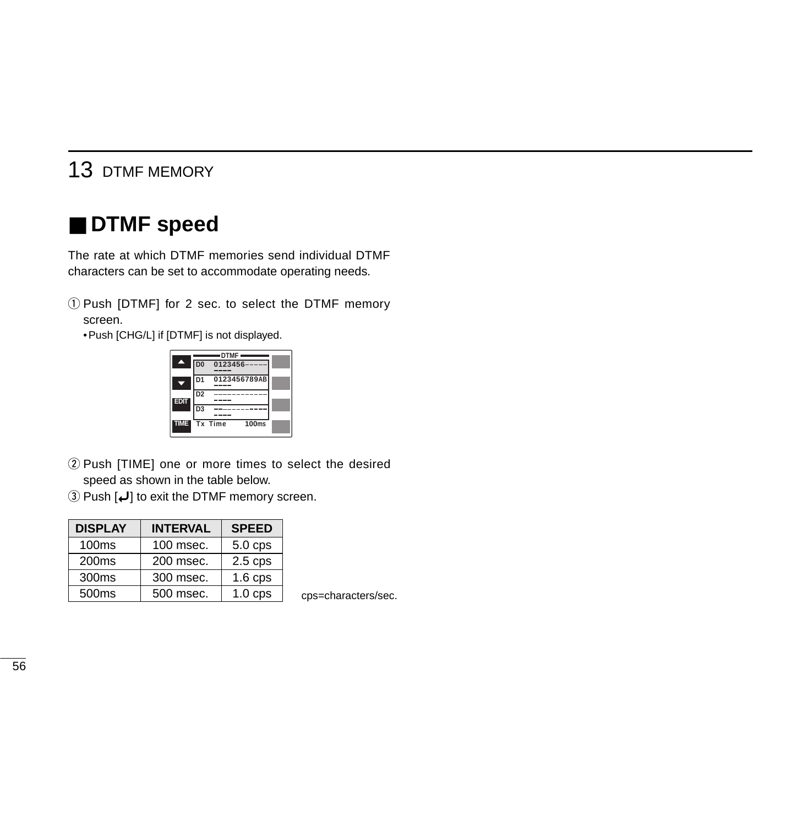### 13 DTMF MEMORY

### ■ **DTMF speed**

The rate at which DTMF memories send individual DTMF characters can be set to accommodate operating needs.

q Push [DTMF] for 2 sec. to select the DTMF memory screen.

•Push [CHG/L] if [DTMF] is not displayed.



- 2 Push [TIME] one or more times to select the desired speed as shown in the table below.
- e Push [ ï] to exit the DTMF memory screen.

| <b>DISPLAY</b>    | <b>INTERVAL</b> | <b>SPEED</b> |
|-------------------|-----------------|--------------|
| 100 <sub>ms</sub> | 100 msec.       | $5.0$ cps    |
| 200 <sub>ms</sub> | 200 msec.       | $2.5$ cps    |
| 300ms             | 300 msec.       | $1.6$ cps    |
| 500ms             | 500 msec.       | $1.0$ cps    |

cps=characters/sec.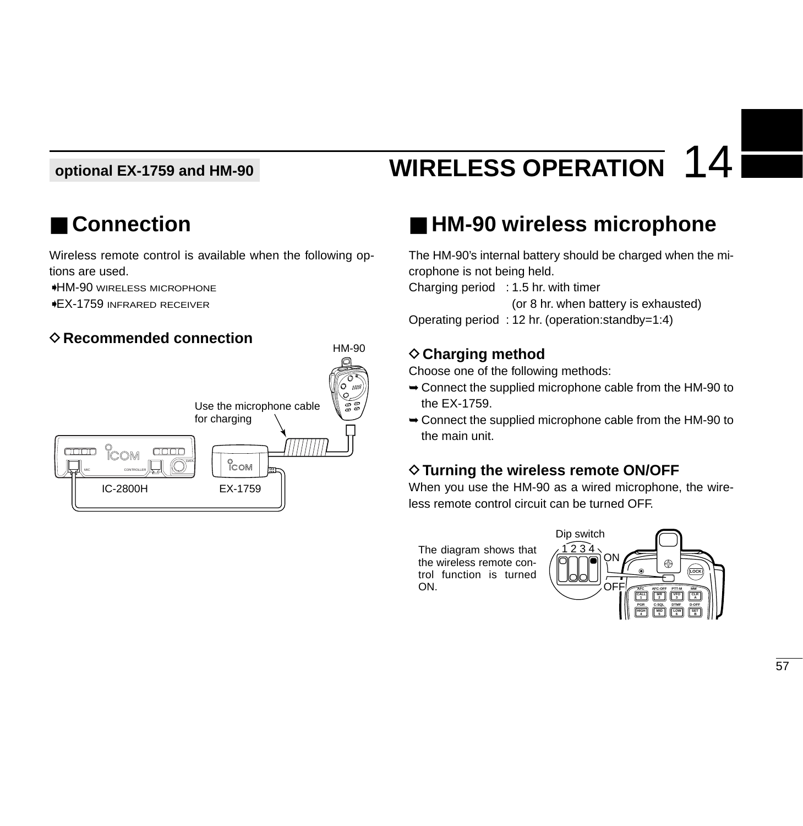#### **optional EX-1759 and HM-90**

# **WIRELESS OPERATION** 14

# ■ **Connection**

Wireless remote control is available when the following options are used.

➧HM-90 WIRELESS MICROPHONE

➧EX-1759 INFRARED RECEIVER

### **◇ Recommended connection**



# ■ **HM-90** wireless microphone

The HM-90's internal battery should be charged when the microphone is not being held. Charging period : 1.5 hr. with timer (or 8 hr. when battery is exhausted) Operating period : 12 hr. (operation:standby=1:4)

### **◇ Charging method**

Choose one of the following methods:

- ➥Connect the supplied microphone cable from the HM-90 to the EX-1759.
- ➥Connect the supplied microphone cable from the HM-90 to the main unit.

### $\diamond$  Turning the wireless remote ON/OFF

When you use the HM-90 as a wired microphone, the wireless remote control circuit can be turned OFF.

The diagram shows that the wireless remote control function is turned ON.

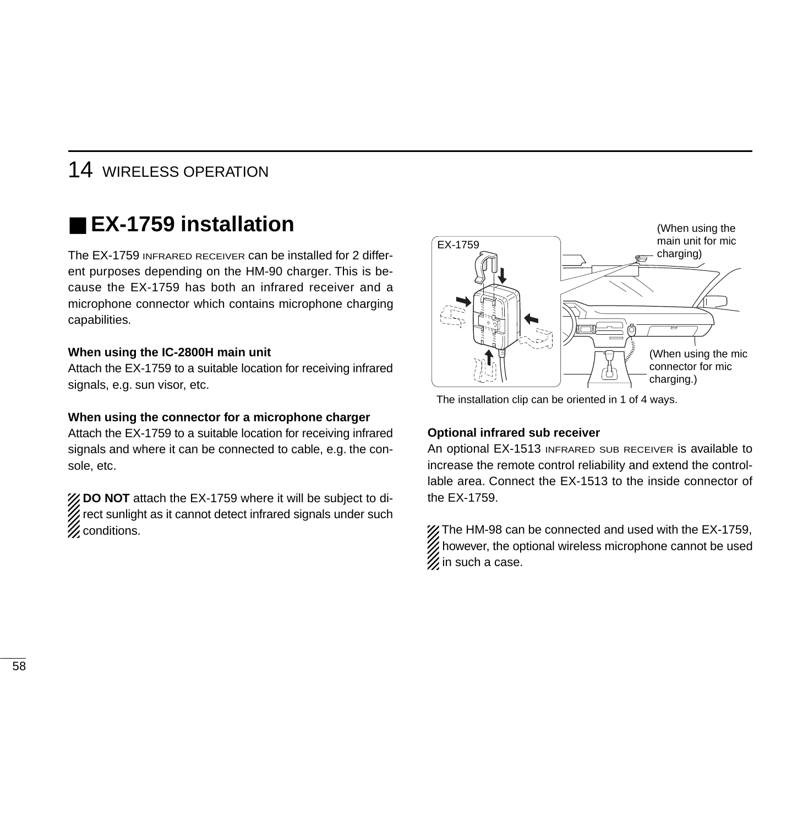# ■ **EX-1759 installation**

The EX-1759 INFRARED RECEIVER can be installed for 2 different purposes depending on the HM-90 charger. This is because the EX-1759 has both an infrared receiver and a microphone connector which contains microphone charging capabilities.

#### **When using the IC-2800H main unit**

Attach the EX-1759 to a suitable location for receiving infrared signals, e.g. sun visor, etc.

#### **When using the connector for a microphone charger**

Attach the EX-1759 to a suitable location for receiving infrared signals and where it can be connected to cable, e.g. the console, etc.

**Z DO NOT** attach the EX-1759 where it will be subject to direct sunlight as it cannot detect infrared signals under such **Z** conditions.



The installation clip can be oriented in 1 of 4 ways.

#### **Optional infrared sub receiver**

An optional EX-1513 INFRARED SUB RECEIVER is available to increase the remote control reliability and extend the controllable area. Connect the EX-1513 to the inside connector of the EX-1759.

The HM-98 can be connected and used with the EX-1759, however, the optional wireless microphone cannot be used  $\mathscr U$  in such a case.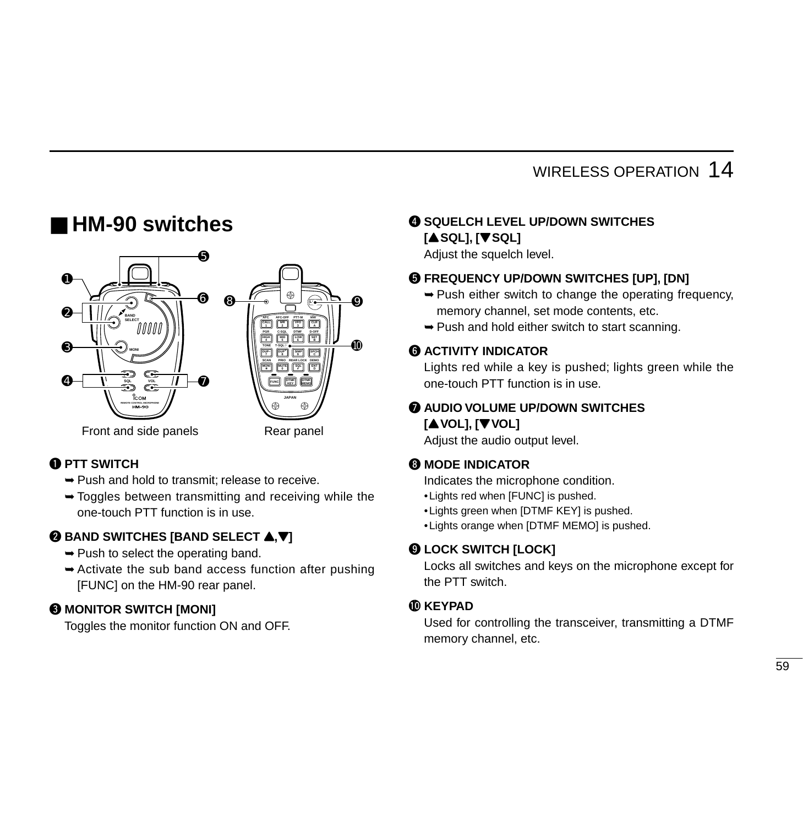### ■ **HM-90 switches**



#### **Q PTT SWITCH**

- ➥Push and hold to transmit; release to receive.
- $\rightarrow$  Toggles between transmitting and receiving while the one-touch PTT function is in use.

#### **WE BAND SWITCHES [BAND SELECT**  $\triangle$ **,**  $\nabla$ **]**

- $\rightarrow$  Push to select the operating band.
- $\rightarrow$  Activate the sub band access function after pushing [FUNC] on the HM-90 rear panel.

### **@ MONITOR SWITCH [MONI]**

Toggles the monitor function ON and OFF.

#### **@ SQUELCH LEVEL UP/DOWN SWITCHES [**Y**SQL], [**Z**SQL]**

Adjust the squelch level.

#### $\Theta$  **FREQUENCY UP/DOWN SWITCHES [UP], [DN]**

- $\rightarrow$  Push either switch to change the operating frequency, memory channel, set mode contents, etc.
- ➥Push and hold either switch to start scanning.

#### **6 ACTIVITY INDICATOR**

Lights red while a key is pushed; lights green while the one-touch PTT function is in use.

#### **AUDIO VOLUME UP/DOWN SWITCHES [**Y**VOL], [**Z**VOL]**

Adjust the audio output level.

#### **@ MODE INDICATOR**

Indicates the microphone condition.

- •Lights red when [FUNC] is pushed.
- •Lights green when [DTMF KEY] is pushed.
- •Lights orange when [DTMF MEMO] is pushed.

#### o **LOCK SWITCH [LOCK]**

Locks all switches and keys on the microphone except for the PTT switch.

#### !0**KEYPAD**

Used for controlling the transceiver, transmitting a DTMF memory channel, etc.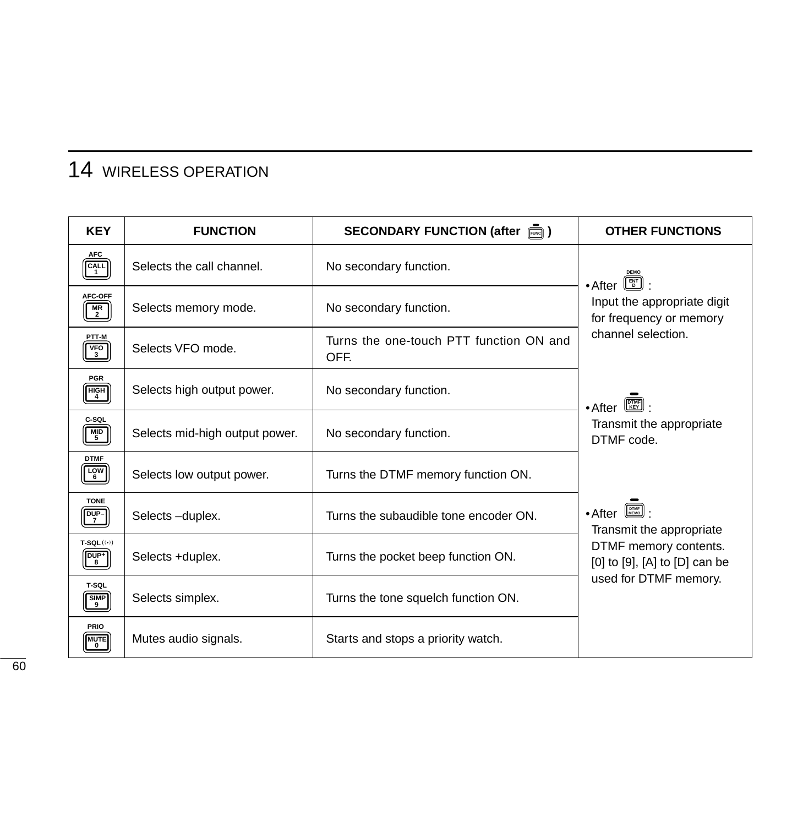| <b>KEY</b>                                                             | <b>FUNCTION</b>                | SECONDARY FUNCTION (after $\overline{m}$ )      | <b>OTHER FUNCTIONS</b>                                                                                                         |
|------------------------------------------------------------------------|--------------------------------|-------------------------------------------------|--------------------------------------------------------------------------------------------------------------------------------|
| <b>AFC</b><br>CALL                                                     | Selects the call channel.      | No secondary function.                          | $\bullet$ After $\boxed{\mathbb{E}^n}$ :                                                                                       |
| AFC-OFF<br>$\frac{MR}{2}$                                              | Selects memory mode.           | No secondary function.                          | Input the appropriate digit<br>for frequency or memory                                                                         |
| PTT-M<br>$V_FO$ <sub>3</sub>                                           | Selects VFO mode.              | Turns the one-touch PTT function ON and<br>OFF. | channel selection.                                                                                                             |
| <b>PGR</b><br>$\begin{bmatrix} HIGH \\ 4 \end{bmatrix}$                | Selects high output power.     | No secondary function.                          | $\bullet$ After $\left[\begin{smallmatrix} \boxed{\text{DTMF}} \ \boxed{\text{KEY}} \end{smallmatrix} \right]$                 |
| C-SQL<br>$MID$<br>5                                                    | Selects mid-high output power. | No secondary function.                          | Transmit the appropriate<br>DTMF code.                                                                                         |
| <b>DTMF</b><br>$\begin{bmatrix} \frac{LOW}{6} \end{bmatrix}$           | Selects low output power.      | Turns the DTMF memory function ON.              |                                                                                                                                |
| <b>TONE</b><br>$\boxed{\frac{DUP}{7}}$                                 | Selects-duplex.                | Turns the subaudible tone encoder ON.           | $\bullet$ After $\left[\begin{smallmatrix} 0 \text{TME} \\ \text{MEMO} \end{smallmatrix}\right]$ :<br>Transmit the appropriate |
| $T-SQL$ $((*)$<br>$\begin{bmatrix} \overline{DUP^+}\\ 8 \end{bmatrix}$ | Selects +duplex.               | Turns the pocket beep function ON.              | DTMF memory contents.<br>[0] to [9], [A] to [D] can be                                                                         |
| T-SQL<br>$\frac{\mathsf{SIMP}}{9}$                                     | Selects simplex.               | Turns the tone squelch function ON.             | used for DTMF memory.                                                                                                          |
| PRIO<br><b>MUTE</b>                                                    | Mutes audio signals.           | Starts and stops a priority watch.              |                                                                                                                                |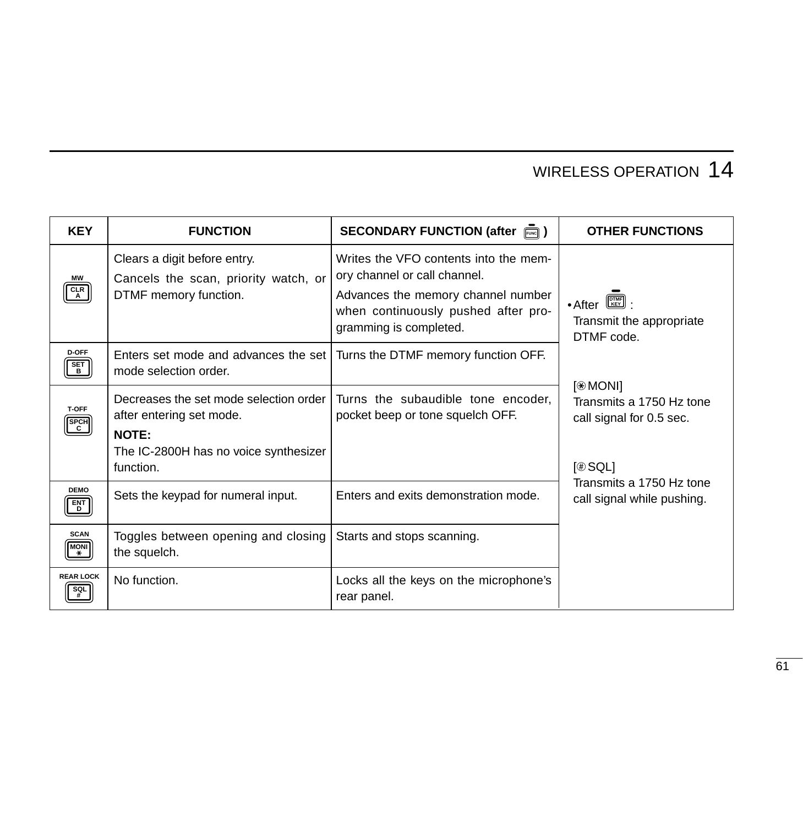| <b>KEY</b>                           | <b>FUNCTION</b>                                                                                                                          | SECONDARY FUNCTION (after $\overline{F}_{\text{even}}$ )                                                                                                                     | <b>OTHER FUNCTIONS</b>                                                                                                                       |
|--------------------------------------|------------------------------------------------------------------------------------------------------------------------------------------|------------------------------------------------------------------------------------------------------------------------------------------------------------------------------|----------------------------------------------------------------------------------------------------------------------------------------------|
| МW<br>CLR                            | Clears a digit before entry.<br>Cancels the scan, priority watch, or<br>DTMF memory function.                                            | Writes the VFO contents into the mem-<br>ory channel or call channel.<br>Advances the memory channel number<br>when continuously pushed after pro-<br>gramming is completed. | $\begin{bmatrix} \overline{\text{DTMF}} \\ \overline{\text{KEY}} \end{bmatrix}$<br>$\bullet$ After<br>Transmit the appropriate<br>DTMF code. |
| <b>D-OFF</b><br><b>SET</b><br>B.     | Enters set mode and advances the set I<br>mode selection order.                                                                          | Turns the DTMF memory function OFF.                                                                                                                                          |                                                                                                                                              |
| <b>T-OFF</b><br><b>SPCH</b><br>C     | Decreases the set mode selection order<br>after entering set mode.<br><b>NOTE:</b><br>The IC-2800H has no voice synthesizer<br>function. | Turns the subaudible tone encoder,<br>pocket beep or tone squelch OFF.                                                                                                       | $[$ MONI]<br>Transmits a 1750 Hz tone<br>call signal for 0.5 sec.<br>[⊕ SQL]                                                                 |
| <b>DEMO</b><br>$\frac{ENT}{D}$       | Sets the keypad for numeral input.                                                                                                       | Enters and exits demonstration mode.                                                                                                                                         | Transmits a 1750 Hz tone<br>call signal while pushing.                                                                                       |
| <b>SCAN</b><br><b>MONI</b><br>$\ast$ | Toggles between opening and closing<br>the squelch.                                                                                      | Starts and stops scanning.                                                                                                                                                   |                                                                                                                                              |
| <b>REAR LOCK</b><br>SQL              | No function.                                                                                                                             | Locks all the keys on the microphone's<br>rear panel.                                                                                                                        |                                                                                                                                              |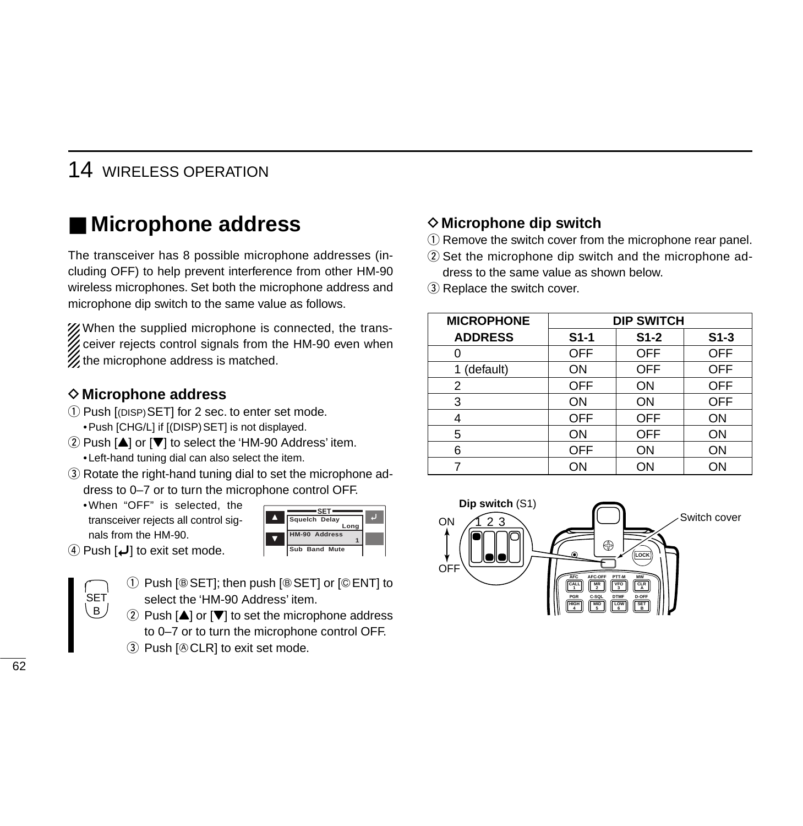## ■ Microphone address

The transceiver has 8 possible microphone addresses (including OFF) to help prevent interference from other HM-90 wireless microphones. Set both the microphone address and microphone dip switch to the same value as follows.

X/When the supplied microphone is connected, the transthe ceiver rejects control signals from the HM-90 even when  $\mathscr U$  the microphone address is matched.

#### **◇ Microphone address**

- $(1)$  Push  $[$ (DISP) SETI for 2 sec. to enter set mode. • Push [CHG/L] if [(DISP) SET] is not displayed.
- $\Omega$  Push  $[4]$  or  $[\nabla]$  to select the 'HM-90 Address' item. •Left-hand tuning dial can also select the item.
- 3) Rotate the right-hand tuning dial to set the microphone address to 0–7 or to turn the microphone control OFF.
	- •When "OFF" is selected, the transceiver rejects all control signals from the HM-90.

|  |                      | <b>PIP SWILL</b> |
|--|----------------------|------------------|
|  | Squelch Delay        |                  |
|  | Lona                 |                  |
|  | HM-90 Address        |                  |
|  | <b>Sub Band Mute</b> |                  |

**4)** Push  $\left[\bigcup_{i=1}^{n} \right]$  to exit set mode.



- $\circled{1}$  Push [ $\circled{S}$ ET]; then push [ $\circled{S}$ ET] or [ $\circled{F}$ ENT] to select the 'HM-90 Address' item.
- 2 Push  $[4]$  or  $[\nabla]$  to set the microphone address to 0–7 or to turn the microphone control OFF.
- $\circled{3}$  Push [ $\circled{6}$  CLR] to exit set mode.

#### **◇ Microphone dip switch**

- $\Omega$  Remove the switch cover from the microphone rear panel.
- $(2)$  Set the microphone dip switch and the microphone address to the same value as shown below.
- 3) Replace the switch cover.

| <b>MICROPHONE</b> | <b>DIP SWITCH</b> |            |            |  |
|-------------------|-------------------|------------|------------|--|
| <b>ADDRESS</b>    | $S1-1$            | $S1-2$     | $S1-3$     |  |
|                   | <b>OFF</b>        | <b>OFF</b> | <b>OFF</b> |  |
| 1 (default)       | ON                | OFF        | <b>OFF</b> |  |
| 2                 | <b>OFF</b>        | ON         | <b>OFF</b> |  |
| 3                 | ON                | ON         | <b>OFF</b> |  |
|                   | <b>OFF</b>        | <b>OFF</b> | ON         |  |
| 5                 | ON                | <b>OFF</b> | ON         |  |
| 6                 | <b>OFF</b>        | ON         | ON         |  |
|                   | ON                | ON         | ΟN         |  |

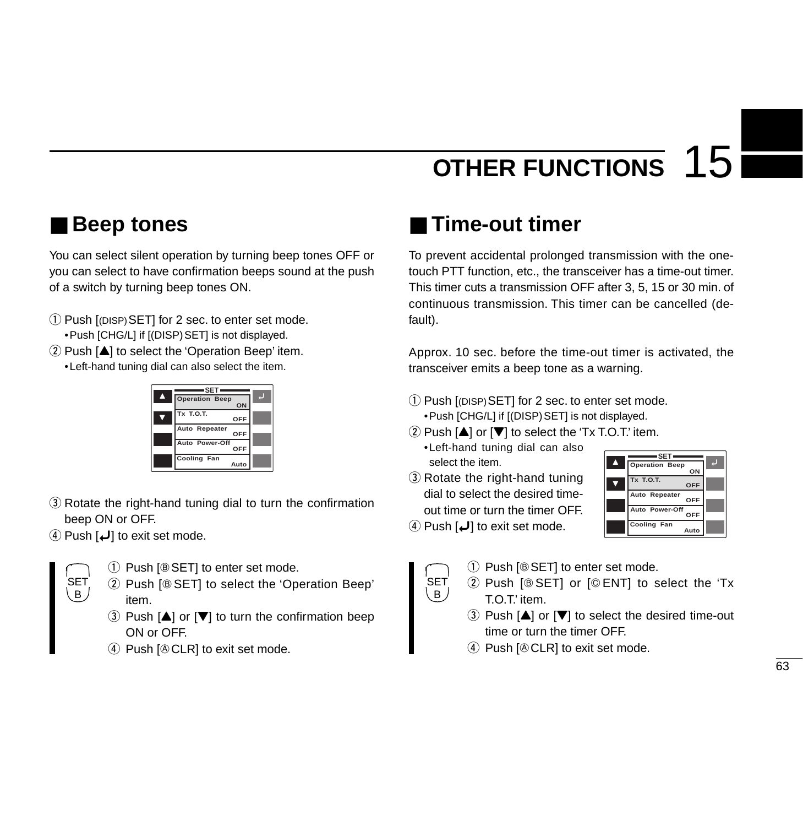## ■ **Beep tones**

You can select silent operation by turning beep tones OFF or you can select to have confirmation beeps sound at the push of a switch by turning beep tones ON.

q Push [(DISP)SET] for 2 sec. to enter set mode. •Push [CHG/L] if [(DISP)SET] is not displayed.  $(2)$  Push  $[4]$  to select the 'Operation Beep' item. •Left-hand tuning dial can also select the item.

|   | =SET                  |  |
|---|-----------------------|--|
| A | <b>Operation Beep</b> |  |
|   | ON                    |  |
|   | Tx T.O.T.<br>OFF      |  |
|   | Auto Repeater<br>OFF  |  |
|   | Auto Power-Off<br>OFF |  |
|   | Cooling Fan<br>Auto   |  |

- 3) Rotate the right-hand tuning dial to turn the confirmation beep ON or OFF.
- $\Phi$  Push  $\phi$  to exit set mode.



- $(1)$  Push [ $\circledcirc$  SET] to enter set mode.
- 2 Push [® SET] to select the 'Operation Beep' item.
- 3 Push  $[4]$  or  $[\nabla]$  to turn the confirmation beep ON or OFF.
- $\Phi$  Push  $\Phi$  CLR] to exit set mode.

# ■ **Time-out timer**

To prevent accidental prolonged transmission with the onetouch PTT function, etc., the transceiver has a time-out timer. This timer cuts a transmission OFF after 3, 5, 15 or 30 min. of continuous transmission. This timer can be cancelled (default).

Approx. 10 sec. before the time-out timer is activated, the transceiver emits a beep tone as a warning.

- $\Omega$  Push  $[$ (DISP) SET] for 2 sec. to enter set mode. • Push [CHG/L] if [(DISP) SET] is not displayed.
- $\Omega$  Push  $\left[\triangle\right]$  or  $\left[\blacktriangledown\right]$  to select the 'Tx T.O.T.' item.
- •Left-hand tuning dial can also **Cooling Fan** Y II Select the item.
	- 3 Rotate the right-hand tuning dial to select the desired timeout time or turn the timer OFF.



 $\Phi$  Push  $\phi$  to exit set mode.



- $(1)$  Push [ $\circledcirc$  SET] to enter set mode.
- $(2)$  Push [ $\circledcirc$  SET] or [ $\circledcirc$  ENT] to select the 'Tx T.O.T.' item.
	- $\Omega$  Push  $\left[\triangle\right]$  or  $\left[\blacktriangledown\right]$  to select the desired time-out time or turn the timer OFF.
	- $\Phi$  Push  $\Phi$  CLR] to exit set mode.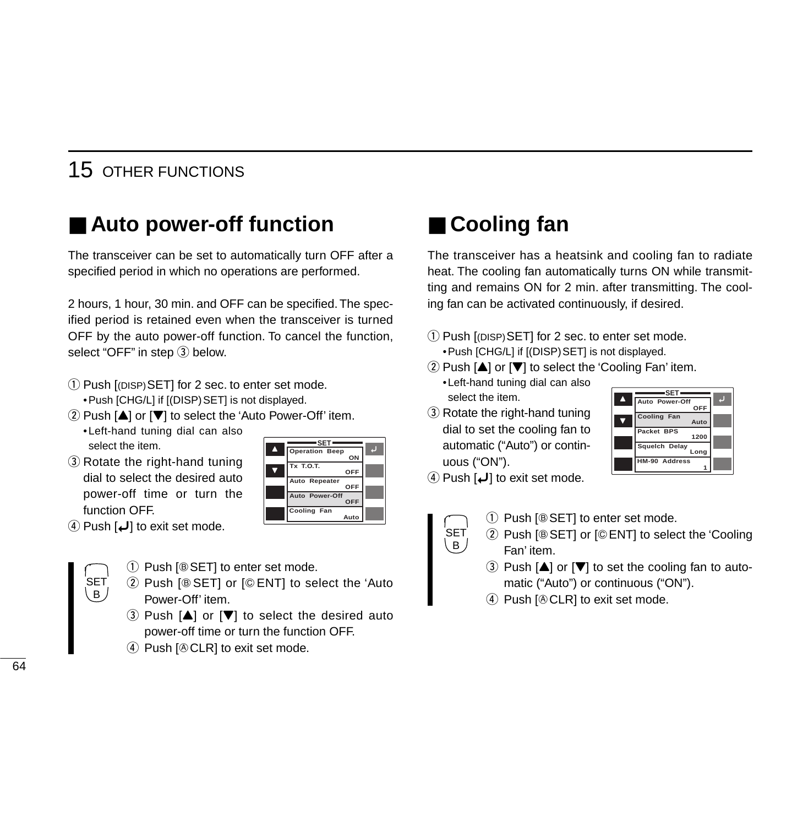### 15 OTHER FUNCTIONS

# ■ Auto power-off function

The transceiver can be set to automatically turn OFF after a specified period in which no operations are performed.

2 hours, 1 hour, 30 min. and OFF can be specified. The specified period is retained even when the transceiver is turned OFF by the auto power-off function. To cancel the function, select "OFF" in step  $(3)$  below.

- $\Omega$  Push [(DISP) SET] for 2 sec. to enter set mode. • Push [CHG/L] if [(DISP) SET] is not displayed.
- $\Omega$  Push  $[\triangle]$  or  $[\nabla]$  to select the 'Auto Power-Off' item.

•Left-hand tuning dial can also select the item.

3 Rotate the right-hand tuning dial to select the desired auto power-off time or turn the function OFF.

| ON                           |                               |
|------------------------------|-------------------------------|
| Tx T.O.T.<br>OFF             |                               |
| Auto Repeater<br>OFF         |                               |
| Auto Power-Off<br><b>OFF</b> |                               |
| Cooling Fan<br>Auto          |                               |
|                              | -SET<br><b>Operation Beep</b> |

 $\Phi$  Push  $\phi$  to exit set mode.



- $(1)$  Push [ $\circledcirc$  SET] to enter set mode.
- 2 Push [® SET] or [© ENT] to select the 'Auto Power-Off' item.
- $\Omega$  Push  $[\triangle]$  or  $[\triangledown]$  to select the desired auto power-off time or turn the function OFF.
- $\Phi$  Push  $[$   $\&$  CLR] to exit set mode.

# ■ **Cooling fan**

The transceiver has a heatsink and cooling fan to radiate heat. The cooling fan automatically turns ON while transmitting and remains ON for 2 min. after transmitting. The cooling fan can be activated continuously, if desired.

- q Push [(DISP)SET] for 2 sec. to enter set mode. • Push [CHG/L] if [(DISP) SET] is not displayed.
- $\Omega$  Push  $[\triangle]$  or  $[\triangledown]$  to select the 'Cooling Fan' item.
- •Left-hand tuning dial can also select the item.
- 3 Rotate the right-hand tuning dial to set the cooling fan to automatic ("Auto") or continuous ("ON").



 $\Phi$  Push  $\phi$  to exit set mode.

SET B

- $(1)$  Push [ $\circledcirc$  SET] to enter set mode.
- 2 Push [® SET] or [© ENT] to select the 'Cooling Fan' item.
- 3 Push  $[4]$  or  $[\nabla]$  to set the cooling fan to automatic ("Auto") or continuous ("ON").
- $\Phi$  Push  $[$   $\&$  CLR] to exit set mode.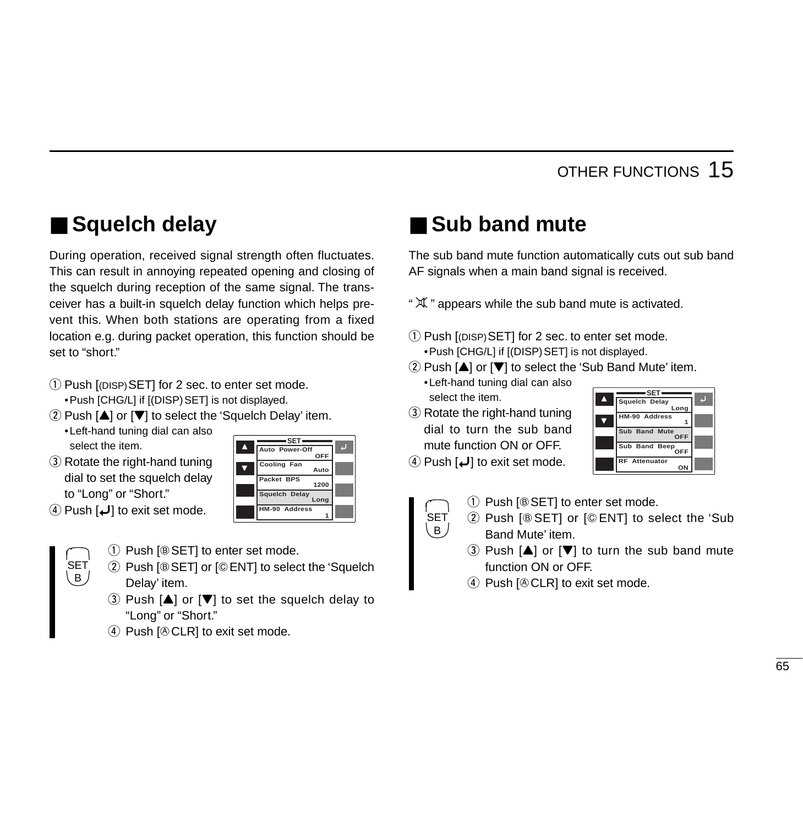# ■ **Squelch delay**

During operation, received signal strength often fluctuates. This can result in annoying repeated opening and closing of the squelch during reception of the same signal. The transceiver has a built-in squelch delay function which helps prevent this. When both stations are operating from a fixed location e.g. during packet operation, this function should be set to "short."

- q Push [(DISP)SET] for 2 sec. to enter set mode. •Push [CHG/L] if [(DISP)SET] is not displayed.
- $\Omega$  Push  $[\triangle]$  or  $[\nabla]$  to select the 'Squelch Delay' item.
	- •Left-hand tuning dial can also select the item.
- 3 Rotate the right-hand tuning dial to set the squelch delay to "Long" or "Short."
- **A** Auto Power-Off  $\overline{\textbf{v}}$ **SET OFF Auto 1200 Long 1 Cooling Fan Packet BPS Squelch Delay HM-90 Address**
- $\Phi$  Push  $\phi$  to exit set mode.

SET (B

- $(1)$  Push [ $\circledcirc$  SET] to enter set mode.
- 2 Push [® SET] or [© ENT] to select the 'Squelch Delay' item.
- 3 Push  $[A]$  or  $[\nabla]$  to set the squelch delay to "Long" or "Short."
- $\Phi$  Push  $\Phi$  CLR] to exit set mode.

# ■ Sub band mute

The sub band mute function automatically cuts out sub band AF signals when a main band signal is received.

- "  $\mathfrak K$  " appears while the sub band mute is activated.
- $\Omega$  Push  $[$ (DISP) SET] for 2 sec. to enter set mode. • Push [CHG/L] if [(DISP) SET] is not displayed.
- $\Omega$  Push  $[\triangle]$  or  $[\nabla]$  to select the 'Sub Band Mute' item.
- •Left-hand tuning dial can also select the item.
- 3 Rotate the right-hand tuning dial to turn the sub band mute function ON or OFF.

 $(B)$ 

- **4)** Push  $\left[\bigcup_{n=1}^{\infty}\right]$  to exit set mode.
- Z **Long 1 OFF OFF ON HM-90 Address Sub Band Mute Sub Band Beep RF Attenuator**

**A** Squelch Delay

**SET**

- $(1)$  Push [ $\circledcirc$  SET] to enter set mode. SET
	- 2 Push [® SET] or [© ENT] to select the 'Sub Band Mute' item.
	- $\Omega$  Push  $[\triangle]$  or  $[\triangledown]$  to turn the sub band mute function ON or OFF.
	- $\Phi$  Push [ $\Phi$ CLR] to exit set mode.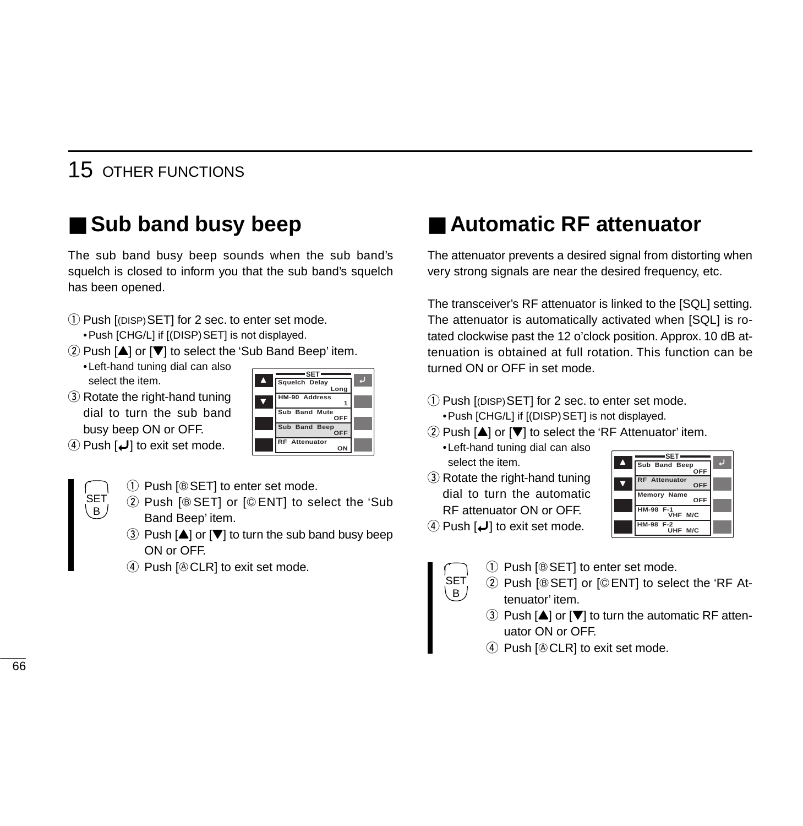### 15 OTHER FUNCTIONS

# ■ Sub band busy beep

The sub band busy beep sounds when the sub band's squelch is closed to inform you that the sub band's squelch has been opened.

- $\Omega$  Push [(DISP) SET] for 2 sec. to enter set mode. • Push [CHG/L] if [(DISP) SET] is not displayed.
- $\Omega$  Push  $[\triangle]$  or  $[\nabla]$  to select the 'Sub Band Beep' item.
	- •Left-hand tuning dial can also select the item.
- 3 Rotate the right-hand tuning dial to turn the sub band busy beep ON or OFF.

|   | SET                  |  |
|---|----------------------|--|
| Δ | Squelch Delay        |  |
|   | Long                 |  |
|   | HM-90 Address        |  |
|   | Sub Band Mute<br>OFF |  |
|   | Sub Band Beep<br>OFF |  |
|   | <b>RF</b> Attenuator |  |
|   |                      |  |

 $\Phi$  Push  $\phi$  to exit set mode.



- $(1)$  Push [ $\circledcirc$  SET] to enter set mode.
- 2 Push [® SET] or [© ENT] to select the 'Sub Band Beep' item.
- $\Omega$  Push  $\Delta$  or  $\nabla$  to turn the sub band busy beep ON or OFF.
- $\Phi$  Push  $[$   $\&$  CLR] to exit set mode.

### ■ Automatic RF attenuator

The attenuator prevents a desired signal from distorting when very strong signals are near the desired frequency, etc.

The transceiver's RF attenuator is linked to the [SQL] setting. The attenuator is automatically activated when [SQL] is rotated clockwise past the 12 o'clock position. Approx. 10 dB attenuation is obtained at full rotation. This function can be turned ON or OFF in set mode.

- q Push [(DISP)SET] for 2 sec. to enter set mode. • Push [CHG/L] if [(DISP) SET] is not displayed.
- $(2)$  Push  $[4]$  or  $[\nabla]$  to select the 'RF Attenuator' item.

•Left-hand tuning dial can also select the item.

3 Rotate the right-hand tuning dial to turn the automatic RF attenuator ON or OFF.



 $\Phi$  Push  $\phi$  to exit set mode.



- $(1)$  Push [ $\circledcirc$  SET] to enter set mode.
- 2 Push [® SET] or [© ENT] to select the 'RF Attenuator' item.
	- 3 Push  $[4]$  or  $[\nabla]$  to turn the automatic RF attenuator ON or OFF.
	- $\Phi$  Push  $[$   $\&$  CLR] to exit set mode.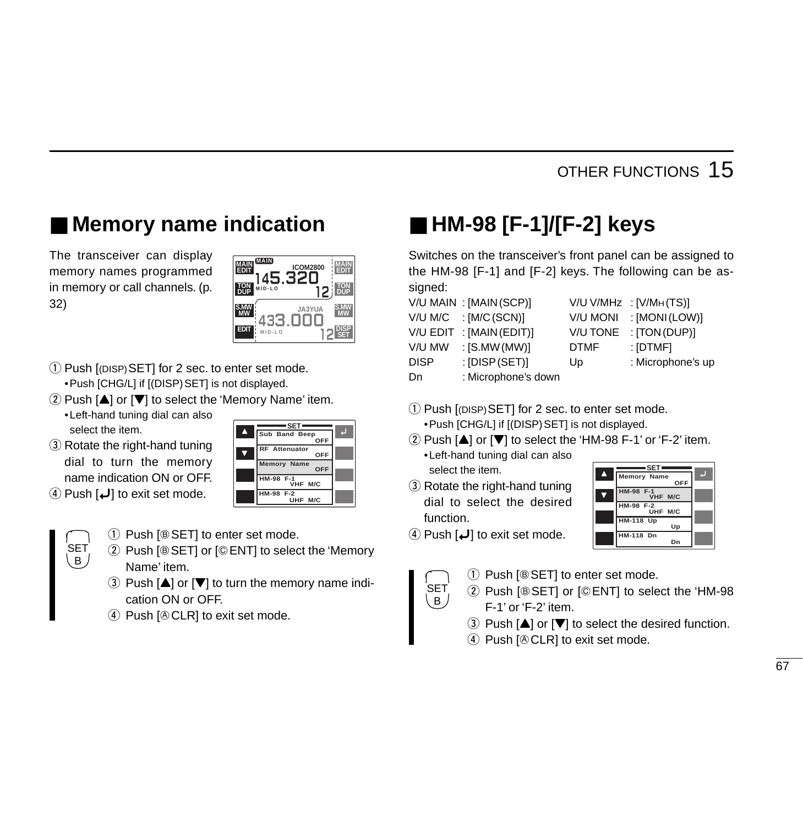# ■ **Memory name indication**

The transceiver can display memory names programmed in memory or call channels. (p. 32)

| <b>MAIN</b><br><b>ICOM2800</b><br>ЭĦ |  |
|--------------------------------------|--|
| $MID-LO$                             |  |
| JA3YUA                               |  |
| $MID-LO$                             |  |

- q Push [(DISP)SET] for 2 sec. to enter set mode. •Push [CHG/L] if [(DISP)SET] is not displayed.
- $\Omega$  Push [ $\triangle$ ] or [ $\nabla$ ] to select the 'Memory Name' item.
	- •Left-hand tuning dial can also select the item.
- 3 Rotate the right-hand tuning dial to turn the memory name indication ON or OFF.
- $\overline{a}$  Push  $\overline{u}$  to exit set mode.

SET B

- **A** Sub Band Beep  $\overline{\textbf{v}}$ **SET OFF OFF OFF VHF M/C UHF M/C RF Attenuator Memory Name HM-98 F-1 HM-98 F-2**
- $(1)$  Push [ $\circledcirc$  SET] to enter set mode.
- 2 Push [® SET] or [© ENT] to select the 'Memory Name' item.
- 3 Push  $[4]$  or  $[\nabla]$  to turn the memory name indication ON or OFF.
- $\Phi$  Push  $\Phi$  CLR] to exit set mode.

# ■ **HM-98 [F-1]/[F-2] keys**

Switches on the transceiver's front panel can be assigned to the HM-98 [F-1] and [F-2] keys. The following can be assigned:

|        | V/U MAIN : [MAIN(SCP)]   |             | $V/U V/MHz$ : $[V/MH(TS)]$ |
|--------|--------------------------|-------------|----------------------------|
|        | V/U M/C : [M/C (SCN)]    |             | V/U MONI : [MONI (LOW)]    |
|        | V/U EDIT : [MAIN (EDIT)] | V/U TONE    | : [TON (DUP)]              |
| v/u mw | $:$ [S.MW (MW)]          | <b>DTMF</b> | : [DTMF]                   |
| DISP   | $:$ [DISP(SET)]          | Up          | : Microphone's up          |
| Dn     | : Microphone's down      |             |                            |

| V/U V/MHz       | : [V/M $H(TS)$ ]  |
|-----------------|-------------------|
| <b>V/U MONI</b> | : [MONI(LOW)]     |
| <b>V/U TONE</b> | : $[TON(DUP)]$    |
| <b>DTMF</b>     | : [DTMF]          |
| Up              | : Microphone's up |
|                 |                   |

- Dn : Microphone's down
- $\Omega$  Push  $[$ (DISP) SET] for 2 sec. to enter set mode. • Push [CHG/L] if [(DISP) SET] is not displayed.
- $\Omega$  Push  $[$ **A**] or  $[$ **V** $]$  to select the 'HM-98 F-1' or 'F-2' item.
	- •Left-hand tuning dial can also select the item.
- 3 Rotate the right-hand tuning dial to select the desired function.



 $\Phi$  Push  $\phi$  to exit set mode.

B

- $(1)$  Push [ $\circledcirc$  SET] to enter set mode. SET
	- 2 Push [® SET] or [© ENT] to select the 'HM-98 F-1' or 'F-2' item.
		- $\Omega$  Push  $[4]$  or  $[\nabla]$  to select the desired function.
		- $\Phi$  Push  $\Phi$  CLR] to exit set mode.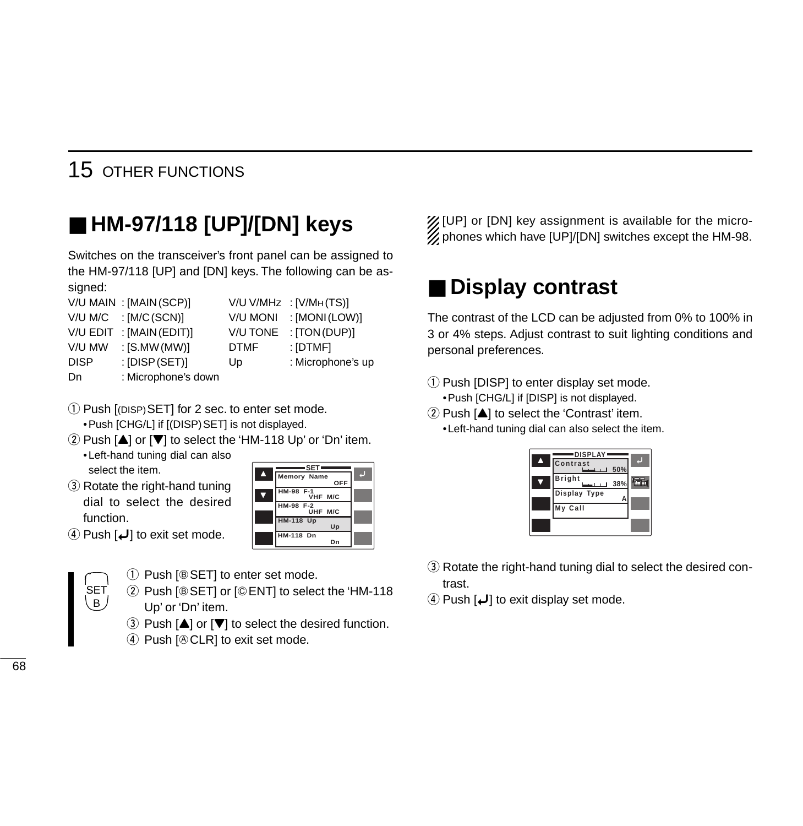### 15 OTHER FUNCTIONS

# ■ **HM-97/118 [UP]/[DN] keys**

Switches on the transceiver's front panel can be assigned to the HM-97/118 [UP] and [DN] keys. The following can be assigned:

|             | V/U MAIN : [MAIN(SCP)]  |             | V/U V/MHz : [V/MH(TS)] |
|-------------|-------------------------|-------------|------------------------|
|             | $V/U$ M/C : [M/C (SCN)] | V/U MONI    | : [MONI(LOW)]          |
| V/U EDIT    | : [MAIN (EDIT)]         | V/U TONE    | : $[TON(DUP)]$         |
| V/U MW      | $:$ [S.MW (MW)]         | <b>DTMF</b> | : [DTMF]               |
| <b>DISP</b> | $:$ [DISP (SET)]        | Up          | : Microphone's up      |
| Dn          | : Microphone's down     |             |                        |

- 1) Push [(DISP) SET] for 2 sec. to enter set mode. • Push [CHG/L] if [(DISP) SET] is not displayed.
- $\Omega$  Push  $[$ **A**] or  $[$ **V** $]$  to select the 'HM-118 Up' or 'Dn' item. •Left-hand tuning dial can also select the item. **SET**
- 3 Rotate the right-hand tuning dial to select the desired function.
- Y ï **Memory Name**  $\overline{\textbf{v}}$ **OFF VHF M/C UHF M/C Up Dn HM-98 F-1 HM-98 F-2 HM-118 Up HM-118 Dn**
- $\Phi$  Push  $\phi$  to exit set mode.

**SET**  $B$ 

|  |  |  | 1 Push [® SET] to enter set mode. |
|--|--|--|-----------------------------------|
|--|--|--|-----------------------------------|

- 2 Push [® SET] or [© ENT] to select the 'HM-118 Up' or 'Dn' item.
	- $\Omega$  Push  $[\triangle]$  or  $[\nabla]$  to select the desired function.
	- $\Phi$  Push  $[$   $\&$  CLR] to exit set mode.

X [UP] or [DN] key assignment is available for the micro- $\%$  phones which have [UP]/[DN] switches except the HM-98.

# ■ **Display contrast**

The contrast of the LCD can be adjusted from 0% to 100% in 3 or 4% steps. Adjust contrast to suit lighting conditions and personal preferences.

- $\Omega$  Push [DISP] to enter display set mode.
	- •Push [CHG/L] if [DISP] is not displayed.
- $(2)$  Push  $[4]$  to select the 'Contrast' item. •Left-hand tuning dial can also select the item.



- 3) Rotate the right-hand tuning dial to select the desired contrast.
- $\Phi$  Push  $\phi$  to exit display set mode.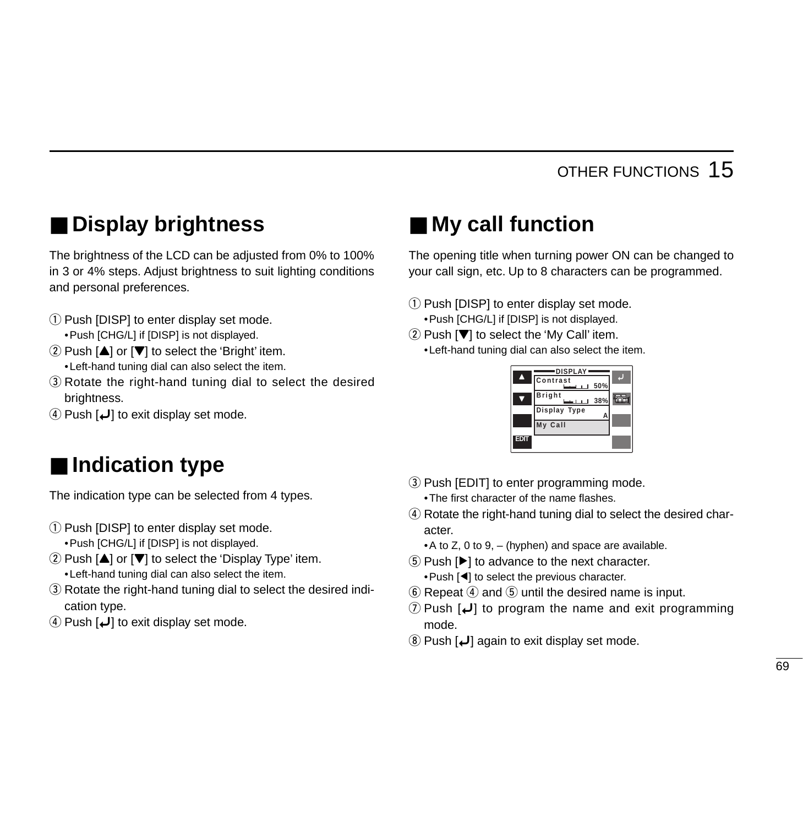# ■ **Display brightness**

The brightness of the LCD can be adjusted from 0% to 100% in 3 or 4% steps. Adjust brightness to suit lighting conditions and personal preferences.

- $(1)$  Push [DISP] to enter display set mode.
	- •Push [CHG/L] if [DISP] is not displayed.
- $(2)$  Push  $[$ **A** $]$  or  $[$ **V** $]$  to select the 'Bright' item. •Left-hand tuning dial can also select the item.
- <sup>(3)</sup> Rotate the right-hand tuning dial to select the desired brightness.
- $\overline{a}$  Push  $\overline{u}$ ] to exit display set mode.

# ■ **Indication type**

The indication type can be selected from 4 types.

 $(i)$  Push [DISP] to enter display set mode.

•Push [CHG/L] if [DISP] is not displayed.

- $\Omega$  Push  $[\triangle]$  or  $[\nabla]$  to select the 'Display Type' item. •Left-hand tuning dial can also select the item.
- 3) Rotate the right-hand tuning dial to select the desired indication type.
- *A* Push  $\boldsymbol{\downarrow}$  to exit display set mode.

# ■ **My call function**

The opening title when turning power ON can be changed to your call sign, etc. Up to 8 characters can be programmed.

- q Push [DISP] to enter display set mode. •Push [CHG/L] if [DISP] is not displayed.
- $\Omega$  Push  $[\nabla]$  to select the 'My Call' item.

•Left-hand tuning dial can also select the item.



- (3) Push [EDIT] to enter programming mode. •The first character of the name flashes.
- r Rotate the right-hand tuning dial to select the desired character.
	- $\bullet$  A to Z, 0 to 9, (hyphen) and space are available.
- $(5)$  Push  $[্r]$  to advance to the next character. •Push [Ω] to select the previous character.
- $\circled{6}$  Repeat  $\circled{4}$  and  $\circled{5}$  until the desired name is input.
- $\overline{O}$  Push  $\overline{L}$  to program the name and exit programming mode.
- $\Omega$  Push  $\Box$  again to exit display set mode.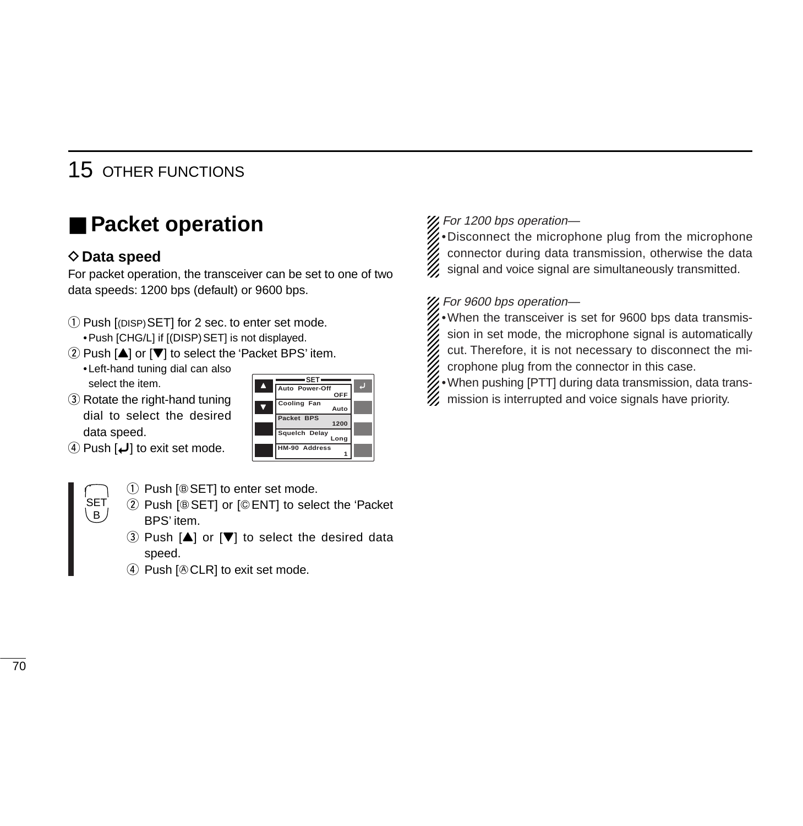# ■ **Packet operation**

### D**Data speed**

For packet operation, the transceiver can be set to one of two data speeds: 1200 bps (default) or 9600 bps.

- q Push [(DISP)SET] for 2 sec. to enter set mode. • Push [CHG/L] if [(DISP) SET] is not displayed.
- $\Omega$  Push  $[\triangle]$  or  $[\nabla]$  to select the 'Packet BPS' item.
	- •Left-hand tuning dial can also select the item.
- 3 Rotate the right-hand tuning dial to select the desired data speed.
- $\Phi$  Push  $\phi$  to exit set mode.

| -SET-                 |  |
|-----------------------|--|
| Auto Power-Off        |  |
| OFF                   |  |
| Cooling Fan<br>Auto   |  |
| Packet BPS<br>1200    |  |
| Squelch Delay<br>Long |  |
| HM-90 Address         |  |

- SET B
- $(1)$  Push [ $\circledcirc$  SET] to enter set mode.
- 2 Push [® SET] or [© ENT] to select the 'Packet BPS' item.
- $\Omega$  Push  $[A]$  or  $[\nabla]$  to select the desired data speed.
- $\Phi$  Push  $[$   $\&$  CLR] to exit set mode.

#### X, For 1200 bps operation-

 $\mathscr{U}\bullet$  Disconnect the microphone plug from the microphone connector during data transmission, otherwise the data signal and voice signal are simultaneously transmitted.

#### For 9600 bps operation—

- $\mathscr{U}\bullet$  When the transceiver is set for 9600 bps data transmis
	- sion in set mode, the microphone signal is automatically
	- cut. Therefore, it is not necessary to disconnect the mi-
	- crophone plug from the connector in this case.
- •When pushing [PTT] during data transmission, data trans-
- $\mathcal{U}$  mission is interrupted and voice signals have priority.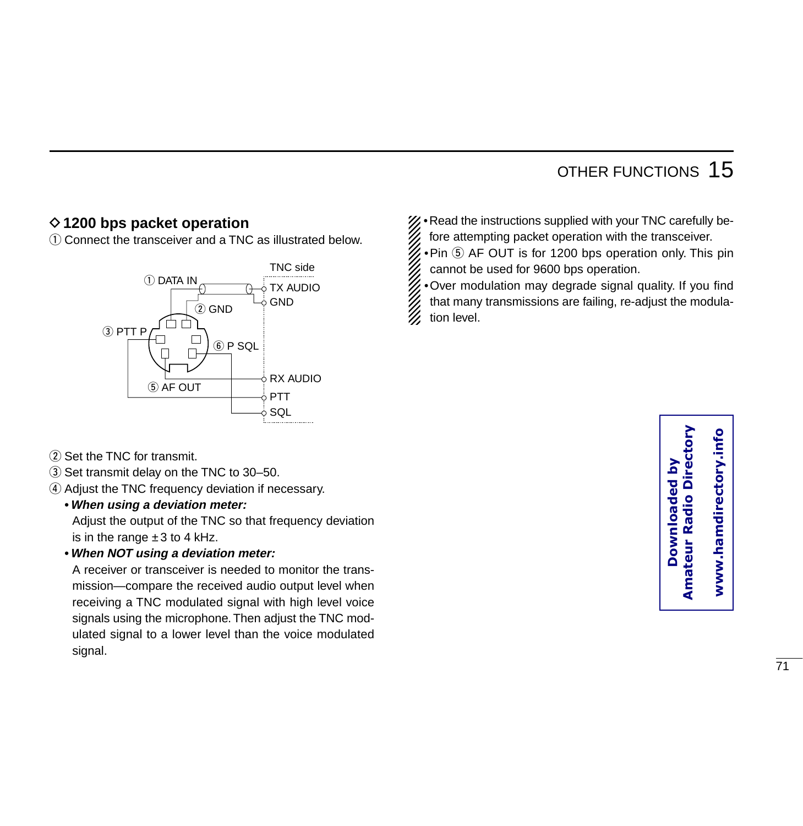### **◇1200 bps packet operation**

q Connect the transceiver and a TNC as illustrated below.



- (2) Set the TNC for transmit.
- 3) Set transmit delay on the TNC to 30-50.
- 4) Adjust the TNC frequency deviation if necessary.
	- **•When using a deviation meter:**

Adjust the output of the TNC so that frequency deviation is in the range  $\pm 3$  to 4 kHz.

#### **•When NOT using a deviation meter:**

A receiver or transceiver is needed to monitor the transmission—compare the received audio output level when receiving a TNC modulated signal with high level voice signals using the microphone. Then adjust the TNC modulated signal to a lower level than the voice modulated signal.

•Read the instructions supplied with your TNC carefully before attempting packet operation with the transceiver.

 $\cdot$ Pin  $\circledS$  AF OUT is for 1200 bps operation only. This pin cannot be used for 9600 bps operation.

•Over modulation may degrade signal quality. If you find that many transmissions are failing, re-adjust the modulation level.

> **Amateur Radio Directory Downloaded by**  <u>ۂ</u> **Amateur Radio Dire Downloaded**

www.hamdirectory.info **www.hamdirectory.info**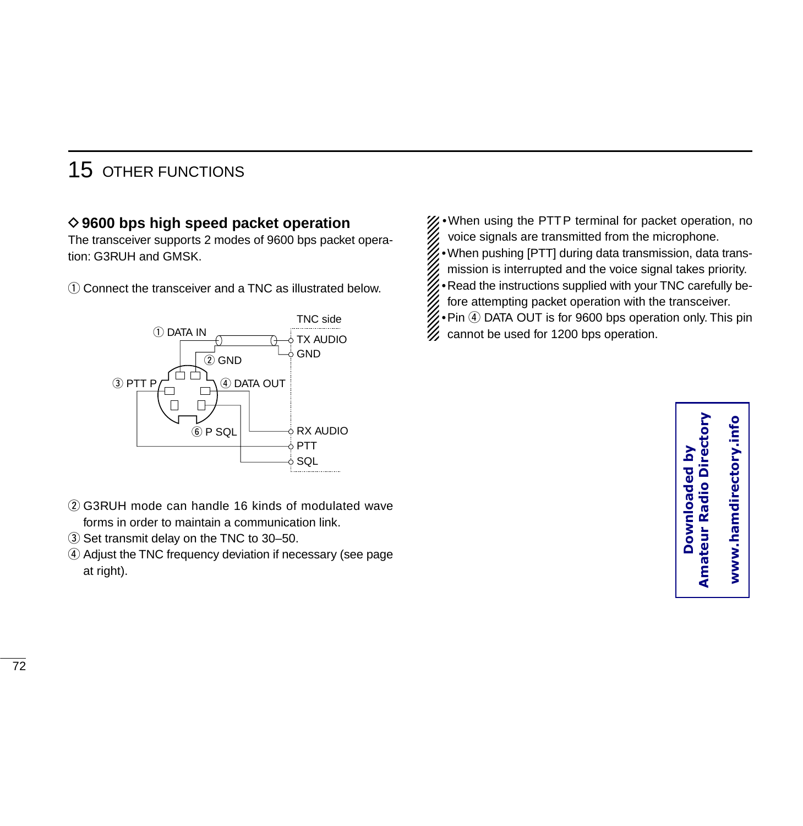### **◇ 9600 bps high speed packet operation**

The transceiver supports 2 modes of 9600 bps packet operation: G3RUH and GMSK.

 $\Omega$  Connect the transceiver and a TNC as illustrated below.



- w G3RUH mode can handle 16 kinds of modulated wave forms in order to maintain a communication link.
- 3) Set transmit delay on the TNC to 30-50.
- r Adjust the TNC frequency deviation if necessary (see page at right).
- •When using the PTTP terminal for packet operation, no voice signals are transmitted from the microphone.
- •When pushing [PTT] during data transmission, data trans-
- mission is interrupted and the voice signal takes priority.
- •Read the instructions supplied with your TNC carefully be-
- fore attempting packet operation with the transceiver.
- Pin 4 DATA OUT is for 9600 bps operation only. This pin cannot be used for 1200 bps operation.

**Amateur Radio Directory**  www.hamdirectory.info **www.hamdirectory.infoDownloaded by Amateur Radio Dire** Downloaded by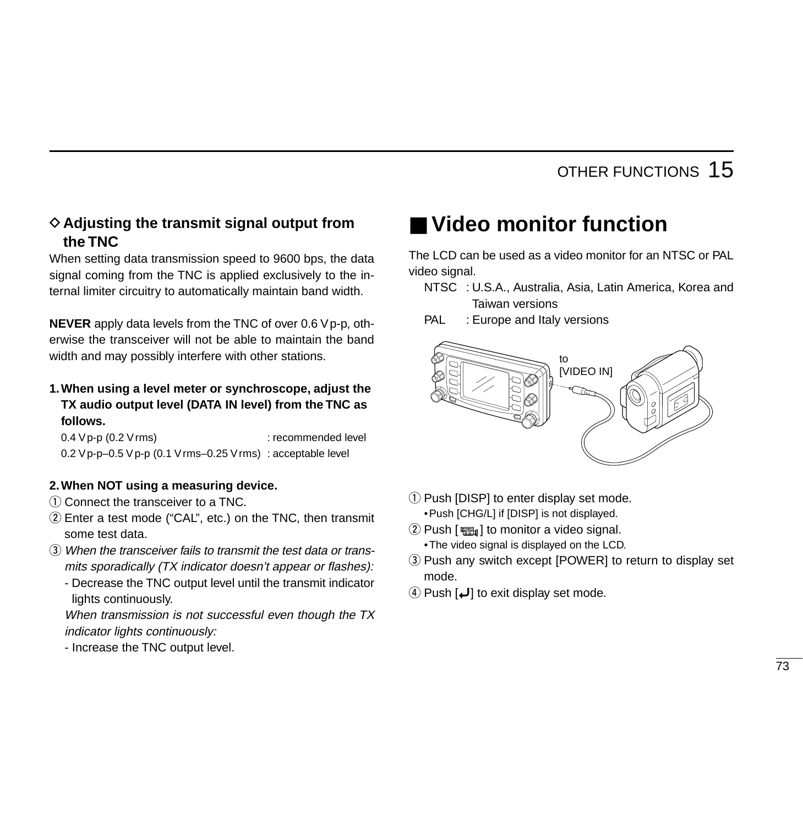### **♦ Adjusting the transmit signal output from the TNC**

When setting data transmission speed to 9600 bps, the data signal coming from the TNC is applied exclusively to the internal limiter circuitry to automatically maintain band width.

**NEVER** apply data levels from the TNC of over 0.6 Vp-p, otherwise the transceiver will not be able to maintain the band width and may possibly interfere with other stations.

**1.When using a level meter or synchroscope, adjust the TX audio output level (DATA IN level) from the TNC as follows.**

0.4 Vp-p (0.2 Vrms) : recommended level 0.2 Vp-p–0.5 Vp-p (0.1 Vrms–0.25 Vrms) : acceptable level

#### **2.When NOT using a measuring device.**

- $\Omega$  Connect the transceiver to a TNC.
- 2) Enter a test mode ("CAL", etc.) on the TNC, then transmit some test data.
- e When the transceiver fails to transmit the test data or transmits sporadically (TX indicator doesn't appear or flashes):
	- Decrease the TNC output level until the transmit indicator lights continuously.

When transmission is not successful even though the TX indicator lights continuously:

- Increase the TNC output level.

## ■ **Video monitor function**

The LCD can be used as a video monitor for an NTSC or PAL video signal.

- NTSC : U.S.A., Australia, Asia, Latin America, Korea and Taiwan versions
- PAL : Europe and Italy versions



- $(i)$  Push [DISP] to enter display set mode. •Push [CHG/L] if [DISP] is not displayed.
- $(2)$  Push [ $math>$ •The video signal is displayed on the LCD.
- e Push any switch except [POWER] to return to display set mode.
- **4)** Push  $\left[\right]$  to exit display set mode.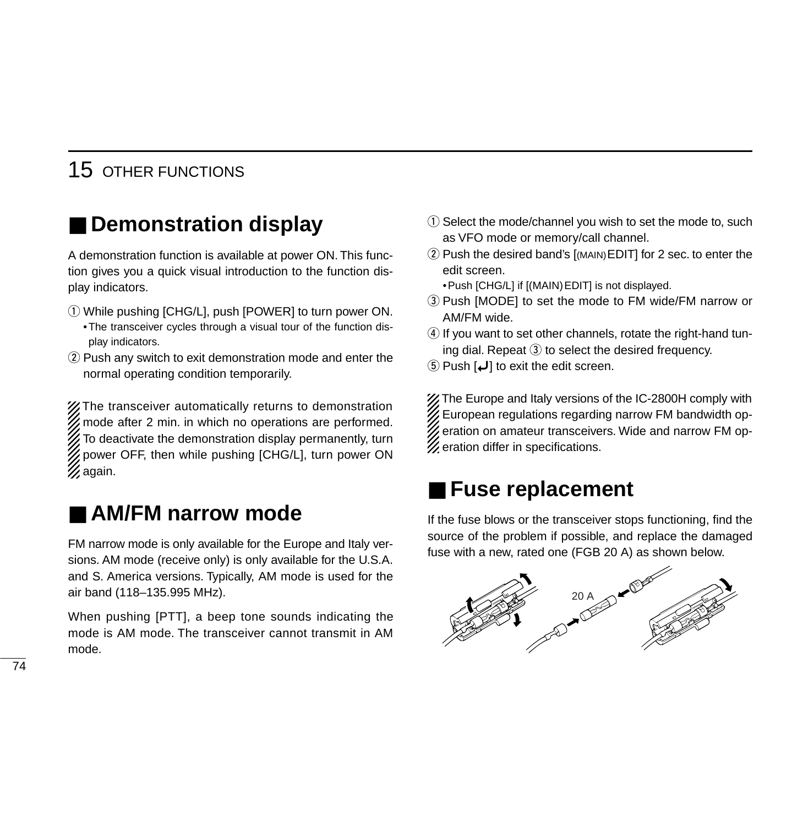# ■ Demonstration display

A demonstration function is available at power ON. This function gives you a quick visual introduction to the function display indicators.

- q While pushing [CHG/L], push [POWER] to turn power ON.
	- •The transceiver cycles through a visual tour of the function display indicators.
- $\Omega$  Push any switch to exit demonstration mode and enter the normal operating condition temporarily.

The transceiver automatically returns to demonstration mode after 2 min. in which no operations are performed. To deactivate the demonstration display permanently, turn power OFF, then while pushing [CHG/L], turn power ON  $\mathscr{U}$ again.

## ■ **AM/FM** narrow mode

FM narrow mode is only available for the Europe and Italy versions. AM mode (receive only) is only available for the U.S.A. and S. America versions. Typically, AM mode is used for the air band (118–135.995 MHz).

When pushing [PTT], a beep tone sounds indicating the mode is AM mode. The transceiver cannot transmit in AM mode.

- $\Omega$  Select the mode/channel you wish to set the mode to, such as VFO mode or memory/call channel.
- 2 Push the desired band's [(MAIN) EDIT] for 2 sec. to enter the edit screen.
	- •Push [CHG/L] if [(MAIN)EDIT] is not displayed.
- 3) Push [MODE] to set the mode to FM wide/FM narrow or AM/FM wide.
- **4**) If you want to set other channels, rotate the right-hand tuning dial. Repeat  $\Im$  to select the desired frequency.
- 5 Push  $\left[\bigcup\right]$  to exit the edit screen.

X The Europe and Italy versions of the IC-2800H comply with European regulations regarding narrow FM bandwidth operation on amateur transceivers. Wide and narrow FM op-**Z** eration differ in specifications.

## ■ Fuse replacement

If the fuse blows or the transceiver stops functioning, find the source of the problem if possible, and replace the damaged fuse with a new, rated one (FGB 20 A) as shown below.

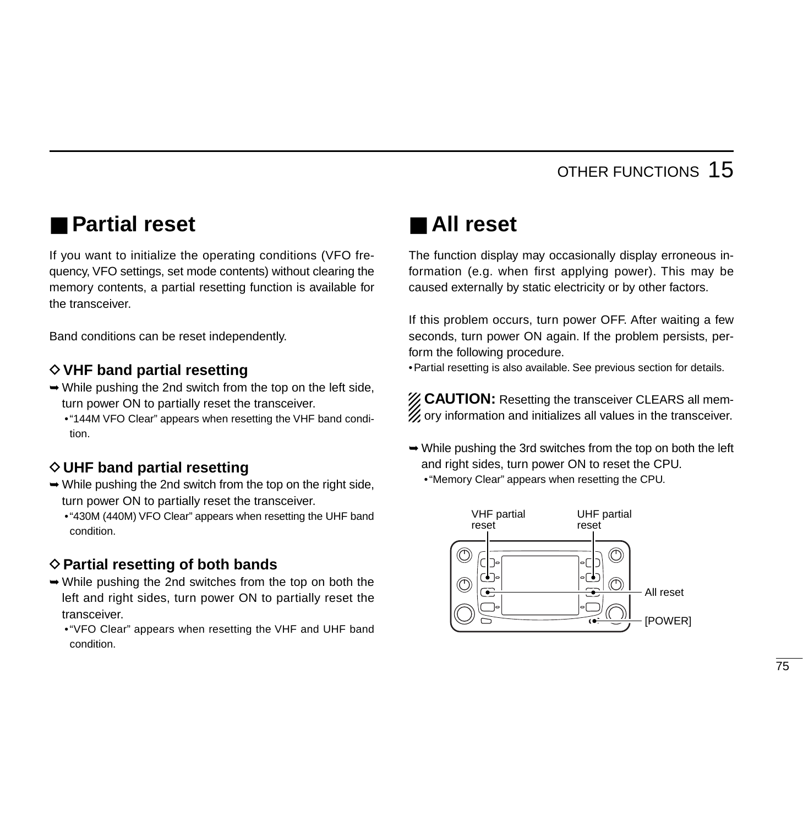# ■ **Partial reset**

If you want to initialize the operating conditions (VFO frequency, VFO settings, set mode contents) without clearing the memory contents, a partial resetting function is available for the transceiver.

Band conditions can be reset independently.

### **◇ VHF band partial resetting**

- ➥While pushing the 2nd switch from the top on the left side, turn power ON to partially reset the transceiver.
	- •"144M VFO Clear" appears when resetting the VHF band condition.

### **◇ UHF band partial resetting**

- $\rightarrow$  While pushing the 2nd switch from the top on the right side, turn power ON to partially reset the transceiver.
	- •"430M (440M) VFO Clear" appears when resetting the UHF band condition.

### **♦ Partial resetting of both bands**

- ➥While pushing the 2nd switches from the top on both the left and right sides, turn power ON to partially reset the transceiver.
	- •"VFO Clear" appears when resetting the VHF and UHF band condition.

## ■ **All reset**

The function display may occasionally display erroneous information (e.g. when first applying power). This may be caused externally by static electricity or by other factors.

If this problem occurs, turn power OFF. After waiting a few seconds, turn power ON again. If the problem persists, perform the following procedure.

•Partial resetting is also available. See previous section for details.

**ZZ CAUTION:** Resetting the transceiver CLEARS all mem- $\mathbb Z$  ory information and initializes all values in the transceiver.

 $\rightarrow$  While pushing the 3rd switches from the top on both the left and right sides, turn power ON to reset the CPU. •"Memory Clear" appears when resetting the CPU.

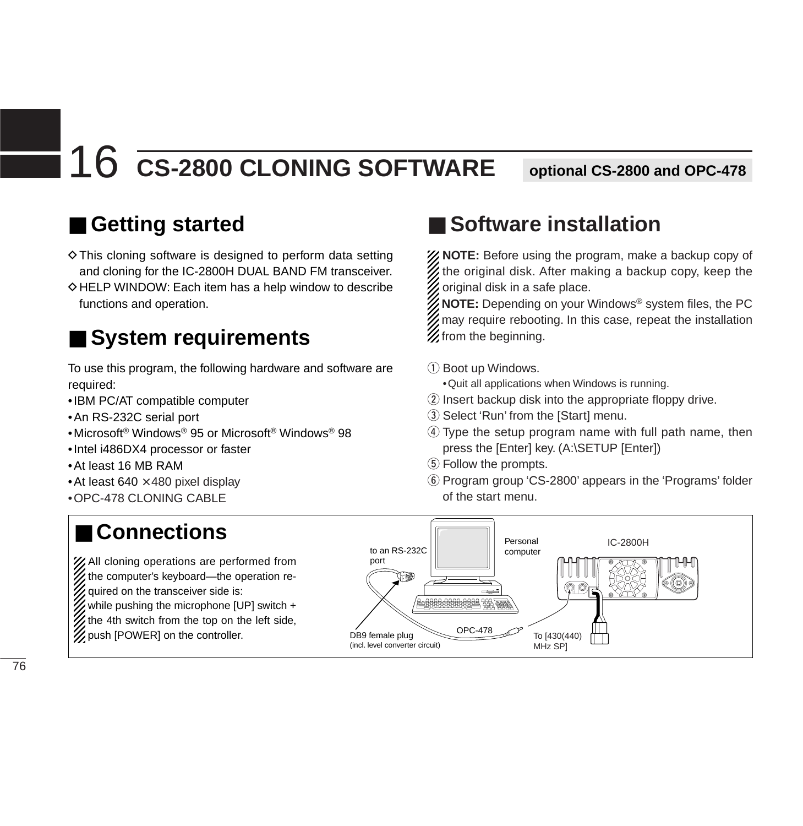# 16 **CS-2800 CLONING SOFTWARE optional CS-2800 and OPC-478**

# ■ Getting started

 $\Diamond$  This cloning software is designed to perform data setting and cloning for the IC-2800H DUAL BAND FM transceiver.  $\Diamond$  HELP WINDOW: Each item has a help window to describe functions and operation.

# ■ **System requirements**

To use this program, the following hardware and software are required:

- •IBM PC/AT compatible computer
- •An RS-232C serial port
- •Microsoft® Windows® 95 or Microsoft® Windows® 98
- •Intel i486DX4 processor or faster
- •At least 16 MB RAM
- At least 640  $\times$  480 pixel display
- •OPC-478 CLONING CABLE

# ■ Software installation

XXXX NOTE: Before using the program, make a backup copy of the original disk. After making a backup copy, keep the original disk in a safe place.

**NOTE:** Depending on your Windows® system files, the PC may require rebooting. In this case, repeat the installation  $\mathcal{\mathscr{L}}$  from the beginning.

- q Boot up Windows.
	- •Quit all applications when Windows is running.
- 2 Insert backup disk into the appropriate floppy drive.
- 3) Select 'Run' from the [Start] menu.
- **4**) Type the setup program name with full path name, then press the [Enter] key. (A:\SETUP [Enter])
- **5** Follow the prompts.
- y Program group 'CS-2800' appears in the 'Programs' folder of the start menu.



# ■ **Connections**

XX All cloning operations are performed from  $\mathcal{U}$  the computer's keyboard—the operation required on the transceiver side is: while pushing the microphone [UP] switch  $+$  $\mathbb Z$  the 4th switch from the top on the left side, push [POWER] on the controller.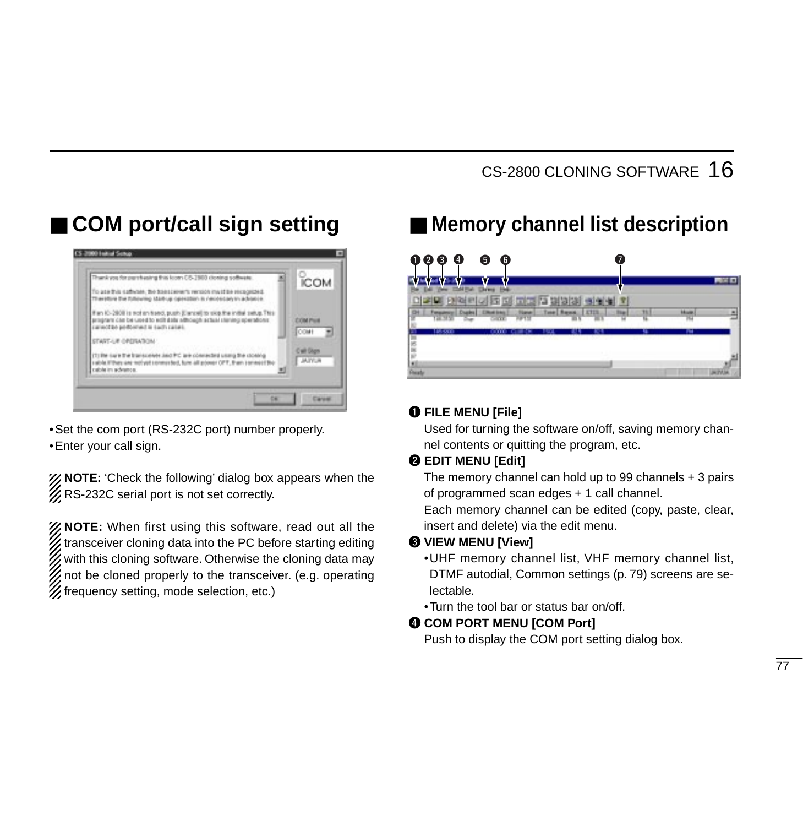# ■ **COM** port/call sign setting



•Set the com port (RS-232C port) number properly. •Enter your call sign.

*X* NOTE: 'Check the following' dialog box appears when the **Z**RS-232C serial port is not set correctly.

**NOTE:** When first using this software, read out all the transceiver cloning data into the PC before starting editing with this cloning software. Otherwise the cloning data may not be cloned properly to the transceiver. (e.g. operating frequency setting, mode selection, etc.)

# ■ Memory channel list description



### q **FILE MENU [File]**

Used for turning the software on/off, saving memory channel contents or quitting the program, etc.

#### **WEDIT MENU [Edit]**

The memory channel can hold up to 99 channels + 3 pairs of programmed scan edges + 1 call channel.

Each memory channel can be edited (copy, paste, clear, insert and delete) via the edit menu.

#### e **VIEW MENU [View]**

- •UHF memory channel list, VHF memory channel list, DTMF autodial, Common settings (p. 79) screens are selectable.
- •Turn the tool bar or status bar on/off.

#### **COM PORT MENU [COM Port]**

Push to display the COM port setting dialog box.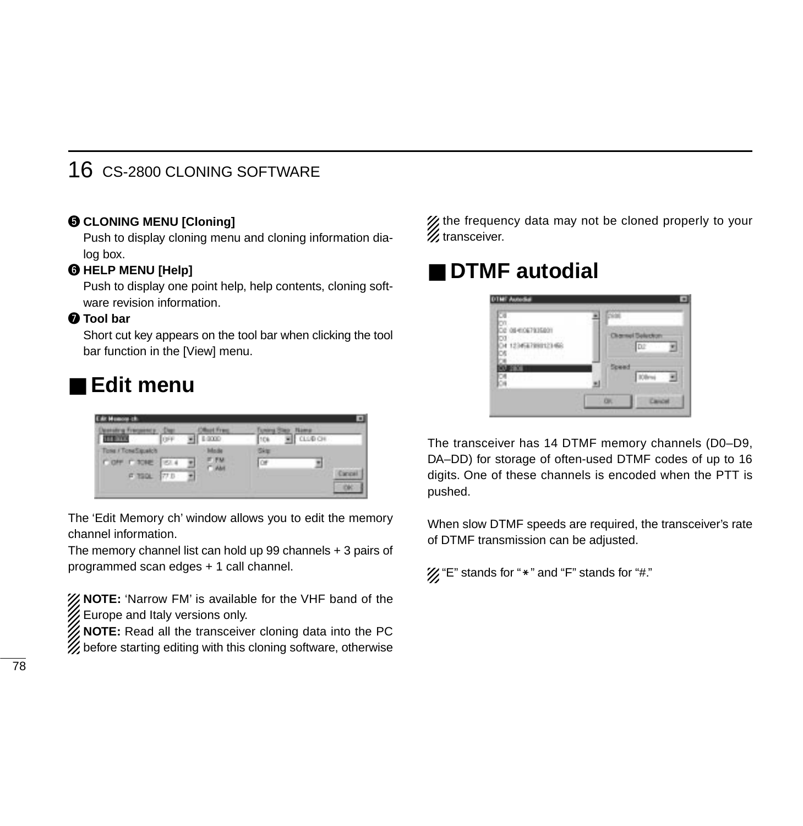### 16 CS-2800 CLONING SOFTWARE

### $\odot$  **CLONING MENU [Cloning]**

Push to display cloning menu and cloning information dialog box.

### $\odot$  **HELP MENU [Help]**

Push to display one point help, help contents, cloning software revision information.

#### **D** Tool bar

Short cut key appears on the tool bar when clicking the tool bar function in the [View] menu.

## ■ **Edit menu**



The 'Edit Memory ch' window allows you to edit the memory channel information.

The memory channel list can hold up 99 channels + 3 pairs of programmed scan edges + 1 call channel.

*X* NOTE: 'Narrow FM' is available for the VHF band of the  $\mathscr W$  Europe and Italy versions only.

**NOTE:** Read all the transceiver cloning data into the PC  $\mathcal{U}$  before starting editing with this cloning software, otherwise

 $\mathcal{U}$  the frequency data may not be cloned properly to your  $\mathcal{\mathscr{U}}$  transceiver.

# ■ **DTMF** autodial



The transceiver has 14 DTMF memory channels (D0–D9, DA–DD) for storage of often-used DTMF codes of up to 16 digits. One of these channels is encoded when the PTT is pushed.

When slow DTMF speeds are required, the transceiver's rate of DTMF transmission can be adjusted.

 $\mathcal{U}$  "E" stands for " $*$ " and "F" stands for "#."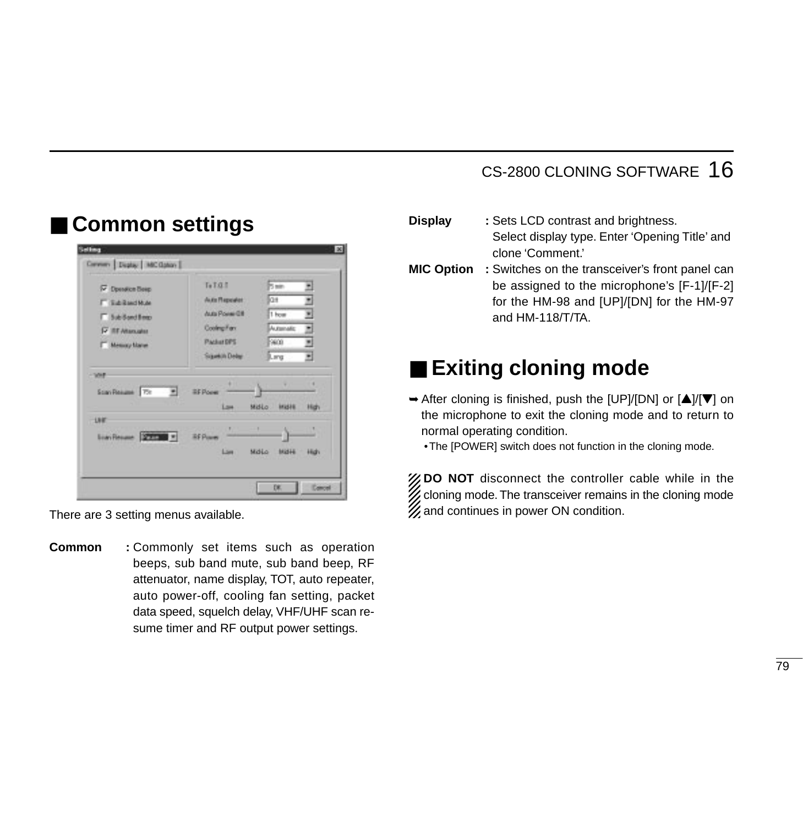### CS-2800 CLONING SOFTWARE 16

|                                     | TA               | Ban.                  |        |
|-------------------------------------|------------------|-----------------------|--------|
| <b>V</b> Doesdice Beep              | Auto Reporter    | la#                   | ٠      |
| <b>F Sciend Mar</b>                 | Auto Power Off   | 1 how                 | ۳      |
| F Sub-Sand Beep                     | Cooling Farr     | Automatic             |        |
| <b>IV III Altanuales</b>            | Packet DPS       | 19600                 | E<br>٠ |
| Messag Marer                        | Squeetilly Delay | JL ang                | 되      |
| WH                                  |                  |                       |        |
| Scan Resume The<br>. .              | <b>BF Poem</b>   |                       |        |
|                                     | Law              | Midio<br><b>INGHE</b> | High   |
| 1月前                                 | ٠                | ٠                     | ٠      |
|                                     | <b>RF Puse</b>   |                       |        |
| Page 1<br><b>Liavi Finsure</b><br>ы |                  |                       |        |

■ **Common settings**

There are 3 setting menus available.

**Common :** Commonly set items such as operation beeps, sub band mute, sub band beep, RF attenuator, name display, TOT, auto repeater, auto power-off, cooling fan setting, packet data speed, squelch delay, VHF/UHF scan resume timer and RF output power settings.

- **Display :** Sets LCD contrast and brightness. Select display type. Enter 'Opening Title' and clone 'Comment.'
- **MIC Option :** Switches on the transceiver's front panel can be assigned to the microphone's [F-1]/[F-2] for the HM-98 and [UP]/[DN] for the HM-97 and HM-118/T/TA.

# ■ **Exiting cloning mode**

- $\rightarrow$  After cloning is finished, push the [UP]/[DN] or  $\Delta$ ]/ $\triangledown$ ] on the microphone to exit the cloning mode and to return to normal operating condition.
	- •The [POWER] switch does not function in the cloning mode.

**ZO NOT** disconnect the controller cable while in the  $\mathscr G$  cloning mode. The transceiver remains in the cloning mode  $\mathscr{U}$  and continues in power ON condition.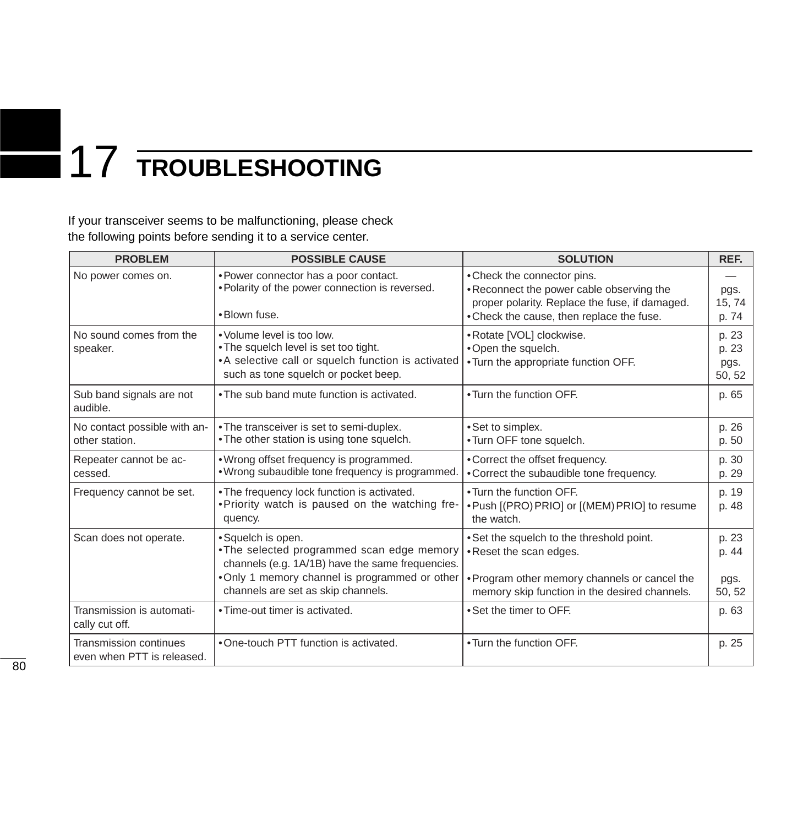# 17 **TROUBLESHOOTING**

If your transceiver seems to be malfunctioning, please check the following points before sending it to a service center.

| <b>PROBLEM</b>                                       | <b>POSSIBLE CAUSE</b>                                                                                                                                                                                        | <b>SOLUTION</b>                                                                                                                                                        | REF.                             |
|------------------------------------------------------|--------------------------------------------------------------------------------------------------------------------------------------------------------------------------------------------------------------|------------------------------------------------------------------------------------------------------------------------------------------------------------------------|----------------------------------|
| No power comes on.                                   | • Power connector has a poor contact.<br>. Polarity of the power connection is reversed.<br>•Blown fuse.                                                                                                     | • Check the connector pins.<br>•Reconnect the power cable observing the<br>proper polarity. Replace the fuse, if damaged.<br>.Check the cause, then replace the fuse.  | pgs.<br>15, 74<br>p. 74          |
| No sound comes from the<br>speaker.                  | . Volume level is too low.<br>• The squelch level is set too tight.<br>• A selective call or squelch function is activated<br>such as tone squelch or pocket beep.                                           | • Rotate [VOL] clockwise.<br>.Open the squelch.<br>. Turn the appropriate function OFF.                                                                                | p. 23<br>p. 23<br>pgs.<br>50, 52 |
| Sub band signals are not<br>audible.                 | • The sub band mute function is activated.                                                                                                                                                                   | . Turn the function OFF.                                                                                                                                               | p. 65                            |
| No contact possible with an-<br>other station.       | . The transceiver is set to semi-duplex.<br>. The other station is using tone squelch.                                                                                                                       | • Set to simplex.<br>•Turn OFF tone squelch.                                                                                                                           | p. 26<br>p. 50                   |
| Repeater cannot be ac-<br>cessed.                    | • Wrong offset frequency is programmed.<br>. Wrong subaudible tone frequency is programmed.                                                                                                                  | • Correct the offset frequency.<br>• Correct the subaudible tone frequency.                                                                                            | p. 30<br>p. 29                   |
| Frequency cannot be set.                             | . The frequency lock function is activated.<br>. Priority watch is paused on the watching fre-<br>quency.                                                                                                    | . Turn the function OFF.<br>. Push [(PRO) PRIO] or [(MEM) PRIO] to resume<br>the watch.                                                                                | p. 19<br>p. 48                   |
| Scan does not operate.                               | • Squelch is open.<br>. The selected programmed scan edge memory<br>channels (e.g. 1A/1B) have the same frequencies.<br>. Only 1 memory channel is programmed or other<br>channels are set as skip channels. | . Set the squelch to the threshold point.<br>• Reset the scan edges.<br>• Program other memory channels or cancel the<br>memory skip function in the desired channels. | p. 23<br>p. 44<br>pgs.<br>50, 52 |
| Transmission is automati-<br>cally cut off.          | • Time-out timer is activated.                                                                                                                                                                               | • Set the timer to OFF.                                                                                                                                                | p. 63                            |
| Transmission continues<br>even when PTT is released. | . One-touch PTT function is activated.                                                                                                                                                                       | . Turn the function OFF.                                                                                                                                               | p. 25                            |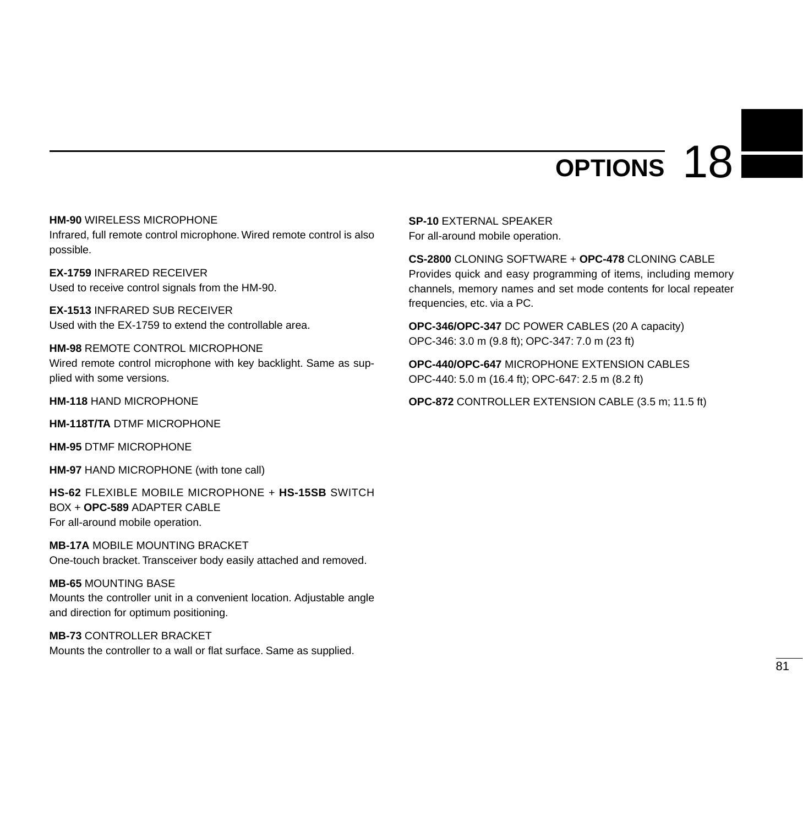# **OPTIONS** 18

**HM-90** WIRELESS MICROPHONE

Infrared, full remote control microphone. Wired remote control is also possible.

**EX-1759** INFRARED RECEIVER Used to receive control signals from the HM-90.

**EX-1513** INFRARED SUB RECEIVER Used with the EX-1759 to extend the controllable area.

**HM-98** REMOTE CONTROL MICROPHONE Wired remote control microphone with key backlight. Same as supplied with some versions.

**HM-118** HAND MICROPHONE

**HM-118T/TA** DTMF MICROPHONE

**HM-95** DTMF MICROPHONE

**HM-97** HAND MICROPHONE (with tone call)

**HS-62** FLEXIBLE MOBILE MICROPHONE + **HS-15SB** SWITCH BOX + **OPC-589** ADAPTER CABLE For all-around mobile operation.

**MB-17A** MOBILE MOUNTING BRACKET One-touch bracket. Transceiver body easily attached and removed.

#### **MB-65** MOUNTING BASE

Mounts the controller unit in a convenient location. Adjustable angle and direction for optimum positioning.

**MB-73** CONTROLLER BRACKET Mounts the controller to a wall or flat surface. Same as supplied. **SP-10** EXTERNAL SPEAKER For all-around mobile operation.

**CS-2800** CLONING SOFTWARE + **OPC-478** CLONING CABLE Provides quick and easy programming of items, including memory channels, memory names and set mode contents for local repeater frequencies, etc. via a PC.

**OPC-346/OPC-347** DC POWER CABLES (20 A capacity) OPC-346: 3.0 m (9.8 ft); OPC-347: 7.0 m (23 ft)

**OPC-440/OPC-647** MICROPHONE EXTENSION CABLES OPC-440: 5.0 m (16.4 ft); OPC-647: 2.5 m (8.2 ft)

**OPC-872** CONTROLLER EXTENSION CABLE (3.5 m; 11.5 ft)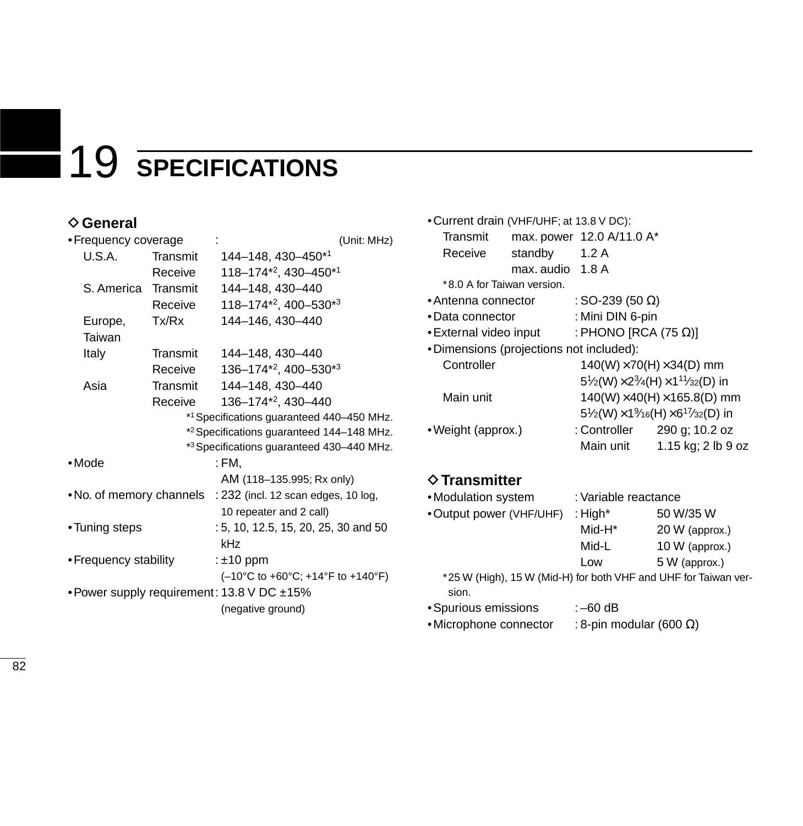# 19 **SPECIFICATIONS**

### **♦ General**

| • Frequency coverage                       |          | (Unit: MHz)                                                                  |
|--------------------------------------------|----------|------------------------------------------------------------------------------|
| U.S.A.                                     | Transmit | 144-148, 430-450*1                                                           |
|                                            | Receive  | 118-174*2, 430-450*1                                                         |
| S. America Transmit                        |          | 144-148, 430-440                                                             |
|                                            | Receive  | $118 - 174^{*2}$ , 400-530 <sup>*3</sup>                                     |
| Europe,                                    | Tx/Rx    | 144-146, 430-440                                                             |
| Taiwan                                     |          |                                                                              |
| Italy                                      | Transmit | 144-148, 430-440                                                             |
|                                            | Receive  | $136 - 174^{*2}$ , 400-530 <sup>*3</sup>                                     |
| Asia                                       | Transmit | 144-148, 430-440                                                             |
|                                            | Receive  | 136-174*2, 430-440                                                           |
|                                            |          | *1 Specifications guaranteed 440-450 MHz.                                    |
|                                            |          | * <sup>2</sup> Specifications guaranteed 144-148 MHz.                        |
|                                            |          | *3 Specifications guaranteed 430-440 MHz.                                    |
| •Mode                                      |          | : FM.                                                                        |
|                                            |          | AM (118–135.995; Rx only)                                                    |
| • No. of memory channels                   |          | : 232 (incl. 12 scan edges, 10 log,                                          |
|                                            |          | 10 repeater and 2 call)                                                      |
| •Tuning steps                              |          | : 5, 10, 12.5, 15, 20, 25, 30 and 50                                         |
|                                            |          | kHz                                                                          |
| • Frequency stability                      |          | : $±10$ ppm                                                                  |
|                                            |          | $(-10^{\circ}$ C to +60 $^{\circ}$ C; +14 $^{\circ}$ F to +140 $^{\circ}$ F) |
| • Power supply requirement: 13.8 V DC ±15% |          |                                                                              |
|                                            |          | (negative ground)                                                            |

| • Current drain (VHF/UHF; at 13.8 V DC): |                  |                                     |                                                                                                  |
|------------------------------------------|------------------|-------------------------------------|--------------------------------------------------------------------------------------------------|
| Transmit                                 |                  | max. power 12.0 A/11.0 A*           |                                                                                                  |
| Receive                                  | standby          | 1.2A                                |                                                                                                  |
|                                          | max. audio 1.8 A |                                     |                                                                                                  |
| *8.0 A for Taiwan version.               |                  |                                     |                                                                                                  |
| • Antenna connector                      |                  | : SO-239 (50 $\Omega$ )             |                                                                                                  |
| • Data connector                         |                  | : Mini DIN 6-pin                    |                                                                                                  |
| • External video input                   |                  | : PHONO [RCA (75 $\Omega$ )]        |                                                                                                  |
| •Dimensions (projections not included):  |                  |                                     |                                                                                                  |
| Controller                               |                  | $140(W)\times 70(H)\times 34(D)$ mm |                                                                                                  |
|                                          |                  |                                     | $5\frac{1}{2}$ (W) × 2 $\frac{3}{4}$ (H) × 1 <sup>1</sup> $\frac{1}{3}$ <sub>2</sub> (D) in      |
| Main unit                                |                  |                                     | $140(W)\times 40(H)\times 165.8(D)$ mm                                                           |
|                                          |                  |                                     | $5\frac{1}{2}$ (W) $\times$ 1 $\frac{9}{16}$ (H) $\times$ 6 <sup>17</sup> / <sub>32</sub> (D) in |
| • Weight (approx.)                       |                  |                                     | : Controller $290$ g; 10.2 oz                                                                    |
|                                          |                  | Main unit                           | 1.15 kg; 2 lb 9 oz                                                                               |
|                                          |                  |                                     |                                                                                                  |

### **◇ Transmitter**

| •Modulation system                                              | : Variable reactance |                |
|-----------------------------------------------------------------|----------------------|----------------|
| •Output power (VHF/UHF)                                         | : High $*$           | 50 W/35 W      |
|                                                                 | Mid-H <sup>*</sup>   | 20 W (approx.) |
|                                                                 | Mid-L                | 10 W (approx.) |
|                                                                 | Low                  | 5 W (approx.)  |
| *25 W (High), 15 W (Mid-H) for both VHF and UHF for Taiwan ver- |                      |                |
| sion.                                                           |                      |                |

•Spurious emissions : –60 dB

•Microphone connector : 8-pin modular (600  $\Omega$ )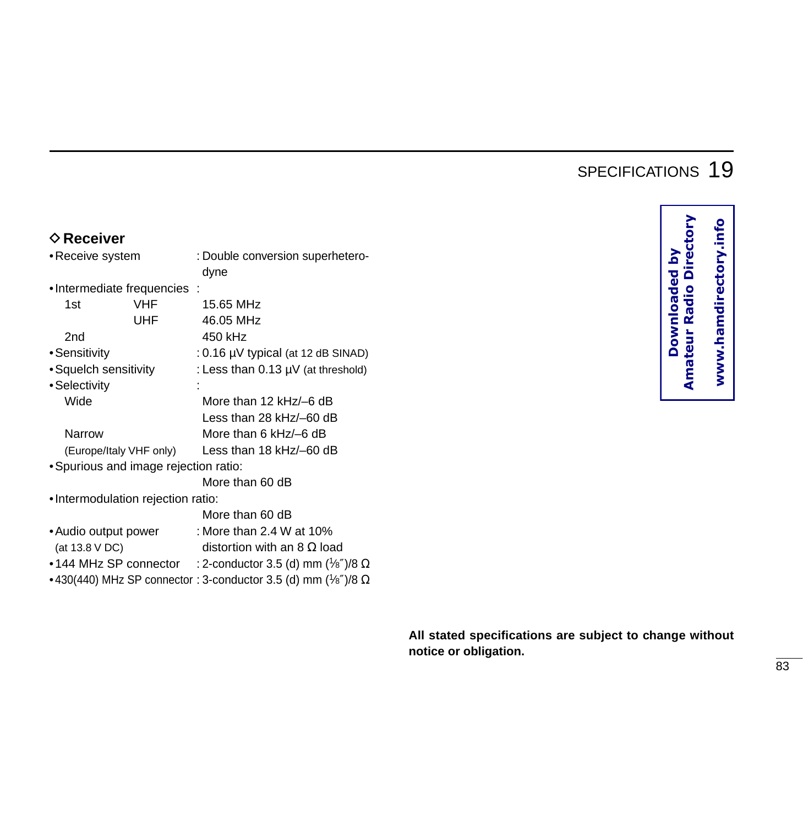### SPECIFICATIONS 19

### **♦ Receiver**

| • Receive system | : Double conversion superhetero- |
|------------------|----------------------------------|
|                  | dvne                             |

•Intermediate frequencies :

| 1st                                   | VHF                     | 15.65 MHz                          |
|---------------------------------------|-------------------------|------------------------------------|
|                                       | <b>UHF</b>              | 46.05 MHz                          |
| 2nd                                   |                         | 450 kHz                            |
| •Sensitivity                          |                         | : 0.16 µV typical (at 12 dB SINAD) |
| • Squelch sensitivity                 |                         | : Less than 0.13 µV (at threshold) |
| • Selectivity                         |                         |                                    |
| Wide                                  |                         | More than 12 kHz/-6 dB             |
|                                       |                         | Less than 28 kHz/-60 dB            |
| Narrow                                |                         | More than 6 $kHz$ – 6 dB           |
|                                       | (Europe/Italy VHF only) | Less than 18 kHz/-60 dB            |
| • Spurious and image rejection ratio: |                         |                                    |

More than 60 dB

•Intermodulation rejection ratio:

|                       | More than 60 dB                                                                |
|-----------------------|--------------------------------------------------------------------------------|
| • Audio output power  | : More than 2.4 W at 10%                                                       |
| (at 13.8 V DC)        | distortion with an 8 $\Omega$ load                                             |
| •144 MHz SP connector | : 2-conductor 3.5 (d) mm $(\frac{1}{8})$ (8 $\Omega$ )                         |
|                       | •430(440) MHz SP connector : 3-conductor 3.5 (d) mm $\frac{1}{8}$ //8 $\Omega$ |

**Amateur Radio Directory**  Downloaded by<br>Amateur Radio Directory **Downloaded by** 

**www.hamdirectory.info**

www.hamdirectory.info

**All stated specifications are subject to change without notice or obligation.**